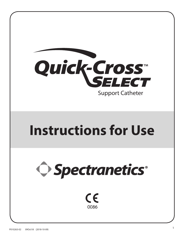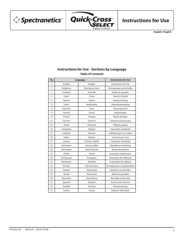



**English / English**

| Pg | Language   | <b>Instructions For Use</b> |                           |
|----|------------|-----------------------------|---------------------------|
| 3  | English    | English                     | Instructions for Use      |
| 5  | Bulgarian  | български език              | Инструкции за употреба    |
| 7  | Croatian   | Hrvatski                    |                           |
| 9  | Czech      | Česky                       |                           |
| 11 | Danish     | Dansk                       | Brugsanvisning            |
| 13 | Dutch      | <b>Nederlands</b>           | Gebruiksaanwijzing        |
| 15 | Estonian   | Eesti                       | Kasutusjuhend             |
| 17 | Finnish    | Suomi                       | Käyttöohjeet              |
| 19 | French     | Français                    | Mode d'emploi             |
| 21 | German     | Deutsch                     | Gebrauchsanweisung        |
| 23 | Greek      | Ελληνικά                    | Οδηγίες χρήσης            |
| 25 | Hungarian  | Magyar                      | Használati utasítások     |
| 27 | Icelandic  | Íslenska                    | Leiðbeiningar um notkun   |
| 29 | Italian    | Italiano                    | Istruzioni per l'uso      |
| 31 | Latvian    | Latviešu valoda             | Lietošanas instrukcija    |
| 33 | Lithuanian | lietuvių kalba              | Naudojimo instrukcija     |
| 35 | Norwegian  | Norsk bokmål                | Bruksinstruksjoner        |
| 37 | Polish     | Polski                      | Instrukcja użytkowania    |
| 39 | Portuguese | Português                   | Instruções de Utilização  |
| 41 | Romanian   | Română                      | Instrucțiuni de utilizare |
| 43 | Russian    | Русский язык                | Инструкции по применению  |
| 45 | Serbian    | Srpski jezik                | Uputstvo za upotrebu      |
| 47 | Slovak     | Slovenčina                  | Návod na použitie         |
| 49 | Slovenian  | Slovenščina                 | Navodila za Uporabo       |
| 51 | Spanish    | Español                     | Instrucciones de Uso      |
| 53 | Swedish    | Svenska                     | Bruksanvisning            |
| 55 | Turkish    | Türkce                      | Kullanım Talimatları      |

# **Instructions for Use - Sections by Language Table of Contents**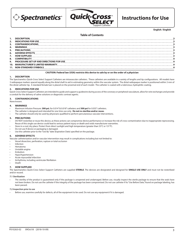



**English / English**

# **Table of Contents**

### **CAUTION: Federal law (USA) restricts this device to sale by or on the order of a physician**

### **1. DESCRIPTION**

The Spectranetics Quick-Cross Select Support Catheters are intravascular catheters. These catheters are available in a variety of lengths and tip configurations. All models have 3 radiopaque markers spaced equally along the distal shaft to aid in estimating geometry within the vascular system. The distal radiopaque marker is positioned within 3 mm of the distal catheter tip. A standard female luer is placed on the proximal end of each model. The catheter is coated with a lubricious, hydrophilic coating.

### **2. INDICATIONS FOR USE**

Quick-Cross Select Support Catheters are intended to guide and support a guidewire during access of the coronary or peripheral vasculature, allow for wire exchanges and provide a conduit for the delivery of saline solutions or diagnostic contrast agents.

### **3. CONTRAINDICATIONS**

None known.

# **4. WARNINGS**

- Maximum Infusion Pressure: **300 psi.** for 0.014" & 0.018" catheters and **500 psi** for 0.035" catheters.
- The catheter is designed and intended for one time use only. **Do not re-sterilize and/or reuse.**
- The catheter should only be used by physicians qualified to perform percutaneous vascular interventions.

### **5. PRECAUTIONS**

- DO NOT resterilize or reuse this device, as these actions can compromise device performance or increase the risk of cross-contamination due to inappropriate reprocessing. Reuse of this single use device could lead to serious patient injury or death and voids manufacturer warranties.
- Store in a cool, dry place. Protect from direct sunlight and high temperature (greater than 55°C or 131°F).
- Do not use if device or packaging is damaged.
- Use the catheter prior to the "Use By" date (Expiration Date) specified on the package.

### **6. ADVERSE EFFECTS**

Vascular catheterization and/or vascular intervention may result in complications including but not limited to:

• Vessel dissection, perforation, rupture or total occlusion

- Infection
- Hematoma
- Unstable angina
- Embolism
- Hypo/hypertension
- Acute myocardial infarction
- Arrhythmia, including ventricular fibrillation
- Death

### **7. HOW SUPPLIED**

The Spectranetics Quick-Cross Select Support Catheters are supplied **STERILE**. The devices are designated and designed for **SINGLE USE ONLY** and must not be resterilized and/or reused.

### **7.1 Sterilization**

The sterility of the product is guaranteed only if the package is unopened and undamaged. Before use, visually inspect the sterile package to ensure that the seals have not been broken. Do not use the catheter if the integrity of the package has been compromised. Do not use catheter if its "Use Before Date," found on package labeling, has been passed.

### **7.2 Inspection prior to use**

• Before use, examine carefully for defects, all of the equipment to be used. Do not use any equipment if it is damaged.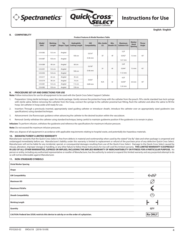



**English / English**

## **8. COMPATIBILITY**

**Product Features & Model Numbers Table**

| <b>Model</b><br>(Ref) | Working<br>Length | <b>Tip</b><br>Shape / Type | <b>Hydrophilic</b><br><b>Coating Length</b> | <b>GW</b><br><b>Compatibility</b> | Min. Guide<br>I.D. | Min.<br>Sheath I.D. | <b>Maximum</b><br>Catheter O.D. | <b>Marker</b><br><b>Band</b><br><b>Spacing</b> | <b>Throw</b><br>Angle |
|-----------------------|-------------------|----------------------------|---------------------------------------------|-----------------------------------|--------------------|---------------------|---------------------------------|------------------------------------------------|-----------------------|
| 518-085               | 135 cm            | Angled                     | $100 \text{ cm}$                            | 0.014''                           | 5F                 | 4F                  | 3.2F<br>0.042''                 | $15 \text{ mm}$                                | $45^\circ$            |
| 518-087               | 150 cm            | Angled                     |                                             | $0.36$ mm                         |                    |                     | 1.07 mm                         |                                                |                       |
| 518-089               | 90 cm             | Angled                     | 60 cm                                       | 0.018''                           |                    |                     | 3.4F                            |                                                |                       |
| 518-091               | 135 cm            | Angled                     |                                             | 0.46 mm                           | 5F                 | 4F                  | 0.044''                         | $15 \, \text{mm}$                              | $45^\circ$            |
| 518-093               | 150 cm            | Angled                     | 100 cm                                      |                                   |                    |                     | $1.12 \text{ mm}$               |                                                |                       |
| 518-077               | 65 cm             | Angled                     | 45 cm                                       |                                   |                    |                     | 4.5F                            |                                                |                       |
| 518-079               | 90 cm             | Angled                     | 70 cm                                       | 0.035''                           | N/A                | 5F                  | 0.059''                         | 50 mm                                          | $45^\circ$            |
| 518-081               | 135 cm            | Angled                     | 115 cm                                      | $0.89$ mm                         |                    |                     |                                 |                                                |                       |
| 518-083               | 150 cm            | Angled                     | 130 cm                                      |                                   |                    |                     | 1.50 mm                         |                                                |                       |

# **9. PROCEDURE SET-UP AND DIRECTIONS FOR USE**

**Note:** Follow instructions for use for all equipment to be used with the Quick-Cross Select Support Catheter.

- 1. Preparation: Using sterile technique, open the sterile package. Gently remove the protective hoop with the catheter from the pouch. Fill a sterile standard luer-lock syringe with sterile saline. Before removing the catheter from the hoop, connect the syringe to the catheter proximal luer fitting, flush the catheter and allow the saline to fill the hoop. Set catheter in hoop aside until ready for use.
- 2. Insertion: Through a previously inserted, appropriately sized guiding catheter or introducer sheath, introduce the catheter over an appropriately sized guidewire (see specifications) using standard technique.
- 3. Advancement: Use fluoroscopic guidance when advancing the catheter to the desired location within the vasculature.
- 4. Removal: Gently withdraw the catheter using standard technique, being careful to maintain guidewire position if the guidewire is to remain in place.

**Infusion:** To perform infusion, withdraw the guidewire and reference the specifications for maximum infusion pressure.

**Note:** Do not exceed the maximum infusion pressures.

After use, dispose of all equipment in accordance with applicable requirements relating to hospital waste, and potentially bio-hazardous materials.

### **10. MANUFACTURER'S LIMITED WARRANTY**

Manufacturer warrants that the Quick-Cross Select is free from defects in material and workmanship when used by the stated "Use By" date and when package is unopened and undamaged immediately before use. Manufacturer's liability under this warranty is limited to replacement or refund of the purchase price of any defective Quick-Cross Select. Manufacturer will not be liable for any incidental, special, or consequential damages resulting from use of the Quick-Cross Select. Damage to the Quick-Cross Select caused by misuse, alteration, improper storage or handling, or any other failure to follow these Instructions for Use will void this limited warranty. **THIS LIMITED WARRANTY IS EXPRESSLY IN LIEU OF ALL OTHER WARRANTIES, EXPRESS OR IMPLIED, INCLUDING THE IMPLIED WARRANTY OF MERCHANTABILITY OR FITNESS FOR A PARTICULAR PURPOSE.** No person or entity, including any authorized representative or reseller of Manufacturer, has the authority to extend or expand this limited warranty and any purported attempt to do so will not be enforceable against Manufacturer.

### **11. NON-STANDARD SYMBOLS**

| <b>Distal Marker Spacing</b>                                                                |                            |
|---------------------------------------------------------------------------------------------|----------------------------|
| Shape                                                                                       |                            |
| <b>GW Compatibility</b>                                                                     | $\leftarrow$ GW $\bigcirc$ |
| <b>Maximum OD</b>                                                                           |                            |
| <b>Maximum PSI/kPa</b>                                                                      |                            |
| <b>Sheath Compatibility</b>                                                                 | sc <sup>1</sup>            |
| <b>Working Length</b>                                                                       |                            |
| Quantity                                                                                    | <b>QTY</b>                 |
| CAUTION: Federal law (USA) restricts this device to sale by or on the order of a physician. | <b>Rx ONLY</b>             |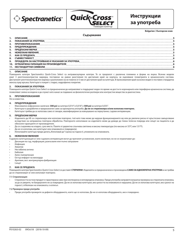



# **Инструкции за употреба**

### **Bulgarian / български език**

### **Съдържание**

### **1. ОПИСАНИЕ**

Помощните катетри Spectranetics Quick-Cross Select са интраваскуларни катетри. Те се предлагат с различна големина и форма на върха. Всички модели имат 3 рентгеноконтрастни маркера, поставени на равни разстояния по дисталния край на корпуса, за оценяване геометрията в кръвоносната система. Дисталният рентгеноконтрастен маркер е разположен на не повече от 3 мм от дисталния край на катетъра. В проксималния край на всеки модел е поставен стандартна женска луер връзка. Катетърът е покрит с гладко, хидрофилно покритие.

### **2. ПОКАЗАНИЯ ЗА УПОТРЕБА**

Помощните катетри Quick-Cross Select са предназначени да направляват и поддържат водач по време на достъп в коронарната или периферна кръвоносна система, да позволяват смяна на водачи и да служат като канал за подаване на физиологични разтвори или контрастни вещества за диагностика.

### **3. ПРОТИВОПОКАЗАНИЯ**

Не са известни.

### **4. ПРЕДУПРЕЖДЕНИЯ**

- Максимално инфузионно налягане: **300 psi** за катетри 0,014" и 0,018" и **500 psi** за катетри 0,035".
- Катетърът е разработен и предназначен само за еднократна употреба. **Да не се стерилизира и/или използва повторно.**
- Катетърът трябва да се използва само от лекари, квалифицирани за извършване на перкутанни, съдови интервенции.

### **5. ПРЕДПАЗНИ МЕРКИ**

- Изделието да НЕ се стерилизира или използва повторно, тъй като това може да наруши функционирането му или да увеличи риска от кръстосано замърсяване вследствие на неправилна повторна обработка. Повторното използване на изделието може да доведе до тежка телесна повреда или смърт на пациента и да обезсили гаранциите от производителя.
- Да се съхранява на хладно, сухо място. Пазете от директна слънчева светлина и висока температура (по-висока от 55°C или 131°F).
- Да не се използва, ако катетърът или опаковката е повреден(а).
- Използвайте катетъра преди датата "Използвай до" (срока на годност), упомената на опаковката.

### **6. НЕЖЕЛАНИ ЯВЛЕНИЯ**

Съдовата катетъризация и/ или съдовата интервенция могат да причинят усложнения, които включват, но не се ограничават до:

- Дисекция на съд, перфорация, разкъсване или пълно запушване
- Инфекция
- Хематом
- Нестабилна ангина
- **Емболия**
- Хипо-/хипертензия
- Остър инфаркт на миокарда
- Аритмия, вкл. вентрикуларна фибрилация
- Смърт

### **7. КАК СЕ ПРЕДЛАГА**

Помощните катетри Spectranetics Quick-Cross Select се доставят **СТЕРИЛНИ**. Изделията са предназначени и произведени **САМО ЗА ЕДНОКРАТНА УПОТРЕБА** и не трябва да се стерилизират и/ или използват повторно.

### **7.1 Стерилизация**

Стерилността на този продукт е гарантирана само при неотворена и неповредена опаковка. Преди употреба направете визуална проверка на стерилната опаковка, за да се уверите, че бандеролите не са повредени. Да не се използва катетърът, ако целостта на опаковката е нарушена. Да не се използва катетърът, ако срокът на годност, отбелязан на опаковката, е изтекъл.

### **7.2 Проверка преди употреба**

• Преди употреба проверете за дефекти оборудването, което ще се използва. Да не се използва оборудването, ако е повредено.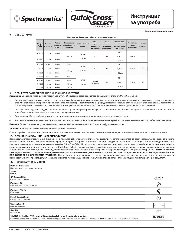



# **Инструкции за употреба**

**Bulgarian / български език**

## **8. СЪВМЕСТИМОСТ**

### **Продуктови функции и таблица с номера на моделите**

| Модел<br>(Реф.) | <b>Работна</b><br>дължина | Форма<br>на върха<br>/ тип | Дължина на<br>хидрофилното<br>покритие | Съвместимост<br>с водач | Мин.<br>вътрешен<br>диаметър<br>на водача | Мин.<br>вътрешен<br>диаметър<br>на дезилето | Максимален<br>външен<br>диаметър на<br>катетъра | Разстояние<br>между<br>маркерите | Ъгълна<br>наклона |
|-----------------|---------------------------|----------------------------|----------------------------------------|-------------------------|-------------------------------------------|---------------------------------------------|-------------------------------------------------|----------------------------------|-------------------|
| 518-085         | 135 см                    | рглов                      |                                        | 0,014''                 |                                           |                                             | 3,2F                                            |                                  |                   |
| 518-087         | 150 см                    | Ъглов                      | 100 см                                 | 0,36 MM                 | 5 F                                       | 4 F                                         | 0.042''                                         | <b>15 MM</b>                     | $45^\circ$        |
|                 |                           |                            |                                        |                         |                                           |                                             | 1,07 MM                                         |                                  |                   |
| 518-089         | 90 CM                     | Ъглов                      | 60 см                                  | 0,018''                 |                                           |                                             | 3,4F                                            |                                  |                   |
| 518-091         | 135 см                    | Ъглов                      | 100 см                                 | 0.46 MM                 | 5 F                                       | 4 F                                         | 0,044''                                         | <b>15 MM</b>                     | $45^\circ$        |
| 518-093         | 150 см                    | Ъглов                      |                                        |                         |                                           |                                             | 1,12 MM                                         |                                  |                   |
| 518-077         | 65 CM                     | Ъглов                      | 45 CM                                  |                         |                                           |                                             | 4,5 F                                           |                                  |                   |
| 518-079         | 90 CM                     | рглов                      | 70 CM                                  | 0,035''                 | Непри-                                    |                                             |                                                 |                                  |                   |
| 518-081         | 135 см                    | рглов                      | 115 CM                                 | 0.89 MM                 | ложимо                                    | 5 F                                         | 0,059''                                         | 50 MM                            | $45^\circ$        |
| 518-083         | 150 см                    | рглов                      | 130 см                                 |                         |                                           |                                             | 1,50 MM                                         |                                  |                   |

## **9. ПРОЦЕДУРА ЗА НАСТРОЙВАНЕ И УКАЗАНИЯ ЗА УПОТРЕБА**

**Забележка:** Следвайте указанията за употреба за цялото оборудване, което се използва с помощните катетрите Quick-Cross Select.

- 1. Подготовка: Отворете опаковката чрез стерилна техника. Внимателно премахнете луерувия хъб от картата и извадете катетъра от опаковката. Напълнете стандартна, стерилна спринцовка с луерово съединение със стерилен разтвор и промийте лумена. Преди да отстраните катетъра от хъба, свържете спринцовката към проксималния луеров накрайник, промийте катетъра и изчакайте докато разтвора напълни хъба. Оставете настрани катетъра в обръч докато се наложи да се ползва.
- 2. Поставяне: Посредством предварително поставяне на правилно оразмерен водещ катетър или въвеждащо дезилеа, въведете катетъра над правилно оразмерен водач (вижте спецификациите), с помощта на стандартна техника.
- 3. Придвижване: Използвайте флуороскоп при придвижването на катетъра в кръвоносните съдове до желаното място.
- 4. Изваждане: Внимателно изтеглете катетъра като използвате стандартна техника, внимателно поддържайте позицията на водача, ако той трябва да остане на място.

**Инфузия:** За да извършите инфузия, извадете водача и вижте спецификациите за максимално инфузионно налягане.

**Забележка:** Не надвишавайте максималното инфузионно налягане.

След употреба изхвърлете оборудването съгласно приложимите изисквания, свързани с болничните отпадъци и потенциалните биологично опасни материали.

### **10. ОГРАНИЧЕНА ГАРАНЦИЯ НА ПРОИЗВОДИТЕЛЯ**

Производителят гарантира, че Quick-Cross Select не проявява дефекти в материалите и производството, когато се използва до посочената дата "Използвай до" и когато опаковката не е отворена или повредена непосредствено преди употреба. Отговорността на производителя по настоящата гаранция се ограничава до подмяна или възстановяване на сумата за покупка на всеки дефектен Quick-Cross Select. Производителят не носи отговорност за каквито и да било случайни, специални или последващи щети, възникващи в резултат на употребата на Quick-Cross Select. Повреда на Quick-Cross Select, причинена от неправилна употреба, модифициране, неправилно съхранение или използване, или каквото и да било неспазване на тези Инструкции за употреба ще направи невалидна тази ограничена гаранция. **ТАЗИ ОГРАНИЧЕНА ГАРАНЦИЯ ИЗРИЧНО ОТМЕНЯ ВСИЧКИ ДРУГИ ГАРАНЦИИ, ИЗРИЧНИ ИЛИ ПОДРАЗБИРАЩИ СЕ, ВКЛЮЧИТЕЛНО ПОДРАЗБИРАЩАТА СЕ ГАРАНЦИЯ ЗА ПРОДАЖБА ИЛИ ГОДНОСТ ЗА ОПРЕДЕЛЕНА УПОТРЕБА.** Никое физическо или юридическо лице, включително всякакви упълномощени представители или дилъри на Производителя, няма правото да удължава или разширява тази гаранция, и никой умишлен опит да се направи това няма да се прилага срещу Производителя.

### **11. НЕСТАНДАРТНИ СИМВОЛИ**

| <b>Distal Marker Spacing</b>                                                                                                                |                                                                      |
|---------------------------------------------------------------------------------------------------------------------------------------------|----------------------------------------------------------------------|
| Интервал между дисталните маркери                                                                                                           |                                                                      |
| Shape                                                                                                                                       |                                                                      |
| Форма                                                                                                                                       |                                                                      |
| <b>GW Compatibility</b>                                                                                                                     | $\begin{array}{cc} \leftarrow & GW \\ \uparrow & Max OD \end{array}$ |
| Съвместимост с водач                                                                                                                        |                                                                      |
| <b>Maximum OD</b>                                                                                                                           |                                                                      |
| Максимален външен диаметър                                                                                                                  |                                                                      |
| l Maximum PSI/kPa                                                                                                                           |                                                                      |
| Максимум кРа                                                                                                                                |                                                                      |
| <b>Sheath Compatibility</b>                                                                                                                 |                                                                      |
| Съвместимост с дезиле                                                                                                                       |                                                                      |
| <b>Working Length</b>                                                                                                                       |                                                                      |
| Работна дължина                                                                                                                             |                                                                      |
| Quantity                                                                                                                                    | <b>QTY</b>                                                           |
| Количество                                                                                                                                  |                                                                      |
| CAUTION: Federal law (USA) restricts this device to sale by or on the order of a physician.                                                 |                                                                      |
| Внимание: Федералните закони (на САЩ) разрешават продажбата на това изделие да се извършва единствено от лекар или по лекарско предписание. | <b>Rx ONLY</b>                                                       |
|                                                                                                                                             |                                                                      |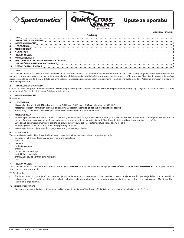



# **Upute za uporabu**

### **Croatian / Hrvatski**

## **Sadržaj**

### **1. OPIS**

Spectranetics Quick-Cross Select Potporni kateteri su intravaskularni kateteri. Ti su kateteri dostupni u raznim dužinama i s raznim konfiguracijama vrhova. Svi modeli imaju tri radionepropusna označivača koji su ravnomjerno razmaknuti uzduž distalne cijevi da bi olakšali procjenu geometrije unutar krvožilnog sustava. Distalni radionepropusni označivač nalazi se na udaljenosti do 3 mm od distalnog vrha katetera. Standardna ženska luer spojnica postavljena je na bliži kraj svakog modela. Kateter je premazan lubrikantnim, hidrofilnim premazom.

### **2. INDIKACIJE ZA UPOTREBU**

Quick-Cross Select Potporni kateteri namijenjeni su vođenju i podržavanju vodilice prilikom ulaska u koronarne i periferne žile, omogućuju zamjenu vodilica te služe kao provodnik za dovod fiziološke otopine ili dijagnostičkih kontrastnih agensa.

### **3. KONTRAINDIKACIJE**

Nisu poznate.

### **4. UPOZORENJA**

- Maksimalan tlak pri infuziji: **300 psi** za katetere od 0,014 inča i 0,018 inča te **500 psi** za katetere od 0,035 inča.
- Kateter je osmišljen i namijenjen isključivo za jednokratnu uporabu. **Nemojte ga ponovo sterilizirati i/ili koristiti.**
- Kateter smiju koristiti samo liječnici osposobljeni za izvođenje perkutanih vaskularnih zahvata.

## **5. MJERE OPREZA**

- NEMOJTE ponovno sterilizirati niti ponovno koristiti ovaj uređaj jer to može ugroziti učinkovitost uređaja ili povećati rizik unakrsne kontaminacije zbog neprikladne ponovne prerade. Ponovna uporaba ovog uređaja za jednokratnu upotrebu može uzrokovati teško ozljeđivanje pacijenta ili smrt i poništava jamstva proizvođača.
- Čuvajte na hladnom i suhom mjestu. Zaštitite od izravne sunčeve svjetlosti i visoke temperature (više od 55 °C ili 131 °F).
- Nemojte ga koristiti ako je oštećen ili ako mu je pakiranje oštećeno.
- Kateter upotrijebite prije isteka roka trajanja navedenog na pakiranju (Use By).

### **6. NUSPOJAVE**

Vaskularna kateterizacija i/ili vaskularni zahvati mogu za posljedicu imati ovdje navedene i druge komplikacije:

• disekciju krvnih žila, perforaciju, puknuće ili potpuno začepljenje

- infekciju
- hematom
- nestabilnu anginu
- emboliju
- hipotenziju i hipertenziju
- akutni infarkt miokarda
- aritmiju, uključujući ventrikularnu fibrilaciju
- smrt

### **7. PRIJE UPORABE**

Spectranetics Quick-Cross Select Potporni kateteri isporučuju se **STERILNI**. Uređaji su dizajnirani i namijenjeni **ISKLJUČIVO ZA JEDNOKRATNU UPORABU** i ne smiju se ponovno sterilizirati i/ili ponovno koristiti.

### **7.1 Sterilizacija**

• Sterilnost ovog proizvoda jamči se samo ako je pakiranje zatvoreno i neoštećeno. Prije uporabe vizualno provjerite sterilno pakiranje kako biste se uvjerili da naljepnice nisu oštećene. Ne koristite kateter ako je cjelovitost pakiranja upitna. Katetere ne upotrebljavajte ako je istekao datum na oznaci pakiranja "Use Before Date" (Upotrijebiti prije datuma).

### **7.2 Provjera prije primjene**

• Svu opremu koja će se koristiti prije uporabe pažljivo provjerite radi mogućih oštećenja. Ne koristite nijedan dio opreme ukoliko je isti oštećen.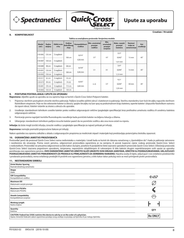



# **Upute za uporabu**

**Croatian / Hrvatski**

**8. KOMPATIBILNOST**

### **Tablica sa značajkama proizvoda i brojevima modela**

| <b>Model</b><br>(ref.) | Radna<br>duljina | Oblik/vrsta<br>vrha | <b>Duljina</b><br>hidrofilnog<br>sloja | Kompatibilnost<br>vodilice | Min. unutrašnji<br>promjer<br>vodilice | Min.<br>unutrašnji<br>promjer<br>ovojnice | Maks. vanjski<br>promjer<br>katetera | Razmaci<br>trake za<br>označavanje | Kut<br>uvođenja |  |
|------------------------|------------------|---------------------|----------------------------------------|----------------------------|----------------------------------------|-------------------------------------------|--------------------------------------|------------------------------------|-----------------|--|
| 518-085                | 135 cm           | S nagibom           | 100 cm                                 | 0,014''                    | 5 F                                    | 4F                                        | 3,2F<br>0.042''                      | $15 \text{ mm}$                    | $45^\circ$      |  |
| 518-087                | 150 cm           | S nagibom           | 0,36 mm                                |                            |                                        |                                           |                                      | 1.07 mm                            |                 |  |
| 518-089                | 90 cm            | S nagibom           | 60 cm                                  | 0.018''                    |                                        |                                           | 3,4 F                                |                                    |                 |  |
| 518-091                | 135 cm           | S nagibom           | 100 cm                                 | 0.46 mm                    | 5 F                                    | 4F                                        | 0,044''                              | $15 \text{ mm}$                    | $45^\circ$      |  |
| 518-093                | 150 cm           | S nagibom           |                                        |                            |                                        |                                           | $1,12 \text{ mm}$                    |                                    |                 |  |
| 518-077                | 65 cm            | S nagibom           | 45 cm                                  |                            |                                        |                                           | 4,5 F                                |                                    |                 |  |
| 518-079                | 90 cm            | S nagibom           | 70 cm                                  | 0.035''                    | n. d.                                  | 5 F                                       | 0.059''                              | 50 mm                              | $45^\circ$      |  |
| 518-081                | 135 cm           | S nagibom           | 115 cm                                 | 0.89 mm                    |                                        |                                           |                                      |                                    |                 |  |
| 518-083                | 150 cm           | S nagibom           | 130 cm                                 |                            |                                        |                                           | 1,50 mm                              |                                    |                 |  |

## **9. POSTUPAK POSTAVLJANJA I UPUTE ZA UPORABU**

**Napomena**: slijedite upute za uporabu za svu opremu koja se koristi s Quick-Cross Select Potporni kateter.

- 1. Priprema: sterilnim postupkom otvorite sterilno pakiranje. Pažljivo izvadite zaštitni obruč s kateterom iz pakiranja. Sterilnu standardnu luer-lock štrcaljku napunite sterilnom fiziološkom otopinom. Prije no što odstranite kateter iz obruča, spojite štrcaljku na luer spoj na proksimalnom kraju katetera, isperite kateter i dopustite fiziološkom rastvoru da ispuni obruč. Kateter ostavite sa strane u obruču do uporabe.
- 2. Uvođenje: standardnom tehnikom uvedite kateter preko vodilice odgovarajuće veličine (pogledajte specifikacije) kroz prethodno umetnutu vodilicu ili uvodnicu katetera odgovarajuće veličine.
- 3. Pomicanje prema naprijed: koristite fluoroskopsko navođenje kada pomičete kateter na željenu lokaciju u žilama.
- 4. Uklanjanje: standardnom tehnikom pažljivo izvucite kateter pazeći da ne pomičete vodilicu ako ona mora ostati na mjestu.

Infuzija: da biste mogli izvršiti infuziju, izvucite vodilicu i pogledajte specifikacije za najveći pritisak pri infuziji.

**Napomena:** nemojte premašiti preporučene tlakove pri infuziji.

Nakon upotrebe svu opremu odložite u skladu s odgovarajućim propisima za medicinski otpad i materijale koji predstavljaju potencijalnu biološku opasnost.

# **10. OGRANIČENO JAMSTVO PROIZVOĐAČA**

Proizvođač jamči da proizvod Quick-Cross Select nema nedostataka u materijalu i izradi kada se koristi do datuma označenog s "Upotrebljivo do" i kada je pakiranje zatvoreno i neoštećeno do otvaranja. Prema ovom jamstvu, odgovornost proizvođača ograničena je na zamjenu ili povrat kupovne cijene svakog proizvoda Quick-Cross Select s nedostatkom. Proizvođač ne preuzima odgovornost za bilo kakve slučajne, posebne ili posljedične štete izazvane uporabom proizvoda Quick-Cross Select. Oštećenja proizvoda Quick-Cross Select izazvana pogrešnom uporabom, izmjenama, nepravilnim skladištenjem ili rukovanjem ili bilo kakvim drugim nepridržavanjem ovih uputa za uporabu poništavaju ovo ograničeno jamstvo. **OVO OGRANIČENO JAMSTVO IZRIČITO SLUŽI UMJESTO SVIH DRUGIH JAMSTAVA, IZRIČITIH ILI PODRAZUMIJEVANIH, UKLJUČUJUĆI**  PODRAZUMIJEVANO JAMSTVO PRIMJERENOSTI ZA PRODAJU ILI PRIKLADNOSTI ZA ODREĐENU NAMJENU. Nijedna osoba ili tijelo, uključujući i sve ovlaštene predstavnike i prodavače proizvođača, nema ovlaštenja produljiti ili proširiti ovo ograničeno jamstvo, a bilo kakav takav pokušaj neće se moći primijeniti protiv proizvođača.

### **11. NESTANDARDNI SIMBOLI**

| <b>Distal Marker Spacing</b><br>Razmak distalnog označivača                                                                                                                                                     |                 |
|-----------------------------------------------------------------------------------------------------------------------------------------------------------------------------------------------------------------|-----------------|
| Shape<br>Oblik                                                                                                                                                                                                  |                 |
| <b>GW Compatibility</b><br>Kompatibilnost vodilice                                                                                                                                                              | $\leftarrow$ GW |
| <b>Maximum OD</b><br>Maksimalni vanjski promjer                                                                                                                                                                 |                 |
| <b>Maximum PSI/kPa</b><br>Maksimalni PSI/kPa                                                                                                                                                                    |                 |
| <b>Sheath Compatibility</b><br>Kompatibilnost ovojnice                                                                                                                                                          |                 |
| <b>Working Length</b><br>Radna duljina                                                                                                                                                                          |                 |
| Quantity<br>Količina                                                                                                                                                                                            | QTY             |
| CAUTION: Federal law (USA) restricts this device to sale by or on the order of a physician.<br>Oprez: Američki federalni zakon ograničava prodaju ovog uređaja na prodaju od liječnika ili po nalogu liječnika. | <b>Rx ONL</b>   |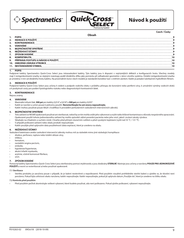



# **Návod k použití**

## **Czech / Česky**

## **Obsah**

| VPSGII                                |  |
|---------------------------------------|--|
|                                       |  |
|                                       |  |
|                                       |  |
|                                       |  |
|                                       |  |
|                                       |  |
|                                       |  |
|                                       |  |
| 9. PŘÍPRAVA POSTUPU A NÁVOD K POUŽITÍ |  |
|                                       |  |
|                                       |  |
|                                       |  |

## **1. POPIS**

Podpůrné katétry Spectranetics Quick-Cross Select jsou intravaskulární katétry. Tyto katétry jsou k dispozici v nejrůznějších délkách a konfiguracích hrotu. Všechny modely mají 3 rentgenkontrastní značky se stejnými rozestupy podél distálního dříku jako pomůcku při odhadování geometrie v rámci cévního systému. Distální rentgenkontrastní značka je umístěna 3 mm od distálního hrotu katétru. Na proximálním konci všech modelů je standardní konektor luer s vnitřním závitem. Katétr je potažen lubrikačním hydrofilním filmem.

### **2. INDIKACE K POUŽITÍ**

Podpůrné katétry Quick-Cross Select jsou určeny k vedení a podpoře vodicího drátu v průběhu přístupu do koronární nebo periferní cévy, k umožnění výměny vodicích drátů a k poskytnutí cesty pro podání fyziologického roztoku nebo diagnostických kontrastních látek.

## **3. KONTRAINDIKACE**

Nejsou známy.

### **4. VAROVÁNÍ**

- Maximální infuzní tlak: **300 psi** pro katétry 0,014" a 0,018" a **500 psi** pro katétry 0,035".
- Katétr je navržen a určen pouze k jednomu použití. **Neresterilizujte ho ani znovu nepoužívejte.**
- Katétr mohou používat pouze lékaři s kvalifikací k provádění perkutánních vaskulárních intervenčních zákroků.

### **5. BEZPEČNOSTNÍ OPATŘENÍ**

- Toto zařízení se NESMÍ opakovaně používat ani sterilizovat, neboť by se tím mohla snížit jeho výkonnost a zvýšit riziko křížové kontaminace z důvodu nesprávného zpracování. Opakované použití tohoto jednorázového zařízení by mohlo způsobit vážné poranění pacienta nebo jeho smrt, jakož i zrušení záruky výrobce.
- Skladujte na chladném a suchém místě. Chraňte před přímým slunečním světlem a před vysokými teplotami (vyšší než 55 °C / 131 °F).
- V případě poškození zařízení nebo obalu produkt nepoužívejte.
- Katétr použijte před uplynutím data použitelnosti (data expirace), které je uvedeno na obalu.

## **6. NEŽÁDOUCÍ ÚČINKY**

- Vaskulární katetrizace anebo vaskulární intervenční zákroky mohou mít za následek mimo jiné následující komplikace:
- disekce, perforace, ruptura nebo totální okluze cévy,
- infekce.
- hematom,
- nestabilní angina pectoris,
- embolie,
- hypotenze/hypertenze,
- akutní infarkt myokardu,
- arytmie, včetně komorové fibrilace,
- smrt.

### **7. ZPŮSOB DODÁNÍ**

Pomocný katétry Spectranetics Quick-Cross Select jsou sterilizovány pomocí etylénoxidu a jsou dodávány **STERILNÍ**. Nástroje jsou určeny a navrženy **POUZE PRO JEDNORÁZOVÉ POUŽITÍ** a nesmí se resterilizovat a/nebo používat opakovaně.

### **7.1 Sterilizace**

• Sterilita produktu je zaručena pouze v případě, že je balení neotevřené a nepoškozené. Před použitím vizuálně prohlédněte sterilní balení a ujistěte se, že těsnění není porušeno. Pokud byla celistvost obalu narušena, katétr nepoužívejte. Katétr nepoužívejte, pokud již uplynulo datum "Použijte do", které je uvedeno na štítku obalu.

### **7.2 Kontrola před použitím**

Před použitím pečlivě zkontrolujte veškeré vybavení, které budete používat, zda není poškozeno. Pokud zjistíte poškození, vybavení nepoužívejte.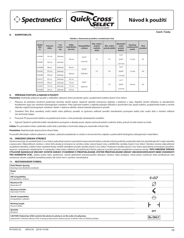



# **Návod k použití**

**Czech / Česky**

### **8. KOMPATIBILITA**

### **Tabulka s vlastnostmi produktu a modelovými čísly**

| <b>Model</b><br>(Ref.<br>č.) | Pracovní<br>délka | <b>Tvar</b><br>hrotu /<br>typ | <b>Délka</b><br>hydrofilního<br>povrchu | Kompatibilita<br>s drátem | Min. vnitřní<br>průměr<br>vodicího<br>drátu | Min. vnitřní<br>průměr pláště | Maximální<br>vnější<br>průměr<br>katétru | Rozestup<br>značkovacích<br>pruhů | Úhel<br>zavedení |  |
|------------------------------|-------------------|-------------------------------|-----------------------------------------|---------------------------|---------------------------------------------|-------------------------------|------------------------------------------|-----------------------------------|------------------|--|
| 518-085                      | 135 cm            | Zahnutý                       | 100 cm                                  | 0,014''                   | 5 F                                         | 4 F                           | 3,2 F<br>0,042"                          | $15 \, \text{mm}$                 | $45^{\circ}$     |  |
| 518-087                      | 150 cm            | Zahnutý                       |                                         | 0,36 mm                   |                                             |                               | 1.07 mm                                  |                                   |                  |  |
| 518-089                      | 90 cm             | Zahnutý                       | 60 cm                                   | 0.018''                   |                                             |                               | 3,4 F                                    |                                   |                  |  |
| 518-091                      | 135 cm            | Zahnutý                       |                                         |                           | 5 F                                         | 4 F                           | 0,044''                                  | 15 mm                             | $45^{\circ}$     |  |
| 518-093                      | 150 cm            | Zahnutý                       | 100 cm                                  | 0,46 mm                   |                                             |                               |                                          | 1,12 mm                           |                  |  |
| 518-077                      | 65 cm             | Zahnutý                       | 45 cm                                   |                           |                                             |                               | 4,5 F                                    |                                   |                  |  |
| 518-079                      | 90 cm             | Zahnutý                       | 70 cm                                   | 0,035''                   |                                             | 5 F                           |                                          |                                   |                  |  |
| 518-081                      | 135 cm            | Zahnutý                       | 115 cm                                  | 0,89 mm                   | ---                                         |                               | 0,059''                                  | 50 mm                             | $45^{\circ}$     |  |
| 518-083                      | 150 cm            | Zahnutý                       | 130 cm                                  |                           |                                             |                               | 1,50 mm                                  |                                   |                  |  |

## **9. PŘÍPRAVA POSTUPU A NÁVOD K POUŽITÍ**

**Poznámka:** Dodržujte pokyny k použití u veškerého vybavení, které používáte spolu s podpůrnými katétry Quick-Cross Select.

- 1. Příprava: Za dodržení sterilních podmínek otevřete sterilní balení. Opatrně vyjměte ochrannou objímku s katétrem z vaku. Naplňte sterilní stříkačku se standardním konektorem typu luer sterilním fyziologickým roztokem. Před vyjmutím katétru z objímky připojte stříkačku k proximální luer spojce katétru, propláchněte katétr a nechte objímku naplnit fyziologickým roztokem. Katétr v objímce odložte, dokud nebude připraven k použití.
- 2. Zavedení: Přes dříve zavedený vodicí katétr nebo plášťový zavaděč se správnou velikostí zaveďte standardním postupem katétr přes vodicí drát o vhodné velikosti (viz technické údaje).
- 3. Posunutí: Při posunování katétru na požadované místo v cévě používejte skiaskopické navádění.
- 4. Vyjmutí: Opatrně vytáhněte katétr standardním postupem a dávejte pozor, abyste zachovali polohu vodicího drátu, pokud má drát zůstat na místě.

**Infúze:** Pro provedení infúze vytáhněte vodicí drát a přečtěte si technické údaje pro maximální infuzní tlak.

**Poznámka:** Nepřekračujte doporučené infuzní tlaky.

Po použití zlikvidujte veškeré vybavení v souladu s platnými požadavky ve vztahu k nemocničnímu odpadu a potenciálně biologicky nebezpečným materiálům.

### **10. OMEZENÁ ZÁRUKA VÝROBCE**

Výrobce zaručuje, že výrobek Quick-Cross Select, pokud byl uzavřen v původním neporušeném balení, nebude mít při použití do uvedeného data (viz "Spotřebujte do") vady materiálu a zpracování. Odpovědnost výrobce v rámci této záruky je omezena na výměnu nebo vrácení kupní ceny u defektního výrobku Quick-Cross Select. Výrobce nenese odpovědnost za jakékoli náhodné, zvláštní nebo následné škody vzniklé následkem použití výrobku Quick-Cross Select. Poškození výrobku Quick-Cross Select způsobené nevhodným použitím, úpravou, nesprávným skladováním či manipulací nebo jiným selháním při dodržování těchto pokynů k použití způsobí zneplatnění omezené záruky. **TATO OMEZENÁ ZÁRUKA VÝSLOVNĚ NAHRAZUJE VŠECHNY OSTATNÍ ZÁRUKY, VYJÁDŘENÉ ČI PŘEDPOKLÁDANÉ, VČETNĚ PŘEDPOKLÁDANÉ ZÁRUKY OBCHODOVATELNOSTI NEBO VHODNOSTI PRO KONKRÉTNÍ ÚČEL.** Žádná osoba nebo společnost, včetně jakéhokoli autorizovaného zástupce výrobce nebo prodejce, nemá právo rozšiřovat nebo prodlužovat tuto omezenou záruku a jakýkoli zamýšlený pokus tak učinit není u výrobce vymahatelný.

### **11. NESTANDARDNÍ SYMBOL**

| <b>Distal Marker Spacing</b><br>Rozestup mezi distálními značkami                                                                                                                                          |                 |
|------------------------------------------------------------------------------------------------------------------------------------------------------------------------------------------------------------|-----------------|
| Shape<br>Tvar                                                                                                                                                                                              |                 |
| <b>GW Compatibility</b><br>Kompatibilita s drátem                                                                                                                                                          | $\leftarrow$ GW |
| <b>Maximum OD</b><br>Maximální VP                                                                                                                                                                          |                 |
| Maximum PSI/kPa<br>Maximální PSI/kPa                                                                                                                                                                       |                 |
| <b>Sheath Compatibility</b><br>Kompatibilita s pláštěm                                                                                                                                                     |                 |
| <b>Working Length</b><br>Pracovní délka                                                                                                                                                                    |                 |
| Quantity<br>Množství                                                                                                                                                                                       | QTY             |
| CAUTION: Federal law (USA) restricts this device to sale by or on the order of a physician.<br>Upozornění: Federální zákony (USA) omezují prodej tohoto zařízení pouze na lékaře nebo na lékařský předpis. | <b>Rx ONLY</b>  |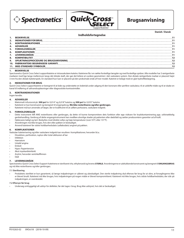



# **Brugsanvisning**

### **Danish / Dansk**

## **Indholdsfortegnelse**

### **1. BESKRIVELSE**

Spectranetics Quick-Cross Select supportkatetre er intravaskulære katetre. Katetrene fås i en række forskellige længder og med forskellige spidser. Alle modeller har 3 røntgenfaste markører med lige lange mellemrum langs det distale skaft, der gør det lettere at vurdere geometrien i det vaskulære system. Den distale røntgenfaste markør er placeret højst 3 mm fra den distale kateterspids. En standard hun-luer er placeret på den proksimale ende af hver model. Katetret er belagt med en glat hydrofilbelægning.

### **2. INDIKATIONER FOR BRUG**

Quick-Cross Select supportkatetre er beregnet til at lede og understøtte en ledetråd under adgang til den koronare eller perifere vaskulatur, til at udskifte tråde og til at skabe en kanal til indføring af saltvandsopløsninger eller diagnostiske kontrastmidler.

## **3. KONTRAINDIKATIONER**

Ingen kendte.

### **4. ADVARSLER**

- Maksimalt infusionstryk: **300 psi** for 0,014" og 0,018" katetre og **500 psi** for 0,035" katetre.
- Kateteret er kun konstrueret og beregnet til engangsbrug. **Må ikke resteriliseres og/eller genbruges.**
- Kateteret må kun anvendes af læger, der er kvalificeret til at udføre perkutane, vaskulære indgreb.

### **5. FORHOLDSREGLER**

- Dette instrument MÅ IKKE resteriliseres eller genbruges, da dette vil kunne kompromitere dets funktion eller øge risikoen for krydskontaminering pga. utilstrækkelig genbehandling. Genbrug af dette engangsinstrument kan medføre alvorlige skader på patienten eller dødsfald og sætter producentens garantier ud af kraft.
- Opbevares køligt og tørt. Beskyttes mod direkte sollys og høje temperaturer (over 55°C eller 131°F).
- Anordningen må ikke bruges, hvis den eller pakken er beskadiget.
- Anvend kateteret før sidste holdbarhedsdato (udløbsdato) angivet på pakken.

### **6. KOMPLIKATIONER**

- Vaskulær kateterisering og/eller vaskulære indgreb kan resultere i komplikationer, herunder bl.a.:
- Dissektion, perforation, ruptur eller total okklusion af kar
- **Infektion**
- Hæmatom
- Ustabil angina
- **Emboli**
- Hypo-/hypertension
- Akut myokardieinfarkt
- Arytmi, herunder ventrikelflimren
- Død

## **7. LEVERINGSMÅDE**

Spectranetics Quick-Cross Select Support-katetrene er steriliseret vha. ethylenoxid og leveres **STERILE**. Anordningerne er udelukkende konstrueret og beregnet til **ENGANGSBRUG** og må ikke resteriliseres og/eller genbruges.

### **7.1 Sterilisering**

• Produktets sterilitet er kun garanteret, så længe indpakningen er uåbnet og ubeskadiget. Den sterile indpakning skal efterses før brug for at sikre, at forseglingerne ikke er blevet brudt. Kateteret må ikke bruges, hvis indpakningen på nogen måde er blevet kompromitteret. Kateteret må ikke bruges, hvis sidste holdbarhedsdato, der står på indpakningen, er overskredet.

### **7.2 Eftersyn før brug**

• Undersøg omhyggeligt alt udstyr for defekter, før det tages i brug. Brug ikke udstyret, hvis det er beskadiget.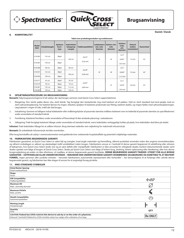



# **Brugsanvisning**

**Danish / Dansk**

### **8. KOMPATIBILITET**

**Tabel over produktegenskaber og modelnumre**

| <b>Model</b><br>(Ref) | Arbejdslængde | <b>Spidsens</b><br>form /<br>type | <b>Hydrofobisk</b><br>belægning<br>Længde | <b>Trådkompatibilitet</b> | <b>Ledekateters</b><br>min. indv.<br>diameter | Hylsters min.<br>indv.<br>diameter | <b>Kateters</b><br>maks.<br>udv.<br>diameter | <b>Afstand</b><br>mellem<br>markørbånd | <b>Kastevinkel</b> |
|-----------------------|---------------|-----------------------------------|-------------------------------------------|---------------------------|-----------------------------------------------|------------------------------------|----------------------------------------------|----------------------------------------|--------------------|
| 518-085               | 135 cm        | Bøjet                             | 100 cm                                    | 0,014''                   | 5F                                            | 4F                                 | 3,2F<br>0,042"                               | 15 mm                                  | $45^\circ$         |
| 518-087               | 150 cm        | Bøjet                             |                                           | $0.36$ mm                 |                                               |                                    | 1,07 mm                                      |                                        |                    |
| 518-089               | 90 cm         | Bøjet                             | 60 cm                                     |                           |                                               |                                    | 3,4 F                                        |                                        |                    |
| 518-091               | 135 cm        | Bøjet                             |                                           | 0,018''                   | 5F                                            | 4F                                 | 0.044''                                      | 15 mm                                  | $45^\circ$         |
| 518-093               | 150 cm        | Bøjet                             | 100 cm                                    | 0,46 mm                   |                                               |                                    | 1,12 mm                                      |                                        |                    |
| 518-077               | 65 cm         | Bøjet                             | 45 cm                                     |                           |                                               |                                    | 4,5 F                                        |                                        |                    |
| 518-079               | 90 cm         | Bøjet                             | 70 cm                                     | 0,035''                   | -                                             | 5F                                 | 0,059''                                      | 50 mm                                  | $45^\circ$         |
| 518-081               | 135 cm        | Bøjet                             | 115 cm                                    | 0,89 mm                   |                                               |                                    |                                              |                                        |                    |
| 518-083               | 150 cm        | Bøjet                             | 130 cm                                    |                           |                                               |                                    | 1,50 mm                                      |                                        |                    |

### **9. OPSÆTNINGSPROCEDURE OG BRUGSANVISNING**

**Bemærk:** Følg brugsanvisningerne til alt udstyr, der skal bruges sammen med Quick-Cross Select supportatetrene.

- 1. Klargøring: Den sterile pakke åbnes vha, steril teknik. Tag forsigtigt den beskyttende ring med katetret ud af pakken. Fyld en steril standard luer-lock-sprøjte med en steril saltvandsopløsning. Før katetret fiernes fra ringen, tilsluttes sprøjten til katetrets proksimale luer-fitting, katetret skylles, og ringen fyldes med saltvandsopløsningen. Læg katetret i ringen til side, indtil det skal bruges.
- 2. Indsætning: Gennem et tidligere indsat ledekateter eller indføringshylster af passende størrelse indføres kateteret over en ledetråd af passende størrelse (se specifikationer) under anvendelse af standard teknik.
- 3. Fremføring: Kateteret fremføres under anvendelse af uoroskopi til den ønskede placering i vaskulaturen.
- 4. Udtagning: Træk forsigtigt kateteret tilbage under anvendelse af standard teknik, mens ledetråden omhyggeligt holdes på plads, hvis ledetråden skal blive på stedet.

**Infusion:** Træk ledetråden tilbage for at udføre infusion. Brug skemaet nedenfor som vejledning for maksimalt infusionstryk.

**Bemærk:** De anbefalede infusionstryk må ikke overskrides.

Efter brug bortskaffes alt udstyr i overensstemmelse med gældende krav vedrørende hospitalsaffald og potentielt miljøfarlige materialer.

### **10. FABRIKANTENS BEGRÆNSEDE GARANTI**

Fabrikanten garanterer, at Quick-Cross Select er uden fejl og mangler, hvad angår materialer og fremstilling, såfremt produktet anvendes inden den angivne anvendelsesdato, og såfremt emballagen er uåbnet og ubeskadiget indtil umiddelbart inden brugen. Fabrikantens ansvar er i henhold til denne garanti begrænset til udskiftning eller refusion af købsprisen, hvis Quick-Cross Select skulle vise sig at være defekt eller mangelfuldt. Fabrikanten er ikke ansvarlig for utilsigtede skader, konkret dokumenterede skader samt skader opstået som følge af brugen af Quick-Cross Select. Skade på Quick-Cross Select som følge af forkert brug, ændring, forkert opbevaring eller håndtering, eller hvis denne brugervejledning på anden vis ikke efterleves, vil medføre, at denne begrænsede garanti bortfalder. **DENNE BEGRÆNSEDE GARANTI TRÆDER I STEDET FOR ALLE ØVRIGE GARANTIER – UDTRYKKELIGE ELLER UNDERFORSTÅEDE – HERUNDER DEN UNDERFORSTÅEDE GARANTI VEDRØRENDE SALGBARGHED OG EGNETHED TIL ET BESTEMT FORMÅL.** Ingen personer eller juridiske enheder – herunder fabrikantens autoriserede repræsentant eller forhandler – har bemyndigelse til at forlænge eller udvide denne begrænsede garanti, og fabrikanten kan ikke drages til ansvar for et angiveligt forsøg på dette.

### **11. IKKE-STANDARD SYMBOLER**

| <b>Distal Marker Spacing</b><br>Distal markørafstand                                                                                                                                             |                 |
|--------------------------------------------------------------------------------------------------------------------------------------------------------------------------------------------------|-----------------|
| Shape<br>Facon                                                                                                                                                                                   |                 |
| <b>GW Compatibility</b><br>Trådkompatibilitet                                                                                                                                                    | $\leftarrow$ GW |
| <b>Maximum OD</b><br>Maks. udvendig diamater                                                                                                                                                     |                 |
| Maximum PSI/kPa<br>Maks. psi/kPa                                                                                                                                                                 |                 |
| <b>Sheath Compatibility</b><br>Hylsterkompatibilitet                                                                                                                                             |                 |
| <b>Working Length</b><br>Arbejdslængde                                                                                                                                                           |                 |
| Quantity<br>Antal                                                                                                                                                                                | QTY             |
| CAUTION: Federal law (USA) restricts this device to sale by or on the order of a physician.<br>Advarsel: I henhold til føderal lov (USA) må dette udstyr kun sælges efter ordination af en læge. | <b>Rx ONLY</b>  |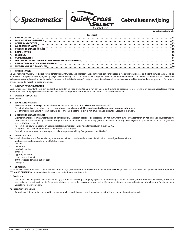



**Inhoud**

# **Gebruiksaanwijzing**

### **Dutch / Nederlands**

### **1. BESCHRIJVING**

De Spectranetics Quick-Cross Select steunkatheters zijn intravasculaire katheters. Deze katheters zijn verkrijgbaar in verschillende lengtes en tipconfiguraties. Alle modellen hebben drie radiopake markeringen, die op gelijke afstanden langs de distale schacht zijn aangebracht om de geometrie binnen het vaatstelsel te kunnen inschatten. De distale radiopake markering bevindt zich minder dan 3 mm van de distale kathetertip. Op het proximale uiteinde van elk model is een vrouwelijke standaardluer aangebracht. De katheter is van een gladde, hydrofiele coating voorzien.

### **2. INDICATIES VOOR GEBRUIK**

Quick-Cross Select steunkatheters zijn bedoeld als geleider en voor ondersteuning van een voerdraad tijdens de toegang tot de coronaire of perifere vasculatuur, maken draaduitwisseling mogelijk en verschaffen een kanaal voor de afgifte van zoutoplossing of diagnostische contrastmiddelen.

### **3. CONTRA-INDICATIES**

# Geen bekend.

## **4. WAARSCHUWINGEN**

- Maximale infusiedruk: **300 psi** voor katheters van 0,014" en 0,018" en **500 psi** voor katheters van 0,035".
- De katheter is uitsluitend ontworpen en bedoeld voor eenmalig gebruik. **Niet opnieuw steriliseren en/of opnieuw gebruiken.**
- De katheter mag uitsluitend worden gebruikt door artsen die geschoold zijn in het uitvoeren van percutane vasculaire ingrepen.

### **5. VOORZORGSMAATREGELEN**

- Dit instrument NIET opnieuw steriliseren of hergebruiken, aangezien daardoor de prestaties van het instrument kunnen verslechteren en het risico van kruisbesmetting door verkeerde herverwerking toeneemt. Hergebruik van dit instrument voor eenmalig gebruik kan leiden tot ernstig of dodelijk letsel bij de patiënt en maakt de garanties van de fabrikant ongeldig.
- Koel en droog bewaren. Bescherm het product tegen direct zonlicht en hoge temperaturen (boven 55 °C).
- Niet gebruiken als het hulpmiddel of de verpakking beschadigd is.
- Gebruik de katheter vóór de uiterste gebruiksdatum op de verpakking (aangegeven door "Use by").

### **6. COMPLICATIES**

Vasculaire katheterisatie en/of vasculaire ingrepen kunnen leiden tot onder andere, maar niet uitsluitend, de volgende complicaties:

• vaatdissectie, perforatie, scheuring of totale occlusie

- infectie
- hematoom
- instabiele angina
- embolie
- hypo-/hypertensie
- acuut myocardinfarct
- aritmie, waaronder ventrikelfibrilleren
- overlijden

# **7. LEVERING**

Spectranetics Quick-Cross Select steunkatheters katheters zijn gesteriliseerd met ethyleenoxide en worden **STERIEL** geleverd. De hulpmiddelen zijn uitsluitend bestemd voor **EENMALIG GEBRUIK** en mogen niet opnieuw worden gesteriliseerd en/of gebruikt.

### **7.1 Sterilisatie**

• De steriliteit van het product wordt uitsluitend gegarandeerd als de verpakking ongeopend en onbeschadigd is. Inspecteer voor gebruik de steriele verpakking om er zeker van te zijn dat de sluiting intact is. De katheter niet gebruiken als de verpakking is beschadigd. De katheter niet gebruiken als de uiterste gebruiksdatum (te vinden op de verpakking) is overschreden.

### **7.2 Inspectie vóór gebruik**

• Controleer alle te gebruiken hulpmiddelen vóór gebruik zorgvuldig op eventuele defecten en gebruik beschadigde hulpmiddelenniet.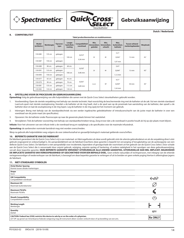



# **Gebruiksaanwijzing**

**Dutch / Nederlands**

## **8. COMPATIBILITEIT**

**Tabel productkenmerken en modelnummers**

| <b>Model</b><br>(artikelnr.) | Werklengte | Tipvorm/-<br>type | Lengte<br>hydrofiele<br>coating | Compatibiliteit<br>voerdraad | Min.<br>binnendiam.<br>geleider | Min.<br>binnendiam.<br>schacht | Max.<br>buitendiam.<br>katheter | <b>Tussen-afstand</b><br>markeringsbanden | Werphoek     |  |         |  |  |
|------------------------------|------------|-------------------|---------------------------------|------------------------------|---------------------------------|--------------------------------|---------------------------------|-------------------------------------------|--------------|--|---------|--|--|
| 518-085                      | 135 cm     | gebogen           | $100 \text{ cm}$                | 0.014''                      | 5F                              | 4F                             | 3,2F<br>0,042"                  | $15 \, \text{mm}$                         | $45^\circ$   |  |         |  |  |
| 518-087                      | 150 cm     | gebogen           |                                 | 0,36 mm                      |                                 |                                | 1.07 mm                         |                                           |              |  |         |  |  |
| 518-089                      | 90 cm      | gebogen           | 60 cm                           |                              |                                 |                                | 3,4 F                           |                                           |              |  |         |  |  |
| 518-091                      | 135 cm     | gebogen           |                                 | 0,018''                      | 5F                              | 4F                             | 0.044''                         | 15 mm                                     | $45^{\circ}$ |  |         |  |  |
| 518-093                      | 150 cm     | gebogen           |                                 |                              |                                 |                                | 100 cm                          | 0.46 mm                                   |              |  | 1,12 mm |  |  |
| 518-077                      | 65 cm      | gebogen           | 45 cm                           |                              |                                 |                                | 4,5 F                           |                                           |              |  |         |  |  |
| 518-079                      | 90 cm      | gebogen           | 70 cm                           | 0,035''                      |                                 | 5F                             |                                 |                                           |              |  |         |  |  |
| 518-081                      | 135 cm     | gebogen           | 115 cm                          | $0.89$ mm                    | n.v.t.                          |                                | 0,059''                         | 50 mm                                     | $45^\circ$   |  |         |  |  |
| 518-083                      | 150 cm     | gebogen           | 130 cm                          |                              |                                 |                                | 1,50 mm                         |                                           |              |  |         |  |  |

## **9. OPSTELLING VOOR DE PROCEDURE EN GEBRUIKSAANWIJZING**

**Opmerking:** Volg de gebruiksaanwijzing van alle hulpmiddelen die samen met de Quick-Cross Select steunkatheters gebruikt worden.

- 1. Voorbereiding: Open de steriele verpakking met behulp van steriele techniek. Haal voorzichtig de beschermende ring met de katheter uit de zak. Vul een steriele standaard LuerLock-spuit met steriele zoutoplossing. Voordat u de katheter uit de ring haalt, sluit u de spuit aan op de proximale luer-aansluiting van de katheter, dan spoelt u de katheter door en laat de zoutoplossing in de ring lopen. Leg de katheter in de ring opzij tot het moment van gebruik.
- 2. Inbrengen: Breng met behulp van de standaardtechniek via een eerder ingebrachte geleidekatheter of introducerschacht van de juiste maat de katheter in over een voerdraad van de juiste maat (zie specificaties).
- 3. Opvoeren: Ver de katheter onder fluoroscopie op naar de gewenste plaats binnen het vaatstelsel.
- 4. Verwijderen: Trek de katheter voorzichtig met behulp van standaardtechnieken terug. Zorg ervoor dat u de voerdraad in positie houdt als hij op zijn plaats moet blijven.

Infusie: Voor het uitvoeren van een infusie trekt u de voerdraad terug en raadpleegt u de specificaties voor de maximale infusiedruk.

**Opmerking:** de aanbevolen nominale barstdruk mag niet worden overschreden.

Werp na gebruik alle hulpmiddelen weg volgens de voor ziekenhuisafval en gevaarlijk biologisch materiaal geldende voorschriften.

### **10. BEPERKTE GARANTIE VAN DE FABRIKANT**

De fabrikant garandeert dat de Quick-Cross Select vrij is van materiaal- en fabricagefouten als deze wordt gebruikt vóór de uiterste gebruiksdatum en als de verpakking direct vóór gebruik ongeopend en onbeschadigd is. De aansprakelijkheid van de fabrikant krachtens deze garantie is beperkt tot vervanging of terugbetaling van de aankoopprijs van een defecte Quick-Cross Select. De fabrikant is niet aansprakelijk voor incidentele, bijzondere of gevolgschade die voortvloeit uit het gebruik van de Quick-Cross Select. Door schade aan de Quick-Cross Select die is veroorzaakt door onjuist gebruik, wijziging, onjuiste opslag of hantering, of andere nalatigheid in het opvolgen van deze gebruiksaanwijzing, vervalt deze beperkte garantie. **DEZE BEPERKTE GARANTIE VERVANGT UITDRUKKELIJK ALLE ANDERE GARANTIES, UITDRUKKELIJK DAN WEL IMPLICIET, WAARONDER**  DE IMPLICIETE GARANTIE VAN VERKOOPBAARHEID OF GESCHIKTHEID VOOR EEN BEPAALD DOEL. Geen enkele natuurlijke of rechtspersoon, met inbegrip van de erkende vertegenwoordiger of wederverkoper van de fabrikant, is bevoegd om deze beperkte garantie te verlengen of uit te breiden en geen enkele poging hiertoe Is afdwingbaar jegens de fabrikant.

### **11. NIET-STANDAARD SYMBOLEN**

| <b>Distal Marker Spacing</b><br>Ruimte tussen distale markeringen                                                                                                                                                                |                            |
|----------------------------------------------------------------------------------------------------------------------------------------------------------------------------------------------------------------------------------|----------------------------|
| Shape<br>Vorm                                                                                                                                                                                                                    |                            |
| <b>GW Compatibility</b><br>Compatibiliteit voerdraad                                                                                                                                                                             | $\leftarrow$ GW $\bigcirc$ |
| <b>Maximum OD</b><br>Maximale buitendiameter                                                                                                                                                                                     |                            |
| <b>Maximum PSI/kPa</b><br>Maximale PSI/kPa                                                                                                                                                                                       |                            |
| <b>Sheath Compatibility</b><br>Compatibiliteit schacht                                                                                                                                                                           |                            |
| <b>Working Length</b><br>Werklengte                                                                                                                                                                                              |                            |
| Quantity<br>Aantal                                                                                                                                                                                                               | QTY                        |
| CAUTION: Federal law (USA) restricts this device to sale by or on the order of a physician.<br>LET OP: op grond van Amerikaanse federale wetgeving mag dit instrument alleen worden verkocht door of op bestelling van een arts. | <b>Rx ONL</b>              |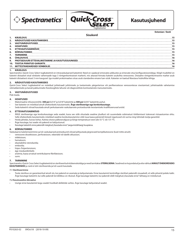



# **Kasutusjuhend**

### **Estonian / Eesti**

## **Sisukord**

### **1. KIRJELDUS**

Spectranetics Quick-Cross Select tugikateetrid on intravaskulaarsed kateetrid. Need on saadaval erinevates pikkustes ja erinevate otsa konfiguratsioonidega. Kõigil mudelitel on kateetri distaalsel otsal võrdsete vahemaade taga 3 röntgenkontrastset markerit, mis aitavad hinnata kateetri asukohta veresoones. Distaalne röntgenkontrastne marker asub kateetri distaalsest otsast 3 mm kaugusel. Iga mudeli proksimaalses otsas asub standardne emane luer-otsik. Kateeter on kaetud libestava hüdrofiilse kihiga.

### **2. NÄIDUSTUSED KASUTAMISEKS**

Quick-Cross Select tugikateetrid on mõeldud juhtetraadi juhtimiseks ja toetamiseks pärgarterisse või perifeersetesse veresoontesse sisestamisel, juhtetraatide vahetamise võimaldamiseks ja kanali pakkumiseks füsioloogiliste lahuste või diagnostiliste kontrastainete manustamiseks.

### **3. VASTUNÄIDUSTUSED**

Pole teada.

### **4. HOIATUSED**

- Maksimaalne infusioonirõhk: **300 psi** 0,014" ja 0,018" kateetrite ja **500 psi** 0,035" kateetrite puhul.
- See kateeter on mõeldud ainult ühekordseks kasutamiseks. **Ärge steriliseerige ega korduvkasutage.**
- Seda kateetrit võivad kasutada ainult perkutaansete vaskulaarsete protseduuride teostamiseks kvalifitseeruvad arstid.

## **5. ETTEVAATUSABINÕUD**

• ÄRGE steriliseerige ega korduvkasutage seda seadet, kuna see võib ohustada seadme jõudlust või suurendada sobimatust töötlemisest tulenevat ristsaastumise ohtu. Selle ühekordseks kasutamiseks mõeldud seadme korduvkasutamine võib tuua kaasa patsiendi tõsised vigastused või surma ning tühistab tootja garantiid.

- Hoida jahedas, kuivas kohas. Kaitsta otsese päikesevalguse ja kõrge temperatuuri eest (üle 55 °C või 131 °F).
- Ärge kasutage, kui seade või pakend on kahjustunud.
- Kasutage kateetrit enne pakendil märgitud "Kasutada enne" (aegumistähtaeg) kuupäeva.

### **6. KÕRVALTOIMED**

Vaskulaarne kateteriseerimine ja/või vaskulaarsed protseduurid võivad põhjustada järgnevaid komplikatsioone (kuid mitte ainult):

- veresoone dissektsioon, perforatsioon, rebendid või täielik oklusioon;
- infektsioon;
- hematoom;
- ebastabiilne stenokardia;
- emboolia:
- hüpo-/hüpertensioon;
- äge müokardiinfarkt;
- arütmia, kaasa arvatud ventrikulaarne fibrillatsioon;
- surm.

### **7. TARNIMINE**

Spectranetics Quick-Cross Select tugikateetrid on steriliseeritud etüleenoksiidiga ja need tarnitakse **STERIILSEINA**. Seadmed on kujundatud ja ette nähtud **AINULT ÜHEKORDSEKS KASUTAMISEKS** ja neid ei tohi steriliseerida ja/või uuesti kasutada.

### **7.1 Steriliseerimine**

• Toote steriilsus on garanteeritud ainult siis, kui pakend on avamata ja kahjustamata. Enne kasutamist kontrollige steriilset pakendit visuaalselt, et selle pitserid poleks katki. Ärge kasutage kateetrit, kui selle pakendi terviklikkus on rikutud. Ärge kasutage kateetrit, kui pakendi sildil märgitud "Kasutada enne" tähtaeg on möödunud.

### **7.2 Kasutuseelne ülevaatus**

• Uurige enne kasutamist kogu seadet hoolikalt defektide suhtes. Ärge kasutage kahjustatud seadet.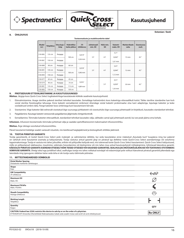



# **Kasutusjuhend**

**Estonian / Eesti**

### **8. ÜHILDUVUS**

**Tooteomaduste ja mudelinumbrite tabel**

| <b>Mudel</b><br>(nr) | <b>Tööpikkus</b> | Otsa kuju /<br>tüüp | <b>Hüdrofiilse</b><br>katte pikkus | <b>JTr</b><br>ühilduvus | <b>Juhtetraadi</b><br>min. SD | Hülsi min.<br><b>SD</b> | Kateetri<br>maks. VD | <b>Markerribade</b><br>vahe | <b>Sisestusosa</b><br>nurk |  |         |  |  |
|----------------------|------------------|---------------------|------------------------------------|-------------------------|-------------------------------|-------------------------|----------------------|-----------------------------|----------------------------|--|---------|--|--|
| 518-085              | 135 cm           | Nurgaga             | 100 cm                             | 0,014''                 | 5F                            | 4F                      | 3,2F<br>0,042"       | 15 mm                       | 45°                        |  |         |  |  |
| 518-087              | 150 cm           | Nurgaga             |                                    | 0,36 mm                 |                               |                         |                      |                             | 1,07 mm                    |  |         |  |  |
| 518-089              | 90 cm            | Nurgaga             | 60 cm                              |                         |                               |                         | 3,4 F                |                             |                            |  |         |  |  |
| 518-091              | 135 cm           | Nurgaga             |                                    | 0,018''                 | 5F                            | 4F                      | 0,044''              | 15 mm                       | 45°                        |  |         |  |  |
| 518-093              | 150 cm           | Nurgaga             | 100 cm                             | 0.46 mm                 |                               |                         |                      |                             |                            |  | 1,12 mm |  |  |
| 518-077              | 65 cm            | Nurgaga             | 45 cm                              |                         |                               |                         | 4,5 F                |                             |                            |  |         |  |  |
| 518-079              | 90 cm            | Nurgaga             | 70 cm                              | 0,035''                 | $\overline{\phantom{m}}$      | 5 F                     | 0,059''              | 50 mm                       | 45°                        |  |         |  |  |
| 518-081              | 135 cm           | Nurgaga             | 115 cm                             | 0,89 mm                 |                               |                         |                      |                             |                            |  |         |  |  |
| 518-083              | 150 cm           | Nurgaga             | 130 cm                             |                         |                               |                         | 1,50 mm              |                             |                            |  |         |  |  |

## **9. PROTSEDUURI ETTEVALMISTAMINE JA KASUTUSSUUNISED**

**Märkus.** Järgige koos Quick-Cross Select tugikateetritega kasutatavate kõikide seadmete kasutusjuhiseid.

- 1. Ettevalmistamine. Avage steriilne pakend steriilset tehnikat kasutades. Eemaldage kaitseümbris koos kateetriga ettevaatlikult kotist. Täitke steriilne standardne luer-lock süstal steriilse füsioloogilise lahusega. Enne kateetri eemaldamist ümbrisest ühendage süstal kateetri proksimaalse otsa lueri adapteriga, loputage kateeter ja laske soolalahusel ümbris täita. Pange kateeter koos ümbrisega kuni kasutamiseni kõrvale.
- 2. Sisestamine. Viige kateeter läbi eelnevalt sisestatud õige suurusega juhtkateetri või sisestushülsi õige suurusega juhtetraadil (vt kirjeldust), kasutades standardset tehnikat.
- 3. Paigaldamine. Kasutage kateetri veresoonde paigaldamise jälgimiseks röntgenkontrolli.
- 4. Eemaldamine. Tõmmake kateeter ettevaatlikult, standardset tehnikat kasutades välja, säilitades samal ajal juhtetraadi asendi, kui see peab jääma oma kohale.

Infusioon. Infusiooni teostamiseks tõmmake juhtetraat välja ja vaadake spetsifikatsioonist maksimaalset infusioonirõhku.

**Märkus.** Ärge ületage soovitatud infusioonirõhku.

Pärast kasutamist käidelge seadet vastavalt nõuetele, mis käsitlevad haiglajäätmeid ja bioloogiliselt ohtlikke jäätmeid.

### **10. TOOTJA PIIRATUD GARANTII**

Tootja garanteerib, et tootel Quick-Cross Select pole materjali- ja valmistamise defekte, kui seda kasutatakse enne määratud "Kasutada kuni" kuupäeva ning kui pakend on vahetult enne kasutamist avamata ja kahjustamata. Tootja vastutus antud garantii järgi on piiratud iga defektse toote Quick-Cross Select asendamisega või ostuhinna tagasimaksmisega. Tootja ei vastuta mis tahes juhuslike, eriliste või põhjuslike kahjude eest, mis tulenevad toote Quick-Cross Select kasutamisest. Quick-Cross Select kahjustused, mille on põhjustanud väärkasutus, muutmine, sobimatu hoiundamine või käsitsemine või mis tahes muu antud kasutusjuhendi mittejärgimine, tühistavad käesoleva garantii. **KÄESOLEV PIIRATUD GARANTII ASENDAB OTSESELT KÕIK TEISED OTSESED VÕI KAUDSED GARANTIID, SEALHULGAS MÜÜGIKÕLBLIKKUSE VÕI TEATAVAKS OTSTARBEKS SOBIVUSE GARANTII.** Ühelgi isikul ega juriidilisel isikul, sealhulgas tootja mis tahes volitatud esindajal või edasimüüjal pole volitust käesolevat piiratud garantiid pikendada ega laiendada ning igasugune väidetav katse seda teha ei ole tootja vastu täitmisele pööratav.

### **11. MITTESTANDARDSED SÜMBOLID**

| <b>Distal Marker Spacing</b><br>Distaalsete markerite vahekaugus                                                                                                                                              |                            |
|---------------------------------------------------------------------------------------------------------------------------------------------------------------------------------------------------------------|----------------------------|
| Shape<br>Kuju                                                                                                                                                                                                 |                            |
| <b>GW Compatibility</b><br>JTr ühilduvus                                                                                                                                                                      | $\leftarrow$ GW $\bigcirc$ |
| <b>Maximum OD</b><br>Maks. VD.                                                                                                                                                                                |                            |
| l Maximum PSI/kPa<br>Maks. PSI/kPa                                                                                                                                                                            |                            |
| <b>Sheath Compatibility</b><br>Hülsiga ühilduvus                                                                                                                                                              | SC                         |
| <b>Working Length</b><br>Tööpikkus                                                                                                                                                                            |                            |
| Quantity<br>Kogus                                                                                                                                                                                             | QTY                        |
| CAUTION: Federal law (USA) restricts this device to sale by or on the order of a physician.<br>ETTEVAATUST! Ameerika Ühendriikide föderaalseadus lubab seda seadet müüa vaid arstil või arsti ettekirjutusel. | <b>Rx ONL</b>              |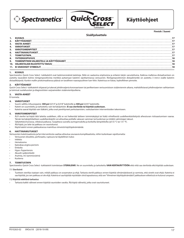



# **Käyttöohjeet**

### **Finnish / Suomi**

# **Sisällysluettelo**

### **1. KUVAUS**

Spectranetics Quick-Cross Select -tukikatetrit ovat laskimonsisäisiä katetreja. Niitä on saatavina eripituisina ja erilaisin kärjin varustettuina. Kaikissa malleissa distaalivarteen on asetettu tasavälein kolme röntgenpositiivista merkkiä auttamaan katetrin sijoittamisessa verisuoniin. Röntgenpositiivinen distaalimerkki on asetettu 3 mm:n sisälle katetrin distaalikärjestä. Kunkin mallin proksimaalisessa päässä on tavallinen naaraspuolinen luer-liitin. Katetrissa on liukas, hydrofiilinen pinnoite.

### **2. KÄYTTÖAIHEET**

Quick-Cross Select -tukikatetrit ohjaavat ja tukevat johdinvaijeria koronaariseen tai perifeeriseen verisuonistoon sisäänviennin aikana, mahdollistavat johdinvaijerien vaihtamisen ja toimivat suolaliuosten ja diagnostisten varjoaineiden sisäänvientiputkena.

## **3. VASTA-AIHEET**

Ei tunneta.

### **4. VAROITUKSET**

- Suurin sallittu infuusiopaine: **300 psi** 0,014" ja 0,018" katetreille ja **500 psi** 0,035" katetreille.
- Katetri on suunniteltu ja tarkoitettu vain kertakäyttöön. **Ei saa steriloida tai käyttää uudestaan.**
- Katetria saavat käyttää vain lääkärit, jotka ovat perehtyneet perkutaanisten, vaskulaaristen interventioiden tekemiseen.

### **5. VAROTOIMENPITEET**

- ÄLÄ steriloi tai käytä tätä laitetta uudelleen, sillä se voi heikentää laitteen toimintakykyä tai lisätä virhellisestä uudelleenkäsittelystä aiheutuvan ristisaastumisen vaaraa. Tämän kertakäyttölaitteen uudelleenkäyttö voi aiheuttaa potilalle vakavan vamman tai kuoleman ja mitätöi valmistajan takuut.
- Säilytettävä kuivassa, viileässä paikassa. Suojattava suoralta auringonvalolta ja korkeilta lämpötiloilta (yli 55 °C tai 131 °F).
- Älä käytä, jos laite tai pakkaus on vaurioitunut.
- Käytä katetri ennen pakkauksessa mainittua viimeistä käyttöpäivämäärää.

### **6. HAITTAVAIKUTUKSET**

Verisuonten katetrisaatiosta ja/tai interventiosta saattaa aiheutua seuraavia komplikaatioita, niihin kuitenkaan rajoittumatta:

• Verisuonen dissektio, perforaatio, ruptuura tai täydellinen tukos

- Infektio
- Hematooma
- Epävakaa angina pectoris
- Embolia
- Hypo-/hypertensio
- Akuutti sydäninfarkti
- Arytmia, ml. kammiovärinä
- Kuolema

### **7. TOIMITUSTAPA**

Spectranetics Quick-Cross Select -tukikatetrit toimitetaan **STERIILEINÄ**. Ne on suunniteltu ja tarkoitettu **VAIN KERTAKÄYTTÖÖN** eikä niitä saa steriloida eikä käyttää uudestaan.

## **7.1 Sterilointi**

• Tuotteen steriiliys taataan vain, mikäli pakkaus on avaamaton ja ehjä. Tarkasta steriili pakkaus ennen käyttöä silmämääräisesti ja varmista, että sinetit ovat ehjiä. Katetria ei saa käyttää, jos sen pakkaus ei ole ehjä. Katetria ei saa käyttää myöskään siinä tapauksessa, että sen "Viimeinen käyttöpäivämäärä" pakkauksen etiketissä on kulunut umpeen.

### **7.2 Käyttöä edeltävä tarkastus**

• Tarkasta kaikki välineet ennen käyttöä vaurioiden varalta. Älä käytä välineitä, jotka ovat vaurioituneet.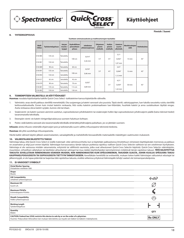



# **Käyttöohjeet**

**Finnish / Suomi**

### **8. YHTEENSOPIVUUS**

## **Tuotteen ominaisuuksien ja mallinumerojen taulukko**

| <b>Malli</b><br>(Viite) | Työskentelypituus | Kärjen<br>muoto /<br>tyyppi | Hydrofiilisen<br>pinnoitteen<br>pituus | <b>Johdinten</b><br>yhteensopivuus | Ohjaimen<br>pienin<br>sisähalk. | <b>Holkin</b><br>pienin<br>sisähalk. | <b>Katetrin</b><br>suurin<br>ulkohalk. | Merkkiraitojen<br>välit | <b>Heittokulma</b> |     |     |         |       |            |
|-------------------------|-------------------|-----------------------------|----------------------------------------|------------------------------------|---------------------------------|--------------------------------------|----------------------------------------|-------------------------|--------------------|-----|-----|---------|-------|------------|
| 518-085                 | 135 cm            | Taivutettu                  | 100 cm                                 | 0,014''                            | 5 F                             | 4F                                   | 3,2F<br>0,042"                         | 15 mm                   | $45^{\circ}$       |     |     |         |       |            |
| 518-087                 | 150 cm            | Taivutettu                  |                                        | 0.36 mm                            |                                 |                                      | 1.07 mm                                |                         |                    |     |     |         |       |            |
| 518-089                 | 90 cm             | Taivutettu                  | 60 cm                                  |                                    |                                 |                                      | 3,4F                                   |                         |                    |     |     |         |       |            |
| 518-091                 | 135 cm            | Taivutettu                  |                                        |                                    |                                 |                                      |                                        | 0,018''                 |                    | 5 F | 4 F | 0,044'' | 15 mm | $45^\circ$ |
| 518-093                 | 150 cm            | Taivutettu                  | 100 cm                                 | 0,46 mm                            |                                 |                                      | 1,12 mm                                |                         |                    |     |     |         |       |            |
| 518-077                 | 65 cm             | Taivutettu                  | 45 cm                                  |                                    |                                 |                                      | 4,5 F                                  |                         |                    |     |     |         |       |            |
| 518-079                 | 90 cm             | Taivutettu                  | 70 cm                                  | 0,035''                            | $\overline{\phantom{a}}$        | 5 F                                  | 0.059''                                | 50 mm                   | $45^{\circ}$       |     |     |         |       |            |
| 518-081                 | 135 cm            | Taivutettu                  | 115 cm                                 | 0,89 mm                            |                                 |                                      |                                        |                         |                    |     |     |         |       |            |
| 518-083                 | 150 cm            | Taivutettu                  | 130 cm                                 |                                    |                                 |                                      | 1,50 mm                                |                         |                    |     |     |         |       |            |

### **9. TOIMENPITEEN VALMISTELU JA KÄYTTÖOHJEET**

**Huomaa:** noudata käyttöohjetta kaikille Quick-Cross Select -tukikatetrien kanssa käytettäville välineille.

- 1. Valmistelu: avaa steriili pakkaus steriilillä menettelyllä. Ota suojarengas ja katetri varovasti ulos pussista. Täytä steriili, vakiotyyppinen, luer-lukolla varustettu ruisku steriilillä keittosuolaliuoksella. Ennen kuin irrotat katetrin renkaasta, liitä ruisku katetrin proksimaaliseen luer-liitäntään, huuhtele katetri ja anna suolaliuoksen täyttää rengas. Aseta renkaassa oleva katetri syrjään, kunnes sitä tarvitaan.
- 2. Sisäänvienti: vie katetri suoneen aiemmin asetetun, sopivankokoisen johdinkatetrin tai sisäänviejän holkin läpi sopivankokoisen johdinvaijerin päällä (katso tekniset tiedot) tavanomaisella tekniikalla.
- 3. Eteenpäin vienti: vie katetri röntgenläpivalaisussa suoneen haluttuun kohtaan.
- 4. Poisto: vedä katetria varovasti ulos tavanomaisella tekniikalla siirtämättä johdinvaijeria paikaltaan, jos se jätetään suoneen.

**Infuusio:** aloita infuusio vetämällä ohjainvaijeri pois ja tarkistamalla suurin sallittu infuusiopaine teknisistä tiedoista.

**Huomaa:** älä ylitä suositeltuja infuusiopaineita.

Hävitä kaikki välineet käytön jälkeen asianmukaisten, sairaalajätteille ja mahdollisille biovaarallisille materiaaleille määrättyjen vaatimusten mukaisesti.

### **10. VALMISTAJAN RAJOITETTU TAKUU**

Valmistaja takaa, että Quick-Cross Select ei sisällä materiaali- eikä valmistusvirheitä, kun se käytetään pakkauksessa ilmoitettuun viimeiseen käyttöpäivään mennessä, ja pakkaus on avaamaton ja ehjä juuri ennen käyttöä. Valmistajan korvausvastuu tämän takuun puitteissa rajoittuu viallisen Quick-Cross Selectin vaihtoon tai sen ostohinnan hyvitykseen. Valmistaja ei ole vastuussa mistään satunnaisista, erityisistä tai välillisistä vaurioista, jotka ovat aiheutuneet Quick-Cross Selectin käytöstä. Quick-Cross Selectin väärinkäytön, muuntelun, virheellisen säilytyksen tai käsittelyn aiheuttamat vahingot tai muu näiden käyttöohjeiden laiminlyöminen mitätöivät tämän rajoitetun takuun. **TÄTÄ RAJOITETTUA TAKUUTA SOVELLETAAN NIMENOMAAN KAIKKIEN MUIDEN, NIIN NIMENOMAISTEN KUIN EPÄSUORIENKIN, TAKUIDEN SIJASTA, JOIHIN KUULUU EPÄSUORA TAKUU**  KAUPPAKELPOISUUDESTA TAI SOPIVUUDESTA TIETTYYN TARKOITUKSEEN. Kenelläkään henkilöllä tai entiteetillä, mukaan lukien kaikki Valmistajan valtuutetut edustajat tai jälleenmyyjät, ei ole lupaa pidentää tai laajentaa tätä rajoitettua takuuta, eivätkä sellaisissa yrityksissä Valmistajalle tehdyt vaateet ole toimeenpanokelpoisia.

### **11. EI-VAKIOISET SYMBOLIT**

| <b>Distal Marker Spacing</b><br>Distaalisten merkkien välit                                                                                                                                                   |                            |
|---------------------------------------------------------------------------------------------------------------------------------------------------------------------------------------------------------------|----------------------------|
| Shape<br>Muoto                                                                                                                                                                                                |                            |
| <b>GW Compatibility</b><br>Johdinten yhteensopivuus                                                                                                                                                           | $\leftarrow$ GW $\bigcirc$ |
| <b>Maximum OD</b><br>Suurin uh.                                                                                                                                                                               |                            |
| <b>Maximum PSI/kPa</b><br>Enimmäispaine PSI/kPa                                                                                                                                                               |                            |
| <b>Sheath Compatibility</b><br>Holkin yhteensopivuus                                                                                                                                                          |                            |
| <b>Working Length</b><br>Työskentelypituus                                                                                                                                                                    |                            |
| Quantity<br>Määrä                                                                                                                                                                                             | QTY                        |
| CAUTION: Federal law (USA) restricts this device to sale by or on the order of a physician.<br>Huomio: Yhdysvaltain liittovaltion lain mukaan tätä laitetta saa myydä vain lääkäri tai lääkärin määräyksestä. | <b>Rx ONLY</b>             |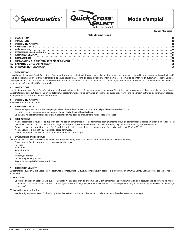



# **Mode d'emploi**

### **French / Français**

## **Table des matières**

### **1. DESCRIPTION**

Les cathéters de support Quick-Cross Select Spectranetics sont des cathéters intravasculaires, disponibles en plusieurs longueurs et en différentes configurations d'extrémité. Tous les modèles comportent trois repères radio-opaques équidistants le long du corps distal permettant d'estimer la géométrie de l'intérieur du système vasculaire. Le repère radio-opaque distal est positionné à 3 mm de l'embout distal du cathéter et un raccord Luer femelle standard figure à l'extrémité proximale de chaque modèle. Le cathéter est enduit d'un revêtement lubrifié et hydrophile.

### **2. INDICATIONS**

Les cathéters de support Quick-Cross Select sont des dispositifs de perfusion et d'échange sur guide conçus pour être utilisés dans le système vasculaire coronaire ou périphérique. Les cathéters ont pour but de soutenir un guide lors d'un accès intravasculaire, de permettre un échange de guide et de fournir une voie d'administration de sérum physiologique ou de produits de contraste à des fins diagnostiques.

**3. CONTRE-INDICATIONS**

Aucune contre-indication connue.

### **4. AVERTISSEMENTS**

- Pression de perfusion maximale : **300 psi.** pour les cathéters de 0,014 et 0,018 po. et **500 psi** pour les cathéters de 0,035 po.
- Le cathéter a été conçu pour un usage unique. **Ne pas le réutiliser ni le restériliser.**
- Le cathéter ne doit être utilisé que par des médecins qualifiés pour les interventions vasculaires percutanées.

### **5. PRÉCAUTIONS**

- NE PAS restériliser et réutiliser ce dispositif pour ne pas en compromettre les performances et augmenter le risque de contamination croisée en raison d'un retraitement inadéquat. La réutilisation de ce dispositif à usage unique peut causer des blessures graves, voire mortelles, au patient, et annuler la garantie du fabricant.
- Conserver dans un endroit frais et sec. Protéger de la lumière directe du soleil et des températures élevées (supérieures à 55 °C ou 131 °F).
- Ne pas utiliser si le dispositif ou l'emballage est endommagé.
- Utiliser le cathéter avant la date d'expiration mentionnée sur l'emballage.

### **6. ÉVÉNEMENTS INDÉSIRABLES**

Le cathétérisme vasculaire et/ou l'intervention vasculaire peuvent engendrer des complications, notamment (liste non exhaustive) :

- Dissection, perforation, rupture ou occlusion vasculaire totale
- **Infection**
- Hématome
- Angor instable
- Embolie
- Hypo/hypertension
- Infarctus aigu du myocarde
- Arythmie, y compris fibrillation ventriculaire
- Décès

### **7. CONDITIONNEMENT**

Les cathéters de support Quick-Cross Select Spectranetics sont fournis **STÉRILES**. Ils sont conçus et destinés exclusivement à un **USAGE UNIQUE** et ne doivent pas être restérilisés ni réutilisés.

### **7.1 Stérilisation**

La stérilité du produit n'est garantie que si l'emballage n'a pas été ouvert ou endommagé. Examiner l'emballage avant l'utilisation pour s'assurer que les témoins de stérilité soient intacts. Ne pas utiliser le cathéter si l'emballage a été endommagé. Ne pas utiliser le cathéter si la date de péremption (Utiliser avant le) indiquée sur son emballage est dépassée.

### **7.2 Inspection avant utilisation**

Vérifier soigneusement avant l'utilisation que tout le matériel à utiliser ne présente aucun défaut. Ne pas utiliser de matériel endommagé.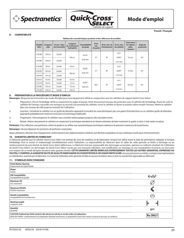



# **Mode d'emploi**

**French / Français**

## **8. COMPATIBILITÉ**

### **Tableau des caractéristiques produits et des références de modèles**

| Modèle<br>(Ref.) | Longueur<br>utile | Forme / Type<br>de l'extrémité | Longueur<br>du revêtement<br>hydrophile | Compatibilité<br>du quide | Ø int.<br>min.<br>du quide | Ø int. min. de<br>l'introducteur | Ø ext. max.<br>du cathéter | Écart entre<br>les repères<br>radio-<br>opaques | Angle de<br>projection |  |  |
|------------------|-------------------|--------------------------------|-----------------------------------------|---------------------------|----------------------------|----------------------------------|----------------------------|-------------------------------------------------|------------------------|--|--|
| 518-085          | 135 cm            | Coudé                          |                                         | 0.014''                   |                            |                                  | 3,2F                       |                                                 |                        |  |  |
|                  |                   |                                | $100 \text{ cm}$                        | 0.36 mm                   | 5F                         | 4F                               | 0.042''                    | $15 \text{ mm}$                                 | 45 $^{\circ}$          |  |  |
| 518-087          | 150 cm            | Coudé                          |                                         |                           |                            |                                  |                            |                                                 | 1,07 mm                |  |  |
| 518-089          | 90 cm             | Coudé                          | 60 cm                                   | 0.018''                   |                            |                                  | 3,4 F                      |                                                 |                        |  |  |
| 518-091          | 135 cm            | Coudé                          |                                         | 0.46 mm                   | 5F                         | 4F                               | 0.044''                    | $15 \text{ mm}$                                 | 45°                    |  |  |
| 518-093          | 150 cm            | Coudé                          | $100 \text{ cm}$                        |                           |                            |                                  | 1,12 mm                    |                                                 |                        |  |  |
| 518-077          | 65 cm             | Coudé                          | 45 cm                                   |                           |                            |                                  | 4,5 F                      |                                                 |                        |  |  |
| 518-079          | 90 cm             | Coudé                          | 70 cm                                   | 0.035''                   |                            |                                  |                            |                                                 |                        |  |  |
| 518-081          | 135 cm            | Coudé                          | 115 cm                                  | $0.89$ mm                 | N/A                        | 5F                               | 0,059''                    | 50 mm                                           | 45 $^{\circ}$          |  |  |
| 518-083          | 150 cm            | Coudé                          | 130 cm                                  |                           |                            |                                  | 1,50 mm                    |                                                 |                        |  |  |

## **9. PRÉPARATION À LA PROCÉDURE ET MODE D'EMPLOI**

**Remarque :** Respecter les instructions du mode d'emploi pour tout équipement utilisé en conjonction avec les cathéters de support Quick-Cross Select.

- 1. Préparation : Ouvrir l'emballage stérile en respectant les règles d'asepsie. Sortir doucement l'anneau de protection avec le cathéter de l'emballage. Avant de sortir le cathéter de l'anneau, raccorder une seringue au raccord Luer proximal du cathéter, rincer le cathéter et laisser la solution saline remplir l'anneau. Mettre le cathéter dans son anneau de côté jusqu'au moment de l'utilisation.
- 2. Insertion : Introduire le cathéter sur un guide de diamètre approprié (consulter les caractéristiques) par une gaine d'introduction ou un cathéter guide de diamètre approprié préalablement inséré en recourant à la technique habituelle.
- 3. Progression : Faire progresser le cathéter sous contrôle radioscopique jusqu'au site vasculaire voulu.
- 4. Retrait : Retirer doucement le cathéter en respectant la technique standard et en faisant attention de bien maintenir le guide si celui-ci doit rester en place.

Perfusion : Pour effectuer une perfusion, retirer le guide et se référer aux caractéristiques techniques relatives à la pression maximum de la perfusion.

**Remarque :** Ne pas dépasser les pressions de perfusion maximales.

Après utilisation, éliminer tout l'équipement conformément aux réglementations relatives aux déchets hospitaliers et aux matériaux nocifs pour l'environnement.

### **10. GARANTIE LIMITÉE DU FABRICANT**

Le fabricant garantit que le cathéter Quick-Cross Select est exempt de vices de matériau et de fabrication lorsqu'il est utilisé avant la date de péremption indiquée et lorsque l'emballage n'est ni ouvert ni endommagé immédiatement avant l'utilisation. La responsabilité du fabricant dans le cadre de cette garantie se limite à l'échange ou au remboursement du prix d'achat du Quick-Cross Select défectueux. Le fabricant n'est pas responsable des dommages accessoires, spéciaux ou indirects résultant de l'utilisation du Quick-Cross Select. Les dommages du Quick-Cross Select causés par une mauvaise utilisation, une modification, un stockage ou une manipulation incorrects, ou tout autre non-respect de ce mode d'emploi annulent cette garantie limitée. **CETTE GARANTIE LIMITÉE REMPLACE EXPRESSÉMENT TOUTES LES AUTRES GARANTIES, EXPRESSES OU TACITES, Y COMPRIS LA GARANTIE TACITE DE QUALITÉ MARCHANDE OU D'ADAPTATION À UN USAGE PARTICULIER.** Aucune personne ou entité, y compris tout représentant ou distributeur autorisé par le fabricant, n'a l'autorité d'étendre cette garantie limitée et aucune tentative dans ce but ne saurait être opposable au fabricant.

### **11. SYMBOLES NON STANDARD**

| <b>Distal Marker Spacing</b><br>Espacement du repère distal                                                                                                                                                                        |                      |
|------------------------------------------------------------------------------------------------------------------------------------------------------------------------------------------------------------------------------------|----------------------|
| Shape<br>Forme                                                                                                                                                                                                                     |                      |
| <b>GW Compatibility</b><br>Compatibilité du guide                                                                                                                                                                                  | P↓ GW T<br>N^ Max OD |
| <b>Maximum OD</b><br>D.E. maximum                                                                                                                                                                                                  |                      |
| Maximum PSI/kPa<br>PSI/kPa maximum                                                                                                                                                                                                 |                      |
| <b>Sheath Compatibility</b><br>Compatibilité de l'introducteur                                                                                                                                                                     |                      |
| <b>Working Length</b><br>Longueur utile                                                                                                                                                                                            |                      |
| Quantity<br>Quantité                                                                                                                                                                                                               | QTY                  |
| CAUTION: Federal law (USA) restricts this device to sale by or on the order of a physician.<br>MISE EN GARDE : conformément à la législation fédérale américaine, ce dispositif ne peut être vendu ou prescrit que par un médecin. | <b>Rx ONLY</b>       |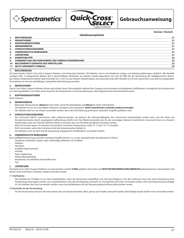



# **Gebrauchsanweisung**

### **German / Deutsch**

### **Inhaltsverzeichnis**

### **1. BESCHREIBUNG**

Die Spectranetics Quick-Cross Select Support Katheter sind intravasale Katheter. Die Katheter sind in verschiedenen Längen und Spitzenausführungen erhältlich. Alle Modelle verfügen über 3 röntgendichte Marker, die in gleichmäßigen Abständen am distalen Schaft angeordnet sind und als Hilfe bei der Beurteilung der Gefäßgeometrie dienen. Der distale röntgendichte Marker liegt innerhalb von 3 mm von der distalen Katheterspitze. Das proximale Ende aller Modelle ist mit einer genormten Luer-Buchse ausgestattet. Der Katheter ist mit einer gleitfähigen, hydrophilen Beschichtung versehen.

## **2. INDIKATIONEN**

Quick-Cross Select Support Katheter führen und stützen einen Führungsdraht während des Zugangs zum koronaren und peripheren Gefäßsystem, ermöglichen das Austauschen von Führungsdrähten und stellen einen Kanal für das Verabreichen von Kochsalzlösungen oder diagnostischen Kontrastmitteln bereit.

### **3. KONTRAINDIKATIONEN**

Keine bekannt.

# **4. WARNHINWEISE**

- Maximaler Infusionsdruck: **300 psi** für 0,014-Zoll- und 0,018-Zoll-Katheter und **500 psi** für 0,035-Zoll-Katheter.
- Der Katheter ist nur zum einmaligen Gebrauch konzipiert und vorgesehen. **Nicht resterilisieren und/oder wiederverwenden.**
- Der Katheter darf nur von Ärzten verwendet werden, die in der Durchführung perkutaner vaskulärer Eingriffe qualifiziert sind.

### **5. VORSICHTSMASSNAHMEN**

- Das Instrument NICHT resterilisieren oder wiederverwenden, da dadurch die Gebrauchsfähigkeit des Instruments beeinträchtigt werden kann und das Risiko der Kreuzkontamination durch ungeeignete Aufbereitung erhöht wird. Das Wiederverwenden des für den einmaligen Gebrauch bestimmten Instruments kann zu schweren Verletzungen oder zum Tod des Patienten führen und macht die vom Hersteller gewährten Garantien nichtig.
- Kühl und trocken lagern. Vor direktem Sonnenlicht und hohen Temperaturen (über 55 °C oder 131 °F) schützen.
- Nicht verwenden, wenn das Instrument oder die Verpackung beschädigt ist.
- Der Katheter muss vor dem auf der Verpackung angegebenen Verfallsdatum verwendet werden.

### **6. UNERWÜNSCHTE WIRKUNGEN**

- Eine Gefäßkatheterisierung und/oder vaskuläre Eingriffe können u.a. zu den nachstehenden Komplikationen führen:
- Dissektion, Perforation, Ruptur oder vollständige Okklusion von Gefäßen
- Infektion
- Hämatom
- Instabile Angina pectoris
- **Embolie**
- Hypo-/Hypertonie
- Akuter Myokardinfarkt
- Arrhythmie, einschließlich Kammerflimmern
- Tod

### **7. LIEFERFORM**

Die Quick-Cross Select Support Katheter von Spectranetics werden **STERIL** geliefert. Die Geräte sind **NUR FÜR DEN EINMALIGEN GEBRAUCH** gekennzeichnet und konzipiert und dürfen nicht resterilisiert und/oder wiederverwendet werden.

### **7.1 Sterilisation**

Die Sterilität des Produkts ist nur dann gewährleistet, wenn die Verpackung ungeöffnet und nicht beschädigt ist. Vor dem Gebrauch muss die sterile Verpackung einer Sichtprüfung unterzogen werden, um zu gewährleisten, dass die Versiegelung unversehrt ist. Der Katheter darf nicht verwendet werden, wenn die Verpackung beschädigt ist. Der Katheter darf nicht verwendet werden, wenn das Verfallsdatum auf der Verpackungsbeschriftung überschritten wurde.

### **7.2 Kontrolle vor der Verwendung**

• Vor der Verwendung müssen alle Instrumente, die zum Einsatz kommen sollen, genau auf Schäden überprüft werden. Beschädigte Geräte dürfen nicht verwendet werden.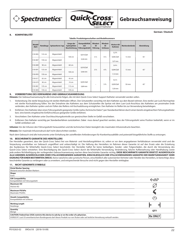



# **Gebrauchsanweisung**

**German / Deutsch**

### **8. KOMPATIBILITÄT**

**Tabelle: Produkteigenschaften und Modellnummern**

| <b>Modell</b><br>(Ref) | <b>Nutzlänge</b> | Spitzenform/-typ | Länge der<br>hydrophilen<br><b>Beschichtung</b> | Kompatibilität<br>mit<br>Führungsdraht | Mindest-<br>ID<br>Führung | Mindest-<br>ID<br><b>Schleuse</b> | Höchst-AD<br><b>Katheter</b> | Markerabstände  | <b>Abwinklung</b> |                   |            |
|------------------------|------------------|------------------|-------------------------------------------------|----------------------------------------|---------------------------|-----------------------------------|------------------------------|-----------------|-------------------|-------------------|------------|
| 518-085                | 135 cm           | Abgewinkelt      | 100 cm                                          | $0,014$ Zoll                           | 5 Fr.                     | 4 Fr.                             | 3,2 Fr.<br>0,042 Zoll        | $15 \text{ mm}$ | $45^\circ$        |                   |            |
| 518-087                | 150 cm           | Abgewinkelt      |                                                 | 0,36 mm                                |                           |                                   | 1,07 mm                      |                 |                   |                   |            |
| 518-089                | 90 cm            | Abgewinkelt      | 60 cm                                           | 0,018 Zoll<br>0.46 mm                  |                           |                                   | 3,4 Fr.                      |                 |                   |                   |            |
| 518-091                | 135 cm           | Abgewinkelt      | 100 cm                                          |                                        |                           |                                   | 5 Fr.                        | 4 Fr.           | 0,044 Zoll        | $15 \, \text{mm}$ | $45^\circ$ |
| 518-093                | 150 cm           | Abgewinkelt      |                                                 |                                        |                           |                                   | $1,12 \text{ mm}$            |                 |                   |                   |            |
| 518-077                | 65 cm            | Abgewinkelt      | 45 cm                                           |                                        |                           |                                   | 4,5 Fr.                      |                 |                   |                   |            |
| 518-079                | 90 cm            | Abgewinkelt      | 70 cm                                           | 0,035 Zoll<br>0,89 mm                  |                           | 5 Fr.                             | 0,059 Zoll                   | 50 mm           | $45^\circ$        |                   |            |
| 518-081                | 135 cm           | Abgewinkelt      | 115 cm                                          |                                        |                           |                                   |                              |                 |                   |                   |            |
| 518-083                | 150 cm           | Abgewinkelt      | 130 cm                                          |                                        |                           |                                   | 1,50 mm                      |                 |                   |                   |            |

### **9. VORBEREITUNG DES VERFAHRENS UND GEBRAUCHSANWEISUNG**

**Hinweis:** Der Gebrauchsanweisung für alle Instrumente folgen, die mit dem Quick-Cross Select Support Katheter verwendet werden sollen.

- 1. Vorbereitung: Die sterile Verpackung mit sterilen Methoden öffnen. Den Schutzreifen vorsichtig mit dem Katheter aus dem Beutel nehmen. Eine sterile Luer-Lock-Normspritze mit steriler Kochsalzlösung füllen. Vor der Entnahme des Katheters aus dem Schutzreifen die Spritze mit dem Luer-Lock-Anschluss des Katheters am proximalen Ende verbinden, den Katheter spülen und ein Füllen des Reifens mit Kochsalzlösung ermöglichen. Den Katheter im Reifen bis zur Verwendung beiseitelegen.
- 2. Einführen: Den Katheter über einen Führungsdraht geeigneter Größe (siehe"Technische Daten") per Standardverfahren durch einen bereits eingebrachten Führungskatheter bzw. eine bereits eingebrachte Einführschleuse geeigneter Größe einführen.
- 3. Vorschieben: Den Katheter unter Durchleuchtungskontrolle zur gewünschten Stelle im Gefäß vorschieben.
- 4. Entfernen: Den Katheter vorsichtig per Standardverfahren zurückziehen. Dabei muss darauf geachtet werden, dass der Führungsdraht seine Position beibehält, wenn er im Gefäß verbleiben soll.

**Infusion:** Vor der Infusion den Führungsdraht herausziehen und die technischen Daten bezüglich des maximalen Infusionsdrucks beachten.

**Hinweis:** Der maximale Infusionsdruck darf nicht überschritten werden.

Nach dem Gebrauch sind alle Instrumente unter Einhaltung der zutreffenden Anforderungen für Krankenhausabfälle und potenziell biogefährliche Stoffe zu entsorgen.

### **10. BESCHRÄNKTE GARANTIE DES HERSTELLERS**

Der Hersteller garantiert, dass der Quick-Cross Select frei von Material- und Herstellungsfehlern ist, sofern er vor dem angegebenen Verfallsdatum verwendet wird und die Verpackung unmittelbar vor Gebrauch ungeöffnet und unbeschädigt ist. Die Haftung des Herstellers im Rahmen dieser Garantie ist auf den Ersatz oder die Erstattung des Kaufpreises für fehlerhafte Quick-Cross Select beschränkt. Der Hersteller haftet für keine beiläufigen, Sonder- oder Folgeschäden, die durch die Verwendung des Quick-Cross Select entstehen. Eine Beschädigung des Quick-Cross Select durch die fehlerhafte Verwendung, Veränderung, falsche Aufbewahrung oder Handhabung sowie jede andere Nichtbefolgung der vorliegenden Gebrauchsanweisung machen diese beschränkte Garantie nichtig. **DIESE BESCHRÄNKTE GARANTIE ERSETZT AUSDRÜCKLICH ALLE ANDEREN AUSDRÜCKLICHEN ODER STILLSCHWEIGENDEN GARANTIEN, EINSCHLIESSLICH DER STILLSCHWEIGENDEN GARANTIE DER MARKTGÄNGIGKEIT ODER EIGNUNG FÜR EINEN BESTIMMTEN ZWECK.** Keine natürliche oder juristische Person, einschließlich aller autorisierten Vertreter oder Händler des Herstellers, ist berechtigt, diese beschränkte Garantie zu verlängern oder zu erweitern, und entsprechende Versuche sind nicht gegen den Hersteller einklagbar.

### **11. NICHT GENORMTE SYMBOLE**

| <b>Distal Marker Spacing</b><br>Abstand zwischen distalen Markern                                                                                                                                                              |                 |
|--------------------------------------------------------------------------------------------------------------------------------------------------------------------------------------------------------------------------------|-----------------|
| Shape<br>Form                                                                                                                                                                                                                  |                 |
| <b>GW Compatibility</b><br>Kompatibilität mit Führungsdraht                                                                                                                                                                    | $\leftarrow$ GW |
| <b>Maximum OD</b><br>Höchst-AD                                                                                                                                                                                                 |                 |
| <b>Maximum PSI/kPa</b><br>Maximaler PSI/kPa                                                                                                                                                                                    |                 |
| <b>Sheath Compatibility</b><br>Kompatibilität mit Schleuse                                                                                                                                                                     |                 |
| <b>Working Length</b><br>Nutzlänge                                                                                                                                                                                             |                 |
| Quantity<br>Menge                                                                                                                                                                                                              | QTY             |
| CAUTION: Federal law (USA) restricts this device to sale by or on the order of a physician.<br>VORSICHT: Laut US-amerikanischem Bundesgesetz darf dieses Produkt nur von Ärzten oder auf ärztliche Verordnung verkauft werden. | <b>Rx ONLY</b>  |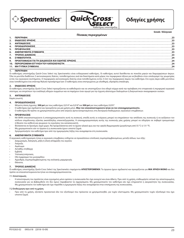



# **Οδηγίες χρήσης**

**Greek / Ελληνικά**

## **Πίνακας περιεχοµένων**

|  | THYUKUL MEDIEXUUEVWY |  |
|--|----------------------|--|
|  |                      |  |
|  |                      |  |
|  |                      |  |
|  |                      |  |
|  |                      |  |
|  |                      |  |
|  |                      |  |
|  |                      |  |
|  |                      |  |
|  |                      |  |
|  |                      |  |

### **1. ΠΕΡΙΓΡΑΦΗ**

Οι καθετήρες υποστήριξης Quick-Cross Select της Spectranetics είναι ενδαγγειακοί καθετήρες. Οι καθετήρες αυτοί διατίθενται σε ποικιλία μηκών και διαμορφώσεων άκρων. Όλα τα μοντέλα διαθέτουν 3 ακτινοσκιερούς δείκτες, τοποθετημένους ανά ίσα διαστήματα κατά μήκος του περιφερικού άξονα για να βοηθούν στον υπολογισμό της γεωμετρίας εντός του αγγειακού συστήματος. Ο περιφερικός ακτινοσκιερός δείκτης είναι τοποθετημένος εντός 3 mm του περιφερικού άκρου του καθετήρα. Στο εγγύς άκρο κάθε μοντέλου είναι τοποθετημένο ένα στάνταρ θηλυκό προσάρτημα luer. Ο καθετήρας είναι επιστρωμένος με ολισθηρή, υδρόφιλη επικάλυψη.

### **2. ΕΝΔΕΙΞΕΙΣ ΧΡΗΣΗΣ**

Οι καθετήρες υποστήριξης Quick-Cross Select προορίζονται να καθοδηγούν και να υποστηρίζουν ένα οδηγό σύρμα κατά την πρόσβαση στο στεφανιαίο ή περιφερικό αγγειακό σύστημα, να επιτρέπουν την εναλλαγή οδηγών συρμάτων και να παρέχουν έναν αγωγό για την έγχυση αλατούχων διαλυμάτων ή διαγνωστικών σκιαγραφικών ουσιών.

### **3. ΑΝΤΕΝΔΕΙΞΕΙΣ**

### Καμία γνωστή.

## **4. ΠΡΟΕΙΔΟΠΟΙΗΣΕΙΣ**

- Μέγιστη πίεση έγχυσης: **300 psi** για τους καθετήρες 0,014" και 0,018" και **500 psi** για τους καθετήρες 0,035".
- Ο καθετήρας έχει σχεδιαστεί και προορίζεται για μία χρήση μόνο. **Μην τον επαναποστειρώνετε ή/και να τον επαναχρησιµοποιείτε.**
- Ο καθετήρας θα πρέπει να χρησιμοποιείται μόνο από ιατρούς άρτια καταρτισμένους στη διενέργεια διαδερμικών, αγγειακών επεμβάσεων.

### **5. ΠΡΟΦΥΛAΞΕΙΣ**

- ΝΑ ΜΗΝ επαναποστειρώνετε ή επαναχρησιμοποιείτε αυτή τη συσκευή, επειδή αυτές οι ενέργειες μπορεί να επηρεάσουν την απόδοση της συσκευής ή να αυξήσουν τον κίνδυνο επιμόλυνσης εξαιτίας ακατάλληλης επανεπεξεργασίας. Η επαναχρησιμοποίηση αυτής της συσκευής μίας χρήσης μπορεί να οδηγήσει σε σοβαρό τραυματισμό ή θάνατο του ασθενή και ακυρώνει τις εγγυήσεις του κατασκευαστή.
- Φυλάσσεται σε δροσερό, ξηρό χώρο. Να προφυλάσσεται από το άμεσο ηλιακό φως και την υψηλή θερμοκρασία (μεγαλύτερη από 55 °C ή 131 °F).
- Μη χρησιμοποιείτε εάν το όργανο ή η συσκευασία έχουν υποστεί ζημιά.
- Χρησιμοποιήστε τον καθετήρα πριν από την ημερομηνίας λήξης που αναγράφεται στη συσκευασία.

### **6. ΑΝΕΠΙΘΥΜΗΤΑ ΣΥΜΒΑΝΤΑ**

Ο αγγειακός καθετηριασμός ή/και οι αγγειακές επεμβάσεις ενδέχεται να προκαλέσουν επιπλοκές συμπεριλαμβανομένων, μεταξύ άλλων, των εξής:

• Διαχωρισμός, διάτρηση, ρήξη ή ολική απόφραξη του αγγείου

- Λοίμωξη
- Αιμάτωμα
- Ασταθής στηθάγχη
- Εμβολή
- Υπόταση/υπέρταση
- Οξύ έμφραγμα του μυοκαρδίου
- Αρρυθμία, συμπεριλαμβανομένης της κοιλιακής μαρμαρυγής
- Θάνατος

### **7. ΤΡΟΠΟΣ ΔΙΑΘΕΣΗΣ**

Οι καθετήρες υποστήριξης Quick-Cross Select της Spectranetics παρέχονται **ΑΠΟΣΤΕΙΡΩΜΕΝΟΙ**. Τα όργανα έχουν σχεδιαστεί και προορίζονται για **ΜΙΑ ΧΡΗΣΗ ΜΟΝΟ** και δεν πρέπει να επαναποστειρώνονται ή/και να επαναχρησιμοποιούνται.

### **7.1 Αποστείρωση**

• Η αποστείρωση του προϊόντος είναι εγγυημένη μόνο εφόσον η συσκευασία δεν έχει ανοιχτεί και είναι άθικτη. Πριν από τη χρήση, επιθεωρήστε οπτικά την αποστειρωμένη συσκευασία για να βεβαιωθείτε ότι δεν έχουν παραβιαστεί τα σφραγίσματα. Μη χρησιμοποιείτε τον καθετήρα εάν έχει επηρεαστεί η ακεραιότητα της συσκευασίας. Μη χρησιμοποιείτε τον καθετήρα εάν έχει παρέλθει η ημερομηνία λήξης που αναγράφεται στην επισήμανση της συσκευασίας.

### **7.2 Επιθεώρηση πριν από τη χρήση**

• Πριν από τη χρήση, εξετάστε προσεκτικά όλο τον εξοπλισμό που πρόκειται να χρησιμοποιηθεί, για τυχόν ελαττώματα. Μη χρησιμοποιείτε τυχόν εξοπλισμό που έχει υποστεί ζημιά.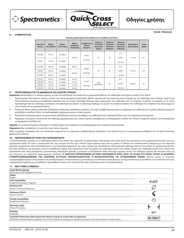



# **Οδηγίες χρήσης**

**Greek / Ελληνικά**

### **8. ΣΥΜΒΑΤΟΤΗΤΑ**

**Πίνακας χαρακτηριστικών προϊόντος και αριθµών μοντέλων**

| Μοντέλο<br>$(Av\alpha\varphi.)$ | Μήκος<br>λειτουργίας | Σχήμα/<br>τύπος άκρου | Μήκος<br>υδρόφιλης<br>επικάλυψης | Συμβατότητα<br>οδηγού<br>σύρματος | Ελάχιστη<br>εσωτερική<br>διάμετρος<br>οδηγού | Ελάχιστη<br>εσωτερική<br>διάμετρος<br>θηκαριού | Μέγιστη<br>εξωτερική<br>διάμετρος<br>καθετήρα | Διαστήματα<br>ζώνης δείκτη | Γωνία<br>ρίψης |
|---------------------------------|----------------------|-----------------------|----------------------------------|-----------------------------------|----------------------------------------------|------------------------------------------------|-----------------------------------------------|----------------------------|----------------|
| 518-085                         | 135 cm               | Γωνιώδες              | 100 cm                           | 0.014''                           | 5F                                           | 4F                                             | 3,2F<br>0.042''                               | $15 \text{ mm}$            | $45^\circ$     |
| 518-087                         | 150 cm               | Γωνιώδες              |                                  | 0,36 mm                           |                                              |                                                | 1.07 mm                                       |                            |                |
| 518-089                         | 90 cm                | Γωνιώδες              | 60 cm                            |                                   |                                              |                                                | 3,4F                                          |                            |                |
| 518-091                         | 135 cm               | Γωνιώδες              |                                  | 0,018''                           | 5F                                           | 4F                                             | 0.044''                                       | $15 \text{ mm}$            | $45^\circ$     |
| 518-093                         | 150 cm               | Γωνιώδες              | 100 cm                           | 0.46 mm                           |                                              |                                                | $1.12 \text{ mm}$                             |                            |                |
| 518-077                         | 65 cm                | Γωνιώδες              | 45 cm                            |                                   |                                              |                                                | 4,5 F                                         |                            |                |
| 518-079                         | 90 cm                | Γωνιώδες              | 70 cm                            | 0,035''                           | <b>AEN</b>                                   | 5F                                             |                                               | 50 mm                      | $45^\circ$     |
| 518-081                         | 135 cm               | Γωνιώδες              | 115 cm                           | $0.89$ mm                         | ΔΙΑΤΙΘΕΤΑΙ                                   |                                                | 0.059''                                       |                            |                |
| 518-083                         | 150 cm               | Γωνιώδες              | 130 cm                           |                                   |                                              |                                                | 1,50 mm                                       |                            |                |

## **9. ΠΡΟΕΤΟΙΜΑΣΙΑ ΓΙΑ ΤΗ ΔΙΑΔΙΚΑΣΙΑ ΚΑΙ ΟΔΗΓΙΕΣ ΧΡΗΣΗΣ**

**Σηµείωση:** Ακολουθήστε τις οδηγίες χρήσης για όλο τον εξοπλισμό που πρόκειται να χρησιμοποιηθεί με τον καθετήρα υποστήριξης Quick-Cross Select.

- 1. Προετοιμασία: Με άσηπτη τεχνική, ανοίξτε την αποστειρωμένη συσκευασία. Βγάλτε προσεκτικά την προστατευτική στεφάνη με τον καθετήρα από τη θήκη. Γεμίστε μια αποστειρωμένη σύριγγα με συμβατική ασφάλεια luer με στείρο αλατούχο διάλυμα. Πριν αφαιρέσετε τον καθετήρα από τη στεφάνη, συνδέστε τη σύριγγα με το εγγύς προσάρτημα luer του καθετήρα, ξεπλύνετε τον καθετήρα και αφήστε το αλατούχο διάλυμα να γεμίσει τη στεφάνη. Αφήστε τον καθετήρα στη στεφάνη στην άκρη μέχρι να είστε έτοιμοι να τον χρησιμοποιήσετε.
- 2. Εισαγωγή: Μέσω οδηγού καθετήρα ή θηκαριού εισαγωγής κατάλληλου μεγέθους, που έχει εισαχθεί προηγουμένως, εισαγάγετε τον καθετήρα με τη χρήση οδηγού σύρματος κατάλληλου μεγέθους (δείτε τις προδιαγραφές), χρησιμοποιώντας τυπική τεχνική.
- 3. Προώθηση: Χρησιμοποιήστε ακτινοσκοπική καθοδήγηση κατά την προώθηση του καθετήρα στην επιθυμητή θέση εντός του αγγειακού συστήματος.
- 4. Αφαίρεση: Αποσύρετε προσεκτικά τον καθετήρα χρησιμοποιώντας τυπική τεχνική, προσέχοντας να διατηρήσετε τη θέση του οδηγού σύρματος εφόσον αυτό προορίζεται να παραμείνει στη θέση του.

**Έγχυση:** Για να κάνετε έγχυση, αποσύρετε το οδηγό σύρμα και ανατρέξτε στις προδιαγραφές για τη μέγιστη πίεση έγχυσης.

**Σηµείωση:** Μην υπερβαίνετε τις μέγιστες τιμές πίεσης έγχυσης.

Μετά τη χρήση, απορρίψτε όλο τον εξοπλισμό σύμφωνα με τις ισχύουσες προβλεπόμενες απαιτήσεις που σχετίζονται με τα νοσοκομειακά απόβλητα και τα υλικά δυνητικού βιολογικού κινδύνου.

### **10. ΠΕΡΙΟΡΙΣΜΕΝΗ ΕΓΓΥΗΣΗ ΤΟΥ ΚΑΤΑΣΚΕΥΑΣΤΗ**

Ο κατασκευαστής εγγυάται ότι ο καθετήρας Quick-Cross Select δεν πρόκειται να παρουσιάσει ελαττώματα στο υλικό ή/και την κατασκευή, όταν χρησιμοποιείται πριν από την ημερομηνία λήξης και όταν η συσκευασία δεν έχει ανοιχτεί και δεν έχει υποστεί ζημιά αμέσως πριν από τη χρήση. Η ευθύνη του κατασκευαστή σύμφωνα με την παρούσα εγγύηση περιορίζεται στην αντικατάσταση ή την επιστροφή χρημάτων της τιμής αγοράς για οποιοδήποτε ελαττωματικό καθετήρα Quick-Cross Select. Ο κατασκευαστής δεν θα είναι υπεύθυνος για ακούσιες, ειδικές ή αποθετικές ζημίες που προκύπτουν από τη χρήση του καθετήρα Quick-Cross Select. Ζημιά στον καθετήρα Quick-Cross Select που προκαλείται από κακή μεταχείριση, τροποποίηση, εσφαλμένη φύλαξη ή χειρισμό ή οποιαδήποτε άλλη αποτυχία τήρησης αυτών των Οδηγιών Χρήσης θα αποτελεί αιτία για την ακύρωση της παρούσας περιορισμένης εγγύησης. **Η ΠΑΡΟΥΣΑ ΠΕΡΙΟΡΙΣΜΕΝΗ ΕΓΓΥΗΣΗ ΑΝΤΙΚΑΘΙΣΤΑ ΡΗΤΑ ΟΛΕΣ ΤΙΣ ΑΛΛΕΣ ΕΓΓΥΗΣΕΙΣ, ΡΗΤΕΣ Ή ΣΙΩΠΗΡΕΣ, ΣΥΜΠΕΡΙΛΑΜΒΑΝΟΜΕΝΗΣ ΤΗΣ ΣΙΩΠΗΡΗΣ ΕΓΓΥΗΣΗΣ ΕΜΠΟΡΕΥΣΙΜΟΤΗΤΑΣ Ή ΚΑΤΑΛΛΗΛΟΤΗΤΑΣ ΓΙΑ ΣΥΓΚΕΚΡΙΜΕΝΟ ΣΚΟΠΟ.** Κανένα άτομο ή οντότητα, συμπεριλαμβανομένων οποιωνδήποτε εξουσιοδοτημένων αντιπροσώπων ή μεταπωλητών του Κατασκευαστή δεν έχει την εξουσιοδότηση να μεταθέσει ή να επεκτείνει αυτή την περιορισμένη εγγύηση και οποιαδήποτε προσπάθεια να γίνει κάτι τέτοιο δεν θα είναι εκτελέσιμη κατά του Κατασκευαστή.

### **11. ΜΗ ΤΥΠΙΚΑ ΣΥΜΒΟΛΑ**

| <b>Distal Marker Spacing</b>                                                                                                   |                            |
|--------------------------------------------------------------------------------------------------------------------------------|----------------------------|
| Διάστημα μεταξύ περιφερικών δεικτών                                                                                            |                            |
| <b>Shape</b>                                                                                                                   |                            |
| Σχήμα                                                                                                                          |                            |
| <b>GW Compatibility</b>                                                                                                        | $2 \downarrow$ GW $\equiv$ |
| Συμβατότητα οδηγού σύρματος                                                                                                    |                            |
| <b>Maximum OD</b>                                                                                                              |                            |
| Μέγιστη εξωτερική διάμετρος                                                                                                    |                            |
| Maximum PSI/kPa                                                                                                                |                            |
| Μέγιστο PSI/kPa                                                                                                                |                            |
| <b>Sheath Compatibility</b>                                                                                                    |                            |
| Συμβατότητα θηκαριού                                                                                                           |                            |
| <b>Working Length</b>                                                                                                          |                            |
| Μήκος λειτουργίας                                                                                                              |                            |
| Quantity                                                                                                                       | QTY                        |
| Ποσότητα                                                                                                                       |                            |
| CAUTION: Federal law (USA) restricts this device to sale by or on the order of a physician.                                    | <b>Rx ONL</b>              |
| ΠΡΟΣΟΧΗ: Η ομοσπονδιακή νομοθεσία (των Η.Π.Α.) επιτρέπει την πώληση του οργάνου αυτού μόνο από ιατρό ή κατόπιν εντολής ιατρού. |                            |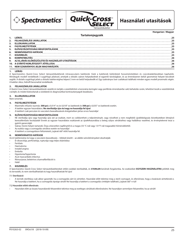



# **Használati utasítások**

### **Hungarian / Magyar**

## **Tartalomjegyzék**

## **1. LEÍRÁS**

A Spectranetics Quick-Cross Select támasztókatéterek intravascularis katéterek. Ezek a katéterek különböző hosszméretekben és csúcskialakításokban kaphatók. Mindegyik modell rendelkezik 3 sugárfogó jelzéssel, amelyek a distalis száron helyezkednek el egyenlő távolságban, és az érrendszeren belüli geometriai helyzet becslését segítik. A distalis sugárfogó jelzés a distalis katétervéghez képest 3 mm-en belül helyezkedik el. Egy szabványos luer csatlakozó található minden egyes modell proximalis végén. A katéter síkos, hidrofil bevonattal rendelkezik.

## **2. FELHASZNÁLÁSI JAVALLATOK**

A Quick-Cross Select támasztókatéterek vezetik és tartják a vezetődrótot a koronária-keringési vagy perifériás érrendszerbe való behatolás során, lehetővé teszik a vezetődrótok cseréjét, és módot biztosítanak a sóoldatok és diagnosztikai kontrasztanyagok beadására.

## **3. ELLENJAVALLATOK**

Nem ismertek.

## **4. FIGYELMEZTETÉSEK**

- Maximális infúziós nyomás: **300 psi** a 0,014"-es és 0,018"-es katéterek és **500 psi** a 0,035"-es katéterek esetén.
- A katéter egyszer használatos. **Ne sterilizálja újra és/vagy ne használja fel újra!**
- A katétert csak percutan és vascularis beavatkozások elvégzésében jártas orvos használja!

### **5. ELŐVIGYÁZATOSSÁGI MEGFONTOLÁSOK**

- NE sterilizálja újra vagy használja újra ezt az eszközt, mert ez csökkentheti a teljesítményét, vagy növelheti a nem megfelelő újrafeldolgozás következtében létrejövő keresztfertőzés kockázatát! Ennek az egyszer használatos eszköznek az újrafelhasználása a beteg súlyos sérüléséhez vagy halálához vezethet, és érvénytelenné teszi a gyártó garanciáját.
- Száraz, hűvös helyen tartandó. Óvja a közvetlen napfénytől és a magas (55 °C-nál vagy 131°F-nál magasabb) hőmérséklettől.
- Az eszköz vagy a csomagolás sérülése esetén ne használja!
- A katétert a csomagoláson feltüntetett "Lejárati idő" előtt használja fel.

### **6. NEMKÍVÁNATOS HATÁSOK**

- Az ér katéterezése és/vagy a vascularis beavatkozás többek között az alábbi szövődményeket okozhatják:
- Ér dissectiója, perforatiója, rupturája vagy teljes elzáródása
- Fertőzés
- Haematoma
- Instabil angina
- Embolia
- Hypotonia/hypertonia
- Acut myocardialis infarctus
- Ritmuszavar, beleértve a kamrafibrillációt is
- Halál

### **7. KISZERELÉS**

A Spectranetics Quick-Cross Select támasztókatétereket etilén-oxiddal sterilizálták, és **STERILEN** kerülnek forgalomba. Az eszközöket **EGYSZERI HASZNÁLATRA** jelölték meg és tervezték, és nem sterilizálhatóak és/vagy használhatóak fel újra!

### **7.1 Sterilizáció**

• A termék sterilitása csak akkor garantált, ha a csomagolás zárt és sértetlen. Használat előtt tekintse meg a steril csomagot, és ellenőrizze, hogy a lezárások sértetlenek-e. Ne használja a katétert, ha a csomagolás épsége sérült! Ne használja a katétert a csomagolás címkéjén található "Lejárati idő"-n túl!

### **7.2 Használat előtti ellenőrzés**

• Használat előtt az összes használandó felszerelést tekintse meg az esetleges sérülések ellenőrzésére. Ne használjon semmilyen felszerelést, ha az sérült!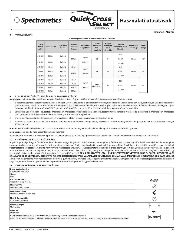



# **Használati utasítások**

**Hungarian / Magyar**

## **8. KOMPATIBILITÁS**

### **A termék jellemzőinek és modellszámainak táblázata**

| <b>Tipus</b><br>(hivatk.<br>szám) | <b>Munkahossz</b> | Csúcs alakja /<br>típusa | <b>Hidrofil</b><br>bevonat<br>hossza | Vezetődrót-<br>kompatibilitás | Vezető<br>minimális<br>belső<br>átmérője | <b>Hüvely</b><br>minimális<br>belső<br>átmérője | Katéter<br>maximális külső<br>átmérője | Jelölősávok<br>távolsága | Öltés<br>szöge |
|-----------------------------------|-------------------|--------------------------|--------------------------------------|-------------------------------|------------------------------------------|-------------------------------------------------|----------------------------------------|--------------------------|----------------|
| 518-085                           | 135 cm            | Hajlított                | 100 cm                               | 0,014''                       | 5 F                                      | 4F                                              | 3,2F<br>0.042''                        | $15 \text{ mm}$          | $45^\circ$     |
| 518-087                           | 150 cm            | Hajlított                |                                      | 0,36 mm                       |                                          |                                                 | 1.07 mm                                |                          |                |
| 518-089                           | 90 cm             | Hajlított                | 60 cm                                |                               |                                          |                                                 | 3,4F                                   |                          |                |
| 518-091                           | 135 cm            | Hajlított                | 100 cm                               | 0,018''<br>0.46 mm            | 5 F                                      | 4F                                              | 0.044''                                | $15 \text{ mm}$          | $45^{\circ}$   |
| 518-093                           | 150 cm            | Hajlított                |                                      |                               |                                          |                                                 | $1,12$ mm                              |                          |                |
| 518-077                           | 65 cm             | Hajlított                | 45 cm                                |                               |                                          |                                                 | 4,5 F                                  |                          |                |
| 518-079                           | 90 cm             | Hajlított                | 70 cm                                | 0,035''                       | nem                                      | 5 F                                             | 0.059''                                | 50 mm                    | $45^\circ$     |
| 518-081                           | 135 cm            | Hajlított                | 115 cm                               | 0.89 mm                       | alkalmazható                             |                                                 |                                        |                          |                |
| 518-083                           | 150 cm            | Hajlított                | 130 cm                               |                               |                                          |                                                 | $1.50$ mm                              |                          |                |

## **9. AZ ELJÁRÁS ELŐKÉSZÜLETEI ÉS HASZNÁLATI UTASÍTÁSOK**

**Megjegyzés:** Minden eszköz esetében, melyet a Quick-Cross Select Support katéterrel használ, kövesse annak használati utasításait.

- 1. Előkészítés: Steril eljárással nyissa fel a steril csomagot. Óvatosan távolítsa el a katétert tartó védőgyűrűt a tasakból. Töltsön meg egy steril, szabványos luer-záras fecskendőt steril sóoldattal. Mielőtt a katétert levenné a védőgyűrűről, csatlakoztassa a fecskendőt a katéter proximális luer-csatlakozójához, öblítse át a katétert, és hagyja, hogy a ziológiás sóoldat feltöltse a védőgyűrűt. Tegye félre a védőgyűrűn elhelyezkedő ketétert mindaddig, amíg nem kész a használatára.
- 2. Bevezetés: Egy korábban bevezetett, megfelelően méretezett vezetőkatéteren vagy bevezetőhüvelyen keresztül vezesse be a katétert a megfelelően méretezett (lásd: "Műszaki adatok") vezetődrót felett, a szabványos módszernek megfelelően.
- 3. Előretolás: Fluoroszkópiás ellenőrzés mellett tolja előre a katétert a kívánt pozícióba az érhálózaton belül.
- 4. Eltávolítás: Óvatosan húzza vissza a katétert a szabványos módszernek megfelelően, vigyázva a vezetődrót helyzetének megtartására, ha a vezetődrótot a helyén kívánja tartani.

**Infúzió:** Az infúzió kivitelezéséhez húzza vissza a vezetődrótot, és nézze meg a műszaki adatoknál megadott maximális infúziós nyomást.

**Megjegyzés:** Ne haladja meg az ajánlott infúziós nyomást!

Használat után a kórházi hulladékra és a potenciálisan biológiailag veszélyes anyagokra vonatkozó előírásoknak megfelelően semmisítse meg az összes eszközt.

### **10. A GYÁRTÓ KORLÁTOZOTT JÓTÁLLÁSA**

A gyártó garantálja, hogy a Quick-Cross Select katéter anyag- és gyártási hibától mentes, amennyiben a feltüntetett szavatossági időn belül használják fel, és amennyiben csomagolása közvetlenül a felhasználás előtt bontatlan és sértetlen. A jelen jótállás alapján a gyártó felelőssége a hibás Quick-Cross Select katéter cseréjére vagy vételárának visszafizetésére korlátozódik. A gyártó nem vonható felelősségre a Quick-Cross Select katéter használatából eredő bármilyen járulékos, különleges vagy következményes kárért. Jelen korlátozott jótállást érvényteleníti a Quick-Cross Select katéter olyan károsodása, amely annak helytelen használatából, módosításából, nem megfelelő tárolásából vagy kezeléséből, illetve a jelen a használati utasítások be nem tartásából ered. **EZ A KORLÁTOZOTT JÓTÁLLÁS KIFEJEZETTEN HELYETTESÍT MINDEN EGYÉB, KIFEJEZETT VAGY HALLGATÓLAGOS JÓTÁLLÁST, BELEÉRTVE AZ ÉRTÉKESÍTHETŐSÉG VAGY VALAMILYEN KÜLÖNLEGES CÉLNAK VALÓ MEGFELELÉS HALLGATÓLAGOS GARANCIÁJÁT.** Semmilyen magánszemély vagy jogi személy, ideértve a gyártó bármely hivatalos képviselőjét vagy viszonteladóját is, nem jogosult ezt a korlátozott jótállást meghosszabbítani vagy kiterjeszteni, és semmilyen erre irányuló próbálkozás nem érvényesíthető a gyártóval szemben.

### **11. NEM SZABVÁNYOS JELEK MAGYARÁZATA**

| <b>Distal Marker Spacing</b>                                                                                                                                                                                                                     |                 |
|--------------------------------------------------------------------------------------------------------------------------------------------------------------------------------------------------------------------------------------------------|-----------------|
| Distalis jelölő távolsága                                                                                                                                                                                                                        |                 |
| Shape<br>Alak                                                                                                                                                                                                                                    |                 |
| <b>GW Compatibility</b><br>Vezetődrót-kompatibilitás                                                                                                                                                                                             | $\leftarrow$ GW |
| <b>Maximum OD</b><br>Maximális külső átmérő                                                                                                                                                                                                      |                 |
| Maximum PSI/kPa<br>Maximális nyomás PSI/kPa-ban                                                                                                                                                                                                  |                 |
| <b>Sheath Compatibility</b><br>Hüvely-kompatibilitás                                                                                                                                                                                             |                 |
| <b>Working Length</b><br>Munkahossz                                                                                                                                                                                                              |                 |
| Quantity<br>Mennyiség                                                                                                                                                                                                                            | QTY             |
| CAUTION: Federal law (USA) restricts this device to sale by or on the order of a physician.<br>FIGYELEM: Az Amerikai Egyesült Államok szövetségi törvényei értelmében ez az eszköz kizárólag orvos által vagy orvosi rendelvényre értékesíthető. | <b>Rx ONL</b>   |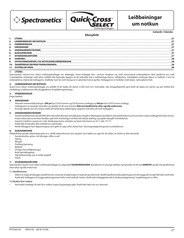



# **Leiðbeiningar um notkun**

### **Icelandic / Íslenska**

# **Efnisyfirlit**

### **1. LÝSING**

Spectranetics Quick-Cross Select stuðningsholleggir eru æðaleggir. Þessir holleggir fást í ýmsum lengdum og með mismunandi endastykkjum. Allar gerðirnar eru með 3 geislaþéttar merkingar með jöfnu millibili eftir fjærenda leggsins til að auðvelda mat á staðsetningu þeirra í æðakerfinu. Geislaþétta merkingin fjærst er staðsett 3 mm frá endastykkinu á fjærenda holleggsins. Staðlaður luer-lás með ístungu er á nærenda hverrar gerðar. Holleggurinn er húðaður með sleipri, vatnssækinni húð.

### **2. LEIÐBEININGAR UM NOTKUN**

Quick-Cross Select stuðningsholleggir eru ætlaðir til að styðja við stýrivír á leið sinni inn í kransæða- eða útslagæðakerfið, gera kleift að skipta um stýrivír og sem leiðsla fyrir inndælingu á saltlausnum eða skuggaefnum til sjúkdómsgreiningar.

### **3. FRÁBENDINGAR**

Engar þekktar.

### **4. VIÐVARANIR**

- Hámarks innrennslisþrýstingur: **300 psi** fyrir 0,014 tommu og 0,018 tommu holleggi og **500 ps**i fyrir 0,035 tommu hollegg.
- Holleggurinn er einungis hannaður og ætlaður til að vera einnota. **Ekki má dauðhreinsa aftur og/eða endurnota.**
- Einungis læknar sem eru til þess hæfir að framkvæma æðainngrip í gegnum húð ættu að nota hollegginn.

### **5. VARÚÐARRÁÐSTAFANIR**

- Dauðhreinsið þennan búnað EKKI aftur eða notið aftur þar sem það getur dregið úr afkastagetu búnaðarins eða aukið hættuna á krosssmitun vegna óviðeigandi endurvinnslu. Endurnotkun þessa einnota búnaðar gæti leitt til alvarlegra meiðsla eða dauða sjúklings og ógildir ábyrgðir framleiðanda.
- Geymist á köldum og þurrum stað. Verjið gegn beinu sólarljósi og háum hita (hærri en 55° C eða 131° F).
- Notið ekki ef búnaður eða umbúðir eru skemmdar.
- Notið hollegginn fyrir dagsetninguna sem gefin er upp á eftir "Notist fyrir" (fyrningardagsetningunni) á umbúðunum.

### **6. AUKAVERKANIR**

Æðaþræðing og/eða æðainngrip geta m.a. valdið aukaverkunum eins og þeim sem taldar eru upp hér að neðan, en listinn er ekki tæmandi:

Sundurskurður, götun, rof eða alger stíflun á æð

- Sýking
- Margúll
- Óstöðug hjartaöng
- Blóðrek
- Of lágur/hár blóðþrýstingur
- Brátt hjartafleygdrep
- Hjartsláttaróregla, þar á meðal sleglatif
- Dauði

## **7. AFHENDINGARFORM**

Spectranetics Quick-Cross Select stuðningsholleggir eru afgreiddir **DAUÐHREINSAÐIR**. Búnaðurinn er einungis ætlaður og hannaður til að vera **EINNOTA** og ekki má dauðhreinsa hann aftur og/eða endurnota.

### **7.1 Dauðhreinsun**

Aðeins er hægt að ábyrgjast dauðhreinsun vörunnar ef pakkningin er óopnuð og óskemmd. Skoðið dauðhreinsaða pakkninguna til að tryggja að innsigli hafi ekki verið rofin. Notið ekki hollegginn ef öryggi pakkningarinnar hefur verið stofnað í hættu. Notið ekki holleggjarbúnað ef "Notkunardagsetning" á pakkningunni er liðin.

### **7.2 Skoðun fyrir notkun**

• Rannsakið vandlega öll tæki fyrir notkun vegna hugsanlegra galla. Notið ekki tæki sem eru skemmd.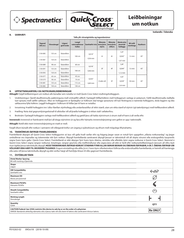



# **Leiðbeiningar um notkun**

**Icelandic / Íslenska**

## **8. SAMHÆFI**

### Tafla yfir vörueiginleika og tegundanúmer

| <b>Tegund</b><br>(tilv.nr.) | Vinnulengd | Lögun/<br>gerð enda | Lengd<br>vatnssækinnar<br>húðar | Samhæfni víra   innra þvm.   innra þvm. | <b>Minnsta</b><br>stýriv. | <b>Minnsta</b><br>slíðurs | Mesta ytra<br>bvermál<br>holleggs | <b>Bil milli</b><br>merkinga | <b>Kasthorn</b> |
|-----------------------------|------------|---------------------|---------------------------------|-----------------------------------------|---------------------------|---------------------------|-----------------------------------|------------------------------|-----------------|
| 518-085                     | 135 cm     | Skásniðinn          | 100 cm                          | 0.014''                                 | 5F                        | 4F                        | 3,2F<br>0.042''                   | $15 \, \text{mm}$            | $45^\circ$      |
| 518-087                     | 150 cm     | Skásniðinn          |                                 | 0.36 mm                                 |                           |                           | 1.07 mm                           |                              |                 |
| 518-089                     | 90 cm      | Skásniðinn          | 60 cm                           |                                         |                           |                           | 3,4F                              |                              |                 |
| 518-091                     | 135 cm     | Skásniðinn          |                                 | 0,018''                                 | 5F                        | 4F                        | 0.044''                           | $15 \text{ mm}$              | $45^{\circ}$    |
| 518-093                     | 150 cm     | Skásniðinn          | 100 cm                          | 0.46 mm                                 |                           |                           | $1,12$ mm                         |                              |                 |
| 518-077                     | 65 cm      | Skásniðinn          | 45 cm                           |                                         |                           |                           | 4,5F                              |                              |                 |
| 518-079                     | 90 cm      | Skásniðinn          | 70 cm                           | 0,035''                                 | Á ekki við                | 5F                        |                                   | 50 mm                        | $45^{\circ}$    |
| 518-081                     | 135 cm     | Skásniðinn          | 115 cm                          | $0.89$ mm                               |                           |                           | 0.059''                           |                              |                 |
| 518-083                     | 150 cm     | Skásniðinn          | 130 cm                          |                                         |                           |                           | 1.50 mm                           |                              |                 |

### **9. UPPSETNINGARFERLI OG NOTKUNARLEIÐBEININGAR**

**Athugið:** Fylgið leiðbeiningum um notkun alls búnaðar sem notaður er með Quick-Cross Select stuðningsholleggjum.

- 1. Undirbúningur: Opnið dauðhreinsuðu pakkninguna með smitsæfðri aðferð. Fjarlægið hlífðarhólkinn með holleggnum varlega úr pokanum. Fyllið dauðhreinsaða staðlaða luer-sprautu með sæfðri saltlausn. Áður en holleggurinn er fjarlægður úr hólknum skal tengja sprautuna við luer-festinguna á nærenda holleggsins, skola legginn og láta saltlausnina fylla hólkinn. Leggið hollegginn í hólknum til hliðar þar til hann er notaður.
- 2. Innsetning: Þræðið hollegginn inn í áður ífærðan stýrihollegg eða undanfaraslíður af réttri stærð, utan um rétta stærð af stýrivír (sjá tæknilýsingu) með hefðbundinni aðferð.
- 3. Þræðing: Nota skal gegnumlýsingarbúnað til aðstoðar við að þræða hollegginn á réttan stað í æðakerfinu.
- 4. Brottnám: Fjarlægið hollegginn varlega með hefðbundinni aðferð og gætið þess að halda stýrivírnum á sínum stað ef hann á að verða eftir.

Innrennsli: Innrennsli er framkvæmt með því að draga stýrivírinn út og fara eftir hámarks innrennslisþrýstingi sem gefinn er upp í tæknistaðli.

**Athugið:** Notið ekki meiri innrennslisþrýsting en mælt er með.

Fargið öllum búnaði eftir notkun í samræmi við viðeigandi kröfur um úrgang á sjúkrahúsum og efnum með mögulega lífsýnahættu.

## **10. TAKMÖRKUÐ ÁBYRGÐ FRAMLEIÐANDA**

Framleiðandi ábyrgist að Quick-Cross Select holleggurinn sé laus við galla hvað varðar efni og frágang þegar varan er notuð fyrir uppgefinn "síðasta notkunardag" og þegar umbúðirnar eru óopnaðar og óskemmdar rétt fyrir notkun. Ábyrgð framleiðanda samkvæmt ábyrgð þessari er takmörkuð við að skipta vörunni eða endurgreiðslu kaupverðs vegna hvers kyns galla í Quick-Cross Select. Framleiðandi er ekki ábyrgur fyrir hvers kyns óbeinu, sérstöku eða afleiddu tjóni vegna notkunar á Quick-Cross Select. Skemmd á Quick-Cross Select vegna rangrar notkunar, breytingar, rangrar geymslu eða meðhöndlunar eða vegna þess að ekki er farið eftir notkunarleiðbeiningum þessum að öðru leyti mun ógilda þessa takmörkuðu ábyrgð. **ÞESSI TAKMARKAÐA ÁBYRGÐ KEMUR Í STAÐINN FYRIR ALLAR AÐRAR BEINAR OG ÓBEINAR ÁBYRGÐIR, Þ.M.T. ÓBEINA ÁBYRGÐ UM SÖLUHÆFI EÐA HÆFI TIL ÁKVEÐINS TILGANGS**. Engum einstaklingi eða aðila, þ.m.t. hvers kyns viðurkenndum fulltrúa eða endursöluaðila framleiðanda, er heimilt að framlengja eða auka við þessa takmörkuðu ábyrgð og ekki verður hægt að framfylja tilraun til slíks gagnvart framleiðanda.

## **11. ÓSTÖÐLUÐ TÁKN**

| <b>Distal Marker Spacing</b><br>Bil milli merking á fjærenda                                                                                                                                                 |                            |
|--------------------------------------------------------------------------------------------------------------------------------------------------------------------------------------------------------------|----------------------------|
| Shape<br>Lögun                                                                                                                                                                                               |                            |
| <b>GW Compatibility</b><br>Samhæfni víra                                                                                                                                                                     | $\leftarrow$ GW $\bigcirc$ |
| <b>Maximum OD</b><br>Mesta ytra bvermál                                                                                                                                                                      |                            |
| l Maximum PSI/kPa<br>Hámarks PSI/kPa                                                                                                                                                                         |                            |
| <b>Sheath Compatibility</b><br>Samhæfni slíðra                                                                                                                                                               |                            |
| <b>Working Length</b><br>Vinnulengd                                                                                                                                                                          |                            |
| Quantity<br>Fjöldi                                                                                                                                                                                           | QTY                        |
| CAUTION Federal: law (USA) restricts this device to sale by or on the order of a physician<br>VARÚĐ: Bandarísk alríkislög takmarka sölu á þessu tæki við sölu beint til læknis eða samkvæmt tilvísun læknis. | <b>Rx ONL</b>              |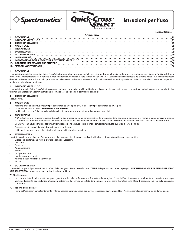



# **Istruzioni per l'uso**

### **Italian / Italiano**

### **Sommario**

### **1. DESCRIZIONE**

I cateteri di supporto Spectranetics Quick-Cross Select sono cateteri intravascolari. Tali cateteri sono disponibili in diverse lunghezze e configurazioni di punta. Tutti i modelli sono provvisti di 3 marker radiopachi distanziati in modo uniforme lungo l'asse distale, in modo da agevolare la valutazione della geometria del sistema vascolare. Il marker radiopaco distale è posizionato entro 3 mm dalla punta distale del catetere. Un luer femmina standard è posizionato sull'estremità prossimale di ciascun modello. Il catetere è ricoperto da un rivestimento idrofilo lubrificato.

## **2. INDICAZIONI PER L'USO**

I cateteri di supporto Quick-Cross Select servono per guidare e supportare un filo guida durante l'accesso alla vascolarizzazione, coronarica e periferica consentire scambi di filo e fornire un condotto per la somministrazione di soluzioni saline o agenti di contrasto diagnostici.

## **3. CONTROINDICAZIONI**

### Nessuna nota.

### **4. AVVERTENZE**

- Massima pressione di infusione: **300 psi** per cateteri da 0,014 poll. e 0,018 poll. e **500 psi** per cateteri da 0,035 poll.
- Il catetere è monouso. **Non risterilizzare e/o riutilizzare.**
- L'utilizzo del catetere è riservato ai medici qualificati per l'esecuzione di interventi percutanei vascolari.

### **5. PRECAUZIONI**

- NON risterilizzare o riutilizzare questo dispositivo: tali processi possono compromettere le prestazioni del dispositivo o aumentare il rischio di contaminazione crociata a causa del ritrattamento inadeguato. Il riutilizzo di questo dispositivo monouso può causare gravi lesioni o la morte del paziente e invalida le garanzie del produttore.
- Conservare in un luogo fresco e asciutto. Evitare l'esposizione alla luce solare diretta e temperature elevate (superiori a 55 °C o 131 °F).
- Non utilizzare in caso di danni al dispositivo o alla confezione.
- Utilizzare il catetere prima della data di scadenza specificata sulla confezione.

### **6. EVENTI AVVERSI**

- La cateterizzazione vascolare e/o l'intervento vascolare possono dare luogo a complicazioni incluso, a titolo informativo ma non esaustivo:
- Dissezione, perforazione, rottura o totale occlusione vascolare
- **Infezione**
- Ematomi
- Angina instabile
- **Embolia**
- Ipo/ipertensione
- Infarto miocardico acuto
- Aritmie, incluso fibrillazioni ventricolari
- Morte

### **7. DOTAZIONE E USO**

I cateteri di supporto Spectranetics Quick-Cross Selectvengono forniti in confezione **STERILE**. I dispositivi sono ideati e progettati **ESCLUSIVAMENTE PER ESSERE UTILIZZATI UNA SOLA VOLTA** e non devono essere risterilizzati e/o riutilizzati.

### **7.1 Sterilizzazione**

Le condizioni sterili del prodotto vengono garantite solo se la confezione non è aperta o danneggiata. Prima dell'uso, ispezionare visualmente la confezione sterile per verificare l'integrità dei sigilli. Non utilizzare il catetere se la confezione è stata danneggiata. Non utilizzare il catetere se la "Data di scadenza" indicata sulla confezione è trascorsa.

### **7.2 Ispezione prima dell'uso**

• Prima dell'uso, esaminare attentamente l'intera apparecchiatura da usare, per rilevare la presenza di eventuali difetti. Non utilizzare l'apparecchiatura se danneggiata.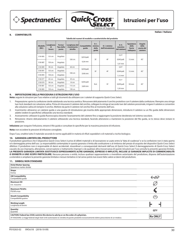



# **Istruzioni per l'uso**

**Italian / Italiano**

**8. COMPATIBILITÀ**

### **Tabella dei numeri di modello e caratteristiche del prodotto**

| <b>Modello</b><br>(Rif.) | Lunghezza<br>di<br>lavoro | Forma/<br><b>Tipo della</b><br>punta | Lunghezza del<br>rivestimento<br>idrofilo | Compatibilità<br>quida | D. I.<br>minimo<br>della<br>quida | D. I. minimo<br>dell'introduttore | <b>D.E.</b><br>massimo<br>del catetere | <b>Spaziatura</b><br>della<br>fascia<br>radiopaca | Angolo<br>della<br>punta del<br>catetere |
|--------------------------|---------------------------|--------------------------------------|-------------------------------------------|------------------------|-----------------------------------|-----------------------------------|----------------------------------------|---------------------------------------------------|------------------------------------------|
| 518-085                  | 135 cm                    | Angolata                             |                                           | 0,014 poll.            |                                   |                                   | 3,2 F                                  |                                                   |                                          |
| 518-087                  | 150 cm                    | Angolata                             | 100 cm                                    | 0,36 mm                | 5F                                | 4F                                | 0,042 poll.<br>1,07 mm                 | $15 \text{ mm}$                                   | $45^{\circ}$                             |
| 518-089                  | 90 cm                     | Angolata                             | 60 cm                                     |                        |                                   |                                   | 3,4 F                                  |                                                   |                                          |
| 518-091                  | 135 cm                    | Angolata                             |                                           | 0,018 poll.            | 5F                                | 4F                                | 0,044 poll.                            | $15 \text{ mm}$                                   | $45^{\circ}$                             |
| 518-093                  | 150 cm                    | Angolata                             | 100 cm                                    | 0,46 mm                |                                   |                                   | 1,12 mm                                |                                                   |                                          |
| 518-077                  | 65 cm                     | Angolata                             | 45 cm                                     |                        |                                   |                                   | 4,5 F                                  |                                                   |                                          |
| 518-079                  | 90 cm                     | Angolata                             | 70 cm                                     | 0,035 poll.            |                                   | 5F                                |                                        |                                                   | $45^{\circ}$                             |
| 518-081                  | 135 cm                    | Angolata                             | 115 cm                                    | $0.89$ mm              | N.d.                              |                                   | 0,059 poll.                            | 50 mm                                             |                                          |
| 518-083                  | 150 cm                    | Angolata                             | 130 cm                                    |                        |                                   |                                   | 1,50 mm                                |                                                   |                                          |

### **9. IMPOSTAZIONE DELLA PROCEDURA E ISTRUZIONI PER L'USO**

**Nota:** seguire le istruzioni per l'uso relative a tutti gli strumenti da utilizzare con i cateteri di supporto Quick-Cross Select.

- 1. Preparazione: aprire la confezione sterile adottando una tecnica asettica. Rimuovere delicatamente il cerchio protettivo con il catetere dalla confezione. Riempire una siringa luer-lock standard con soluzione salina. Prima di rimuovere il catetere dal cerchio, collegare la siringa al raccordo luer del catetere prossimale, irrigare il catetere e consentire alla soluzione salina di riempire il cerchio. Mettere da parte il catetere nel cerchio fino al momento dell'uso.
- 2. Inserimento: attraverso un catetere guida o una guaina di introduzione già inserita delle appropriate dimensioni, introdurre il catetere su un filo guida delle dimensioni adatte (vedere le specifiche) utilizzando una tecnica standard.
- 3. Avanzamento: utilizzare la guida fluoroscopica durante l'avanzamento del catetere fino a raggiungere la posizione desiderata nel sistema vascolare.
- 4. Rimozione: ritrarre delicatamente il catetere utilizzando una tecnica standard, facendo attenzione a mantenere la posizione del filo guida, se lo stesso deve restare in posizione.

Infusione: per eseguire l'infusione, retrarre il filo guida e consultare le specifiche per la massima pressione di infusione.

**Nota:** non eccedere le pressioni di infusione consigliate.

Dopo l'uso, smaltire tutto il materiale secondo le norme applicabili in materia di rifiuti ospedalieri e di materiali a rischio biologico.

### **10. GARANZIA LIMITATA DEL PRODUTTORE**

Il produttore garantisce che il dispositivo Quick-Cross Select è privo di difetti materiali e di lavorazione se usato entro la "data di scadenza" e se la confezione non è stata aperta e/o danneggiata prima dell'uso. La responsabilità contemplata in questa garanzia si limita alla sostituzione o al rimborso del prezzo di acquisto dei dispositivi Quick-Cross Select difettosi. Il produttore non è responsabile di danni accidentali, straordinari o consequenziali derivanti dall'uso di Quick-Cross Select Il danneggiamento di Quick-Cross Select causato da uso improprio, alterazione, conservazione o trattamento impropri o da qualsiasi altra inosservanza di queste istruzioni per l'uso annulla la presente garanzia limitata. **LA PRESENTE GARANZIA LIMITATA SOSTITUISCE ESPRESSAMENTE ALTRE GARANZIE, ESPRESSE O IMPLICITE, INCLUSE LE GARANZIE IMPLICITE DI COMMERCIABILITÀ O IDONEITÀ A UNO SCOPO PARTICOLARE.** Nessuna persona o entità, incluso qualsiasi rappresentante o rivenditore autorizzato del produttore, dispone dell'autorizzazione a estendere o ampliare la presente garanzia limitata e nessun tentativo in tal senso potrà mai essere fatto valere ai danni del produttore.

### **11. SIMBOLI NON STANDARD**

| <b>Distal Marker Spacing</b><br>Spaziatura marker distale                                                                                                                                                                                 |                 |
|-------------------------------------------------------------------------------------------------------------------------------------------------------------------------------------------------------------------------------------------|-----------------|
| Shape<br>Forma                                                                                                                                                                                                                            |                 |
| <b>GW Compatibility</b><br>Compatibilità guida                                                                                                                                                                                            | $\leftarrow$ GW |
| <b>Maximum OD</b><br>D.E. massimo                                                                                                                                                                                                         |                 |
| <b>Maximum PSI/kPa</b><br>PSI/kPa max                                                                                                                                                                                                     |                 |
| <b>Sheath Compatibility</b><br>Compatibilità quaina                                                                                                                                                                                       | SC              |
| <b>Working Length</b><br>Lunghezza di lavoro                                                                                                                                                                                              |                 |
| Quantity<br>Quantità                                                                                                                                                                                                                      | QTY             |
| CAUTION: Federal law (USA) restricts this device to sale by or on the order of a physician.<br>ATTENZIONE: Le leggi federali degli Stati Uniti autorizzano la vendita di questo prodotto esclusivamente dietro prescrizione di un medico. | <b>Rx ONI</b>   |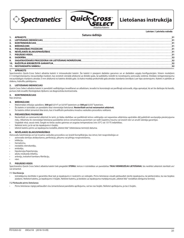



# **Lietošanas instrukcija**

### **Latvian / Latviešu valoda**

## **Satura rādītājs**

| 5. PIESARDZĪBAS PASĀKUMI |
|--------------------------|

### **1. APRAKSTS**

Spectranetics Quick-Cross Select atbalsta katetri ir intravaskulāri katetri. Šie katetri ir pieejami dažādos garumos un ar dažādām uzgaļu konfigurācijām. Visiem modeļiem ir 3 rentgenstarojumu necaurlaidīgi marķieri, kas izvietoti vienādā attālumā uz distālā spala, lai palīdzētu noteikt to novietojumu asinsvadu sistēmā. Distālais rentgenstarojumu necaurlaidīgais marķieris atrodas 3 mm attālumā no katetra distālā gala. Uz katra modeļa proksimālā gala atrodas standarta sievišķais Luer tipa savienojums. Katetrs ir pārklāts ar slidenu, hidrofīlu pārklājumu.

## **2. LIETOŠANAS INDIKĀCIJAS**

Quick-Cross Select atbalsta katetri ir paredzēti vadītājstīgas ievadīšanai un atbalstam, ievadot to koronārajā vai perifērajā asinsvadā, stīgu apmaiņai, kā arī tie darbojas kā kanāls, pa kuru tiek ievadīts fizioloģiskais šķīdums vai diagnostiska kontrastviela.

### **3. KONTRINDIKĀCIJAS**

Nav zināmas.

### **4. BRĪDINĀJUMI**

- Maksimālais infūzijas spiediens: **300 psi** 0,014" un 0,018" katetriem un **500 psi** 0,035" katetriem.
- Šis katetrs ir izstrādāts un paredzēts tikai vienreizējai lietošanai. **Nesterilizēt un/vai neizmantot atkārtoti.**
- Šo katetru drīkst izmantot tikai ārsts, kas ir kvalificēts perkutānu invazīvu vaskulāru procedūru veikšanā.

### **5. PIESARDZĪBAS PASĀKUMI**

- Nesterilizēt un neizmantot atkārtoti šo ierīci, jo šādas darbības var pasliktināt ierīces veiktspēju vai nepareizas atkārtotas apstrādes dēļ palielināt savstarpēja piesārņojuma risku. Atkārtota šīs vienreizējai lietošanai paredzētās ierīces izmantošana pacientam var radīt nopietnu traumu vai izraisīt nāvi un anulē ražotāja garantijas.
	- Uzglabāt vēsā, sausā vietā. Sargāt no tiešas saules gaismas un augstas temperatūras (virs 55°C vai 131°F) iedarbības.
- Nelietot ierīci, ja tā vai tās iepakojums ir bojāts.
- Izlietot katetru pirms uz iepakojuma norādītā "Izlietot līdz" (Izlietošanas terminš) datuma.

### **6. NEVĒLAMĀS BLAKUSPARĀDĪBAS**

Asinsvadu katetrizācija un/vai invazīva vaskulāra procedūra var izraisīt komplikācijas, kas ietver, bet neaprobežojas ar:

• asinsvada sieniņas atslāņošanos, perforāciju, plīsumu vai pilnīgu nosprostošanos,

- infekciju,
- hematomu,
- nestabilu stenokardiju,
- emboliju,
- hipotensiju/hipertensiju,
- akūtu miokarda infarktu,
- aritmiju, ieskaitot kambaru fibrilāciju,
- nāvi.

### **7. PIEGĀDES VEIDS**

Spectranetics Quick-Cross Select atbalsta katetri tiek piegādāti **STERILI**. Ierīces ir izstrādātas un paredzētas **TIKAI VIENREIZĒJAI LIETOŠANAI**, tās nedrīkst atkārtoti sterilizēt un/ vai izmantot.

### **7.1 Sterilizācija**

• Izstrādājuma sterilitāte ir garantēta tikai tad, ja iepakojums ir neatvērts un nebojāts. Pirms lietošanas vizuāli pārbaudiet sterilo iepakojumu, lai pārliecinātos, ka nav bojātas aizdares. Nelietot katetru, ja iepakojums ir bojāts. Nelietot katetru, ja beidzies uz iepakojuma marķējuma pēc "Izlietot līdz" norādītais derīguma termiņš.

### **7.2 Pārbaude pirms lietošanas**

• Pirms lietošanas rūpīgi pārbaudiet visu izmantošanai paredzēto aprīkojumu, vai tas nav bojāts. Nelietot aprīkojumu, ja tas ir bojāts.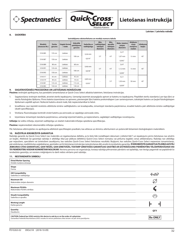



# **Lietošanas instrukcija**

### **8. SADERĪBA**

**Latvian / Latviešu valoda**

### **Izstrādājuma raksturlielumu un modeļu numuru tabula**

| <b>Modelis</b><br>(atsauces Nr.) | <b>Darba</b><br>garums | Uzgaļu forma<br>/ veids | Hidrofilā<br>pārklājuma<br>garums | Saderība ar<br>vadītājstīgu | Min.<br>vadītājstīgas<br>iekšējais<br>diametrs | Min.<br>apvalka<br>iekšējais<br>diametrs | Maks. katetra<br>ārējais<br>diametrs | <b>Attälums</b><br>starp<br>markieru<br>malām | <b>Izliekuma</b><br>lenkis |
|----------------------------------|------------------------|-------------------------|-----------------------------------|-----------------------------|------------------------------------------------|------------------------------------------|--------------------------------------|-----------------------------------------------|----------------------------|
| 518-085                          | 135 cm                 | Liektais                |                                   | 0.36 mm                     |                                                |                                          | 3,2F                                 |                                               |                            |
| 518-087                          | $150 \text{ cm}$       | Liektais                | $100 \text{ cm}$                  | 0,014''                     | 5 F                                            | 4 F                                      | 1,07 mm<br>0.042''                   | $15 \text{ mm}$                               | $45^\circ$                 |
| 518-089                          | 90 cm                  | Liektais                | 60 cm                             |                             |                                                |                                          | 3,4F                                 |                                               |                            |
| 518-091                          | 135 cm                 | Liektais                |                                   | 0.46 mm                     | 5 F                                            | 4 F                                      | $1.12 \text{ mm}$                    | $15 \text{ mm}$                               | $45^\circ$                 |
| 518-093                          | $150 \text{ cm}$       | Liektais                | $100 \text{ cm}$                  | 0.018''                     |                                                |                                          | 0.044''                              |                                               |                            |
| 518-077                          | 65 cm                  | Liektais                | 45 cm                             |                             |                                                |                                          | 4,5 F                                |                                               |                            |
| 518-079                          | 90 cm                  | Liektais                | 70 cm                             | 0.89 mm                     | -                                              | 5 F                                      | 1.50 mm                              | 50 mm                                         | $45^\circ$                 |
| 518-081                          | 135 cm                 | Liektais                | 115 cm                            | 0.035''                     |                                                |                                          |                                      |                                               |                            |
| 518-083                          | 150 cm                 | Liektais                | 130 cm                            |                             |                                                |                                          | 0.059''                              |                                               |                            |

### **9. SAGATAVOŠANĀS PROCEDŪRAI UN LIETOŠANAS NORĀDĪJUMI**

**Piezīme:** ievērojiet aprīkojuma, kas paredzēts izmantošanai ar Quick-Cross Select atbalsta katetriem, lietošanas instrukcijas.

- 1. Sagatavošana: ievērojot sterilitāti, atveriet sterilo iepakojumu. Uzmanīgi izņemiet aizsargājošo aptveri ar katetru no iepakojuma. Piepildiet sterilu standarta Luer tipa šļirci ar sterilu fizioloģisko šķīdumu. Pirms katetra izņemšanas no aptveres, pievienojiet šļirci katetra proksimālajam Luer savienojumam, izskalojiet katetru un ļaujiet fizioloģiskajam šķīdumam uzpildīt aptveri. Nolieciet katetru atverē malā, līdz nepieciešamībai to lietot.
- 2. Ievadīšana: caur iepriekš ievietotu atbilstoša izmēra vadītājkatetru vai ievadapvalku, izmantojot standarta paņēmienus, ievadiet katetru pāri atbilstoša izmēra vadītājstīgai (skatīt specifikācijas).
- 3. Virzīšana: fluoroskopijas kontrolē virziet katetru pa asinsvadu uz vajadzīgo asinsvada vietu.
- 4. Izņemšana: Izmantojot standarta paņēmienus, uzmanīgi izņemiet katetru, ja nepieciešams, saglabājot vadītājstīgas novietojumu.

Infūzija: lai veiktu infūziju, izņemiet vadītājstīgu un skatiet maksimālā infūzijas spiediena specifikācijas.

**Piezīme:** nepārsniedziet rekomendēto infūzijas spiedienu.

Pēc lietošanas atbrīvojieties no aprīkojuma atbilstoši specifiskajām prasībām, kas attiecas uz slimnīcu atkritumiem un potenciāli bīstamiem bioloģiskajiem materiāliem.

### **10. RAŽOTĀJA IEROBEŽOTĀ GARANTIJA**

Ražotājs garantē, ka Quick-Cross Select nav materiālu un izgatavošanas defektu, ja to lieto līdz norādītajam datumam ("Izlietot līdz") un iepakojums pirms lietošanas nav atvērts un bojāts. Atbilstoši šai garantijai ražotājs ir atbildīgs tikai par jebkura defektīva Quick-Cross Select nomaiņu vai pirkuma iegādes cenas atlīdzināšanu. Ražotājs nav atbildīgs par nejaušiem, speciāliem vai izrietošiem zaudējumu, kas radušies Quick-Cross Select lietošanas rezultātā. Bojājumi, kas radušies Quick-Cross Select nepareizas izmantošanas, pārveidošanas, neatbilstošas uzglabāšanas, apstrādes vai šīs lietošanas instrukcijas neievērošanas dēļ, anulēs šo ierobežoto garantiju. **ŠĪ IEROBEŽOTĀ GARANTIJA PILNĪBĀ AIZSTĀJ JEBKURAS CITAS GARANTIJAS, GAN TIEŠĀS, GAN IZRIETOŠĀS, TOSTARP IZRIETOŠĀS GARANTIJAS SAISTĪBĀ AR IZSTRĀDĀJUMA PIEMĒROTĪBU TĀLĀKPĀRDOŠANAI VAI TĀ PIEMĒROTĪBU KĀDAM KONKRĒTAM NOLŪKAM**. Neviena persona vai organizācija, tostarp ražotāja pilnvarotais pārstāvis vai izplatītājs, nav tiesīgs pagarināt vai paplašināt šo ierobežoto garantiju, un neviens mēģinājums to darīt nebūs vēršams pret ražotāju.

### **11. NESTANDARTA SIMBOLI**

| <b>Distal Marker Spacing</b><br>Distālā marķiera atstarpe                                                                                                                                               |                            |
|---------------------------------------------------------------------------------------------------------------------------------------------------------------------------------------------------------|----------------------------|
| Shape<br>Forma                                                                                                                                                                                          |                            |
| <b>GW Compatibility</b><br>Saderība ar vadītājstīgu                                                                                                                                                     | $\leftarrow$ GW $\bigcirc$ |
| <b>Maximum OD</b><br>Maksimālais ārējais diametrs                                                                                                                                                       |                            |
| <b>Maximum PSI/kPa</b><br>Maksimālās PSI/kPa vērtības                                                                                                                                                   |                            |
| <b>Sheath Compatibility</b><br>Saderība ar apvalku                                                                                                                                                      |                            |
| <b>Working Length</b><br>Darba garums                                                                                                                                                                   |                            |
| Quantity<br>Daudzums                                                                                                                                                                                    | QTY                        |
| CAUTION: Federal law (USA) restricts this device to sale by or on the order of a physician.<br>Uzmanību! Federālā likumdošana (ASV) nosaka šīs ierīces pārdošanu tikai ārstam vai pēc ārsta pasūtījuma. | <b>Rx ONL</b>              |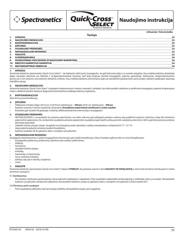



# **Naudojimo instrukcija**

### **Lithuanian / lietuvių kalba**

|                 | <b>ATSARGUMO PRIEMONĖS</b> |  |
|-----------------|----------------------------|--|
|                 |                            |  |
|                 |                            |  |
|                 |                            |  |
|                 |                            |  |
| 10 <sub>1</sub> |                            |  |
|                 |                            |  |

### **1. APRAŠAS**

Atraminiai kateteriai "Spectranetics Quick-Cross Select" – tai kateteriai, skirti įvesti į kraujagysles. Jie gali būti įvairių ilgių ir su įvairiais antgaliais. Visų modelių kateterių distalinėje dalyje vienodais atstumais yra išdėstyti 3 rentgenokontrastiniai žymenys, kad būtų lengviau įvertinti kraujagyslių sistemos geometriją. Tolimiausias rentgenokontrastinis žymuo yra 3 mm atstumu nuo kateterio distalinės viršūnės. Visų modelių kateterių artimesniame gale yra standartinė gaubiančioji Luerio jungtis. Kateteris padengtas tepamąja hidrofiline danga.

### **2. NAUDOJIMO INDIKACIJOS**

Atraminiai kateteriai "Quick-Cross Select" naudojami kreipiamosioms vieloms nukreipti ir prilaikyti, kai reikia pasiekti vainikines ar periferines kraujagysles, pakeisti kreipiamąsias vielas ir užtikrinti druskos tirpalų ar diagnostinių kontrastinių medžiagų tiekimą į organizmą.

### **3. KONTRAINDIKACIJOS**

Nėra žinomų kontraindikacijų.

## **4. ĮSPĖJIMAI**

- Didžiausias infuzijos slėgis: 0,014 col. ir 0,018 col. kateteriuose **300 psi**; 0,035 col. kateteriuose **500 psi**.
- Kateteris sukurtas ir skirtas naudoti tik vieną kartą. **Draudžiama pakartotinai sterilizuoti ir (arba) naudoti.**
- Šį kateterį gali naudoti tik gydytojai, mokantys atlikti perkutanines intervencijas į kraujagysles.

### **5. ATSARGUMO PRIEMONĖS**

- NESTERILIZUOKITE ir nenaudokite šio prietaiso pakartotinai, nes tokie veiksmai gali pabloginti prietaiso veikimą arba padidinti kryžminio užteršimo riziką dėl netinkamo pakartotinio apdorojimo. Šio vienkartinio naudojimo prietaiso pakartotinis naudojimas gali sukelti sunkių paciento sužalojimų arba mirtį ir dėl to gali būti prarastos prietaiso gamintojo garantijos.
- Laikykite vėsioje sausoje vietoje. Saugokite nuo tiesioginių saulės spindulių ir aukštos temperatūros (viršijančios55 °C / 131 °F).
- Jeigu pažeista pakuotė, prietaisą naudoti draudžiama.
- Kateterį naudokite tik iki galiojimo datos, nurodytos ant pakuotės.

### **6. NEPAGEIDAUJAMI REIŠKINIAI**

- Kraujagyslių kateterizavimas ir (arba) kraujagyslinės intervencijos gali sukelti komplikacijų. Toliau išvardytos galimos (bet ne visos) komplikacijos:
- kraujagyslės pradūrimas, prakiurimas, plyšimas arba visiškas užsikimšimas,
- infekcija,
- hematoma,
- nestabili krūtinės angina,
- embolija,
- hipotenzija ar hipertenzija,
- ūmus miokardo infarktas,
- aritmija, taip pat ir skilvelių virpėjimas,
- mirtis.

### **7. PAKUOTĖ**

Atraminiai kateteriai "Spectranetics Quick-Cross Select" tiekiami **STERILŪS**. Šie prietaisai sukurti ir skirti **NAUDOTI TIK VIENĄ KARTĄ** ir neturi būti kartotinai sterilizuojami ir (arba) kartotinai naudojami.

### **7.1 Sterilizavimas**

• Šio prietaiso sterilumas garantuojamas, tik jei pakuotė neatidaryta ir nepažeista. Prieš naudodami apžiūrėkite sterilią pakuotę ir įsitikinkite, kad ji yra sandari. Nenaudokite kateterio, jei pakuotės sandarumas abejotinas. Nenaudokite kateterio, praėjus jo galiojimo laikui, nurodytam ant pakuotės ("Tinka naudoti iki").

### **7.2 Tikrinimas prieš naudojant**

• Prieš naudodami įsitikinkite, kad nėra įrangos defektų. Nenaudokite įrangos, jei ji sugadinta.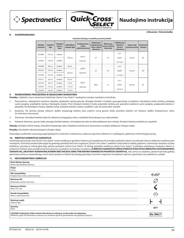



# **Naudojimo instrukcija**

**Lithuanian / lietuvių kalba**

## **8. SUDERINAMUMAS**

**Gaminio funkcijų ir modelių numerių lentelė**

| <b>Modelis</b><br>(nuorod.) | <b>Darbinis</b><br>ilgis | <b>Antgalio</b><br>forma /<br>tipas | <b>Hidrofilinės</b><br>dangos ilgis | <b>Kreipiamosios</b><br>vielos<br>suderinamumas | <b>Mažiausias</b><br>kreipiamosios<br>vielos vidinis<br>skersmuo | <b>Mažiausias</b><br>movos vidinis<br>skersmuo | <b>Didžiausias</b><br>kateterio<br>išorinis<br>skersmuo | <b>Tarpas tarp</b><br>žymenų juostų | <b>Išstūmimo</b><br>kampas |
|-----------------------------|--------------------------|-------------------------------------|-------------------------------------|-------------------------------------------------|------------------------------------------------------------------|------------------------------------------------|---------------------------------------------------------|-------------------------------------|----------------------------|
| 518-085                     | 135 cm                   | Lenktas                             |                                     |                                                 |                                                                  |                                                | 3,2F                                                    |                                     |                            |
|                             |                          |                                     | 100 cm                              | 0.014''                                         | 5 F                                                              | 4 F                                            | 0.042''                                                 | $15 \, \text{mm}$                   | $45^\circ$                 |
| 518-087                     | $150 \text{ cm}$         | Lenktas                             |                                     | 0.36 mm                                         |                                                                  |                                                | 1.07 mm                                                 |                                     |                            |
| 518-089                     | 90 cm                    | Lenktas                             | 60 cm                               |                                                 |                                                                  |                                                | 3,4 F                                                   |                                     |                            |
| 518-091                     | 135 cm                   | Lenktas                             |                                     | 0,018''                                         | 5 F                                                              | 4 F                                            | 0.044''                                                 | $15 \text{ mm}$                     | $45^\circ$                 |
| 518-093                     | 150 cm                   | Lenktas                             | 100 cm                              | 0.46 mm                                         |                                                                  |                                                | $1.12 \text{ mm}$                                       |                                     |                            |
| 518-077                     | 65 cm                    | Lenktas                             | 45 cm                               |                                                 |                                                                  |                                                | 4,5 F                                                   |                                     |                            |
| 518-079                     | 90 cm                    | Lenktas                             | 70 cm                               | 0.035''                                         |                                                                  |                                                |                                                         |                                     |                            |
| 518-081                     | 135 cm                   | Lenktas                             | 115 cm                              | 0,89 mm                                         | Nėra                                                             | 5 F                                            | 0.059''                                                 | 50 mm                               | $45^{\circ}$               |
| 518-083                     | 150 cm                   | Lenktas                             | 130 cm                              |                                                 |                                                                  |                                                | 1,50 mm                                                 |                                     |                            |

## **9. PASIRUOŠIMAS PROCEDŪRAI IR NAUDOJIMO NURODYMAI**

Pastaba. Laikykitės visų su atraminiais kateteriais "Quick-Cross Select" naudojamos įrangos naudojimo instrukcijų.

- 1. Pasiruošimas. Laikydamiesi sterilumo taisyklių, atidarykite sterilią pakuotę. Atsargiai išimkite iš maišelio apsauginį lanką su kateteriu. Standartinį sterilų švirkštą, pritaikytą Luerio jungčiai, pripildykite sterilaus fiziologinio tirpalo. Prieš išimdami kateterį iš lanko prijunkite švirkštą prie specialios kateterio Luerio jungties, praplaukite kateterį ir palaukite, kol fiziologinis tirpalas užpildys lanką. Įstatykite kateterį į lanką ir padėkite į šalį, kol pasiruošite naudoti.
- 2. Įterpimas. Per pirmiau įterptą reikiamo dydžio kreipiamąjį kateterį arba įvedimo movą įprastu būdu įstumkite kateterį virš tinkamo dydžio kreipiamosios vielos (žr. techninius duomenis).
- 3. Stūmimas. Stumdami kateterį tolyn iki reikiamos kraujagyslių vietos, naudokite fluoroskopą ir juo vadovaukitės.
- 4. Kateterio išėmimas. Įprastu būdu atsargiai išimkite kateterį. Jei kreipiamoji viela turi būti paliekama savo vietoje, išimdami kateterį stenkitės jos nejudinti.

**Infuzija.** Norėdami lašinti tirpalų, ištraukite kreipiamąją vielą ir laikykitės techniniuose duomenyse nurodyto didžiausio infuzijos slėgio.

**Pastaba.** Neviršykite rekomenduojamo infuzijos slėgio.

Panaudoję sunaikinkite visą įrangą pagal galiojančius konkrečius reikalavimus, taikomus ligoninės atliekoms ir medžiagoms, galinčioms kelti biologinį pavojų.

### **10. RIBOTOJI GAMINTOJO GARANTIJA**

Gamintojas garantuoja, kad"Quick-Cross Select" yra be medžiagų ir gamybos trūkumų, jei naudojamas iki nurodytos galiojimo datos ir jei pakuotė nebuvo atidaryta ir pažeista prieš naudojimą. Gamintojo atsakomybė pagal šią garantiją apsiriboja bet kurio sugedusio "Quick-Cross Select" pakeitimu arba pirkimo išlaidų grąžinimu. Gamintojas neatsako už jokią atsitiktinę, specialią ar netiesioginę žalą, patirtą naudojant "Quick-Cross Select". Ši ribotoji garantija netaikoma "Quick-Cross Select" jį pažeidus netinkamai naudojant, laikant ar prižiūrint ir keičiant arba nesilaikius bet kurių kitų šios naudojimo instrukcijos nurodymų. **ŠI RIBOTOJI GARANTIJA AIŠKIAI PAKEIČIA VISAS KITAS IŠREIKŠTAS AR NUMANOMAS**  GARANTIJAS, **ĮSKAITANT NUMANOMĄ KOMERCINĖS NAUDOS ARBA TINKAMUMO KONKREČIAI PASKIRČIAI GARANTIJĄ**. Joks asmuo ar subjektas, įskaitant bet kokį įgaliotą gamintojo atstovą ar perpardavėją, neturi teisės pratęsti ar išplėsti šią ribotąją garantiją ir bet koks mėginimas tai padaryti neprivers gamintojo tuos pakeitimus vykdyti.

### **11. NESTANDARTINIAI SIMBOLIAI**

| <b>Distal Marker Spacing</b>                                                                           |                 |
|--------------------------------------------------------------------------------------------------------|-----------------|
| Tarpas tarp distalinių žymenų                                                                          |                 |
| Shape                                                                                                  |                 |
| Forma                                                                                                  |                 |
| <b>GW Compatibility</b>                                                                                | $\leftarrow$ GW |
| Kreipiamosios vielos suderinamumas                                                                     |                 |
| <b>Maximum OD</b>                                                                                      |                 |
| Maksimalus išorinis skersmuo                                                                           |                 |
| l Maximum PSI/kPa                                                                                      |                 |
| Maks. PSI / kPa                                                                                        |                 |
| <b>Sheath Compatibility</b>                                                                            |                 |
| Movos suderinamumas                                                                                    |                 |
| <b>Working Length</b>                                                                                  |                 |
| Darbinis ilgis                                                                                         |                 |
| Quantity                                                                                               |                 |
| Kiekis                                                                                                 | <b>QTY</b>      |
| CAUTION: Federal law (USA) restricts this device to sale by or on the order of a physician.            |                 |
| DĖMESIO: pagal JAV federalinius įstatymus šis prietaisas gali būti parduodamas tik gydytojui paskyrus. | <b>Rx ON</b>    |
|                                                                                                        |                 |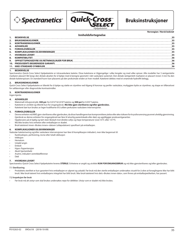



# **Bruksinstruksjoner**

### **Norwegian / Norsk bokmål**

### **Innholdsfortegnelse**

## **1. BESKRIVELSE**

Spectranetics Quick-Cross Select hjelpekatetre er intravaskulære katetre. Disse katetrene er tilgjengelige i ulike lengder og med ulike spisser. Alle modeller har 3 røntgentette markører plassert likt langs den distale akselen for å hjelpe med å beregne geometri i det vaskulære systemet. Den distale røntgentett markøren er plassert innen 3 mm fra den distale kateterspissen. En standard hunn-luer plasseres på den proksimale enden av hver modell. Kateteret dekkes med et smørende hydrofilt belegg.

## **2. BRUKSINDIKASJONER**

Quick-Cross Select hjelpekatetre er tiltenkt for å hjelpe og støtte en styreline ved tilgang til koronar og perifer vaskulatur, muliggjøre bytte av styreliner, og skape en tilførselsvei for saltløsninger eller diagnostiske kontrastmidler.

## **3. KONTRAINDIKASJONER**

Ingen kjente.

### **4. ADVARSLER**

- Maksimalt infusjonstrykk: **300 psi**. for 0.014" & 0.018" katetre og **500 psi** for 0.035" katetre.
- Kateteret er utviklet og tiltenkt kun for engangsbruk. **Må ikke gjen-steriliseres og/eller gjenbrukes.**
- Kateteret bør kun brukes av leger kvalifiserte til å utføre perkutane vaskulære intervensjoner.

### **5. FORHOLDSREGLER**

- Denne enheten må IKKE gjen-steriliseres eller gjenbrukes, da disse handlingene kan kompromittere ytelse eller øke risikoen for kryssforurensing grunnet uheldig gjenvinning. Gjenbruk av denne enheten for engangsbruk kan føre til alvorlig pasientskade eller død, og ugyldiggjør produsentgarantier.
- Oppbevares på et kjølig og tørt sted. Beskytt mot direkte sollys og høye temperaturer (over 55°C eller 131°F).
- Må ikke brukes hvis enheten eller emballasjen er skadet.
- Bruk kateteret innen «Brukes innen»-datoen (utløpsdatoen) spesifisert på emballasjen.

### **6. KOMPLIKASJONER OG BIVIRKNINGER**

- Vaskulær kateterisering og/eller vaskulære intervensjoner kan føre til komplikasjon inkludert, men ikke begrenset til:
- Kardisseksjon, perforering, revne eller totalt okklusjon
- Infeksjon
- Hematom
- Ustabil angin
- Emboli
- Hypo-/hypertensjon
- Akutt hjerteinfarkt
- Arytmi, inkludert ventrikkelflimmer
- Død

### **7. HVORDAN LEVERT**

Spectranetics Quick-Cross Select hjelpekatetre leveres **STERILE**. Enhetene er angitt og utviklet **KUN FOR ENGANGSBRUK** og må ikke gjensteriliseres og/eller gjenbrukes.

## **7.1 Sterilisering**

• Produktets sterilitet er kun garantert hvis emballasjen er uåpnet og uskadd. Før bruk må den sterile emballasjen undersøkes visuelt for å sikre at forseglingene ikke har blitt brutt. Ikke bruk kateret hvis emballasjens integritet har blitt brutt. Ikke bruk kateteret hvis dets «Brukes innen-dato», som nnes på emballasjeetiketten, har passert.

# **7.2 Inspeksjon før bruk**

• Før bruk må alt utstyr som skal brukes undersøkes nøye for defekter. Utstyr som er skadet må ikke brukes.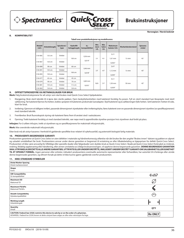



# **Bruksinstruksjoner**

**Norwegian / Norsk bokmål**

### **8. KOMPATIBILITET**

**Tabell over produktfunksjoner og modellnumre**

| <b>Modell</b><br>(ref.) | Arbeidslengde | Spissform/-<br>type | <b>Hydrofilt</b><br>belegglengde | $SL-$<br>kompatibilitet | Min.<br>styre<br>I.D. | Min.<br>hylse<br>I.D. | <b>Maksimum</b><br>kateter O.D. | Markørbåndavstand | <b>Spissens</b><br>vinkel |              |
|-------------------------|---------------|---------------------|----------------------------------|-------------------------|-----------------------|-----------------------|---------------------------------|-------------------|---------------------------|--------------|
| 518-085                 | 135 cm        | Vinklet             |                                  | 0,36 mm                 |                       |                       | 3,2F                            |                   |                           |              |
|                         |               |                     | 100 cm                           |                         | 5 F                   | 4F                    | 1,07 mm                         | 15 mm             | $45^\circ$                |              |
| 518-087                 | 150 cm        | Vinklet             |                                  | 0,014''                 |                       |                       | 0,042"                          |                   |                           |              |
| 518-089                 | 90 cm         | Vinklet             | 60 cm                            |                         |                       |                       | 3,4 F                           |                   |                           |              |
| 518-091                 | 135 cm        | Vinklet             |                                  | 0,46 mm                 |                       | 5 F                   | 4F                              | $1,12$ mm         | 15 mm                     | $45^{\circ}$ |
| 518-093                 | 150 cm        | Vinklet             | 100 cm                           | 0,018''                 |                       |                       | 0,044"                          |                   |                           |              |
| 518-077                 | 65 cm         | Vinklet             | 45 cm                            |                         |                       |                       | 4,5 F                           |                   |                           |              |
| 518-079                 | 90 cm         | Vinklet             | 70 cm                            | 0,89 mm                 |                       |                       |                                 |                   |                           |              |
| 518-081                 | 135 cm        | Vinklet             | 115 cm                           | 0,035''                 | N/A                   | 5 F                   | 1,50 mm                         | 50 mm             | $45^{\circ}$              |              |
| 518-083                 | 150 cm        | Vinklet             | 130 cm                           |                         |                       |                       | 0,059''                         |                   |                           |              |

## **9. OPPSETTSPROSEDYRE OG RETNINGSLINJER FOR BRUK**

**Merk:** Følg bruksinstruksjonene for alt utstyr som skal brukes med Quick-Cross Select hjelpekateter.

- 1. Klargjøring: Bruk steril teknikk til å åpne den sterile pakken. Fjern beskyttelseshetten med kateteret forsiktig fra posen. Fyll en steril standard luer-låssprøyte med steril saltløsning. Før kateteret fiernes fra hetten, kobles sprøyten til kateterets proksimale lueradapter. Skyll kateteret og la saltløsningen fylle hetten. Sett kateteret i hetten til side, klart for bruk.
- 2. Innføring: Gjennom et tidligere innført, passende dimensjonert styrekateter eller innføringshylse, føres kateteret over en passende dimensjonert styreline (se spesifikasjonenen) med standard teknikk.
- 3. Fremførelse: Bruk fluoroskopisk styring når kateteret føres frem til ønsket sted i vaskulaturen.
- 4. Fjerning: Trekk kateteret forsiktig ut med standard teknikk, vær nøye med å opprettholde styreline-posisjon hvis styrelinen skal forbli på plass.

Infusjon: For å utføre infusjon, trekk ut styrelinen og se spesifikasjonene for maksimalt infusjonstrykk.

**Merk:** Ikke overskride maksimalt infusjonstrykk.

Etter bruk må alt utstyr kasseres i henhold til gjeldende spesifikke krav relatert til sykehusavfall, og potensielt biologisk farlig materiale.

### **10. PRODUSENTS BEGRENSEDE GARANTI**

Produsenten garanterer at Quick-Cross Select er uten defekter i materiale og håndverksmessig utførelse når det brukes før den angitte "Brukes innen"-datoen og pakken er uåpnet og uskadet umiddelbart før bruk. Produsentens ansvar under denne garantien er begrenset til erstatning av eller tilbakebetaling av kjøpsprisen for defekt Quick-Cross Select. Produsenten vil ikke være ansvarlig for tilfeldige eller spesielle skader eller følgeskader som skyldes bruk av Quick-Cross Select. Skade på Quick-Cross Select forårsaket av misbruk, endring, feilaktig oppbevaring eller håndtering, eller annen unnlatelse av å følge bruksanvisningen, vil oppheve denne begrensede garantien. **DENNE BEGRENSEDE GARANTIEN SKAL UTRYKKELIG ERSTATTE ALLE ANDRE GARANTIER, UTTRYKTE ELLER UNDERFORSTÅTTE, INKLUDERT UNDERFORSTÅTT GARANTI OM SALGBARHET ELLER EGNETHET TIL ET SPESIELT FORMÅL.** Ingen personer eller enheter, inkludert produsentens eventuelle autoriserte representanter eller forhandlere, har autoritet til å forlenge eller utvide denne begrensede garantien, og ethvert forsøk på dette vil ikke kunne gjøres gjeldende overfor produsenten.

# **11. IKKE-STANDARD SYMBOLER**

| <b>Distal Marker Spacing</b>                                                                          |                            |
|-------------------------------------------------------------------------------------------------------|----------------------------|
| Distal markøravstand                                                                                  |                            |
| Shape                                                                                                 |                            |
| Form                                                                                                  |                            |
| <b>GW Compatibility</b>                                                                               | $\leftarrow$ GW $\bigcirc$ |
| SL-kompatibilitet                                                                                     |                            |
| <b>Maximum OD</b>                                                                                     |                            |
| Maksimal YD                                                                                           |                            |
| l Maximum PSI/kPa                                                                                     |                            |
| Maksimal PSI/kPa                                                                                      |                            |
| <b>Sheath Compatibility</b>                                                                           |                            |
| Hylsekompatibilitet                                                                                   |                            |
| <b>Working Length</b>                                                                                 |                            |
| Arbeidslengde                                                                                         |                            |
| Quantity                                                                                              |                            |
| Antall                                                                                                | QTY                        |
| CAUTION: Federal law (USA) restricts this device to sale by or on the order of a physician.           |                            |
| ADVARSEL: Føderal lov (USA) krever at dette utstyret bare selges av eller etter rekvisisjon fra lege. | <b>Rx ONL</b>              |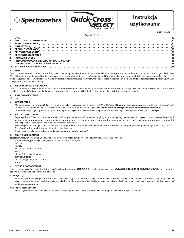



# **Instrukcja użytkowania**

### **Polish / Polski**

## **Spis treści**

| 9. PRZYGOTOWYWANIE PROCEDURY I SPOSÓB UŻYCIA NASARADZA NASARADZA NASARADZI SR ZASARADZA SR ZASARADZA SR ZASARA |  |
|----------------------------------------------------------------------------------------------------------------|--|
|                                                                                                                |  |
|                                                                                                                |  |

### **1. OPIS**

Cewniki pomocnicze Quick-Cross Select rmy Spectranetics są cewnikami naczyniowymi. Cewniki te są dostępne w różnych długościach i z różnymi rodzajami końcówek. Wszystkie modele mają 3 znaczniki radiocieniujące, rozmieszczone równomiernie na końcu dystalnym, które mają ułatwiać ocenę geometrii układu naczyniowego. Dystalny znacznik radiocieniujący jest położony w odległości 3 mm od dystalnego końca cewnika. Na proksymalnym końcu każdego modelu znajduje się standardowe żeńskie złącze typu luer. Cewnik jest pokryty śliską powłoką hydrofilową.

# **2. WSKAZANIA DO STOSOWANIA**

Cewniki pomocnicze Quick-Cross Select są przeznaczone do prowadzenia i wspierania prowadnika w trakcie dostępu do naczyń wieńcowych lub obwodowych, umożliwiając wymianę prowadników i zapewniając kanał do doprowadzenia roztworów soli fizjologicznej lub diagnostycznych środków kontrastowych.

### **3. PRZECIWWSKAZANIA**

Nieznane.

### **4. OSTRZEŻENIA**

- Maksymalne ciśnienie wlewu: **300 psi** w wypadku cewników z prowadnikami o średnicy 0,014" i 0,018" oraz **500 psi** w wypadku cewników z prowadnikami o średnicy 0,035".
- Cewnik został zaprojektowany i jest przeznaczony wyłącznie do jednorazowego użytku. **Nie wolno ponownie sterylizować ani ponownie używać cewnika.**
- Cewnik może być używany wyłącznie przez lekarzy posiadających odpowiednie kwalifikacje do przeprowadzania przezskórnych interwencji naczyniowych.

### **5. ŚRODKI OSTROŻNOŚCI**

- Tego wyrobu NIE WOLNO ponownie sterylizować ani ponownie używać, ponieważ mogłoby to zmniejszyć jego skuteczność i zwiększyć ryzyko zakażeń krzyżowych w wyniku nieodpowiedniego przygotowania do ponownego użycia Ponowne użycie tego wyrobu jednorazowego może może być przyczyną poważnych urazów lub śmierci pacjenta i spowoduje unieważnienie gwarancji producenta.
- Przechowywać w chłodnym i suchym miejscu. Chronić przed bezpośrednim działaniem światła słonecznego oraz wysoką temperaturą (przekraczającą 55°C, czyli 131°F).
- Nie używać, jeśli wyrób lub jego opakowanie jest uszkodzone.
- Należy użyć cewnika przed upływem podanej na opakowaniu "Daty ważności".

## **6. SKUTKI NIEPOŻĄDANE**

- Zabiegi cewnikowania naczyń i/lub interwencji naczyniowych mogą powodować między innymi następujące powikłania:
- rozwarstwienie, perforacja, pęknięcie lub całkowite zatkanie naczynia,
- infekcia,
- krwiak,
- niestabilna dusznica bolesna,
- zator,
- niedociśnienie/nadciśnienie,
- ostry zawał serca,
- arytmia, w tym migotanie komór,
- zgon.

### **7. SPOSÓB DOSTARCZENIA**

Cewniki pomocnicze Spectranetics Quick-Cross Select są dostarczane **STERYLNE**. Te wyroby są przeznaczone **WYŁĄCZNIE DO JEDNORAZOWEGO UŻYTKU** i nie mogą być ponownie sterylizowane ani ponownie używane.

### **7.1 Sterylizacja**

• Sterylność produktu jest gwarantowana wyłącznie wówczas, jeżeli opakowanie nie jest otwarte ani uszkodzone. Przed użyciem sprawdzić wzrokowo sterylne opakowanie w celu upewnienia się, że nie doszło do jego uszkodzenia. Nie używać cewnika, jeśli jego opakowanie jest uszkodzone. Nie używać cewnika po upływie "Daty ważności" podanej na opakowaniu.

### **7.2 Kontrola przed użyciem**

• Przed użyciem dokładnie sprawdzić wszystkie urządzenia pod kątem uszkodzeń. Nie używać żadnego urządzenia, które jest uszkodzone.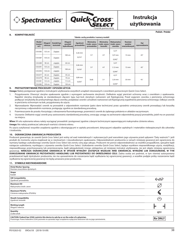



# **Instrukcja użytkowania**

**Polish / Polski**

# **8. KOMPATYBILNOŚĆ**

### **Tabela: cechy produktu i numery modeli**

| Model<br>(numer<br>ref.) | <b>Długość</b><br>robocza | Kształt/typ<br>końcówki | <b>Długość</b><br>powłoki<br>hydrofilowej | Zgodność<br>prowadnika | <b>Minimalna</b><br>średn. wewn.<br>prowadnika | <b>Minimalna</b><br>średn. wewn.<br>koszulki | Maksymalna<br>średn. zewn.<br>cewnika | Rozstaw<br>pasków<br>znacznikowych | Kąt<br>wprowadzania |
|--------------------------|---------------------------|-------------------------|-------------------------------------------|------------------------|------------------------------------------------|----------------------------------------------|---------------------------------------|------------------------------------|---------------------|
| 518-085                  | 135 cm                    | Zagięta                 |                                           | 0.36 mm                |                                                |                                              | 3,2F                                  |                                    |                     |
| 518-087                  | 150 cm                    | Zagieta                 | $100 \, \text{cm}$                        | 0,014''                | 5 F                                            | 4 F                                          | 1.07 mm<br>0.042''                    | $15 \text{ mm}$                    | $45^\circ$          |
| 518-089                  | 90 cm                     | Zagięta                 | 60 cm                                     |                        |                                                |                                              | 3,4F                                  |                                    |                     |
| 518-091                  | 135 cm                    | Zagięta                 |                                           | 0,46 mm                | 5 F                                            | 4 F                                          | $1.12 \text{ mm}$                     | $15 \text{ mm}$                    | $45^\circ$          |
| 518-093                  | 150 cm                    | Zagieta                 | 100 cm                                    | 0,018''                |                                                |                                              | 0.044''                               |                                    |                     |
| 518-077                  | 65 cm                     | Zagięta                 | 45 cm                                     |                        |                                                |                                              | 4,5 F                                 |                                    |                     |
| 518-079                  | 90 cm                     | Zagięta                 | 70 cm                                     | 0,89 mm                |                                                | 5F                                           |                                       |                                    |                     |
| 518-081                  | 135 cm                    | Zagięta                 | 115 cm                                    | 0,035''                | brak                                           |                                              | 1.50 mm                               | 50 mm                              | $45^\circ$          |
| 518-083                  | 150 cm                    | Zagieta                 | 130 cm                                    |                        |                                                |                                              | 0.059''                               |                                    |                     |

# **9. PRZYGOTOWYWANIE PROCEDURY I SPOSÓB UŻYCIA**

**Uwaga:** Należy postępować zgodnie z instrukcjami użytkowania wszystkich urządzeń stosowanych z cewnikiem pomocniczym Quick-Cross Select.

- Przygotowanie: Otworzyć sterylne opakowanie zgodnie z wymogami zachowania sterylności. Delikatnie wyjąć pierścień ochronny wraz z cewnikiem z opakowania. Napełnić sterylną strzykawkę ze standardowym złączem typu luer-lock sterylnym roztworem soli fizjologicznej. Przed wyjęciem cewnika z pierścienia ochronnego podłączyć strzykawkę do proksymalnego złącza cewnika, przepłukać cewnik i umożliwić roztworowi soli zjologicznej wypełnienie pierścienia ochronnego. Odłożyć cewnik w pierścieniu ochronnym na bok, przygotowany do użycia.
- 2. Wprowadzanie: Wprowadzić cewnik na prowadnik o odpowiednim rozmiarze (patrz dane techniczne) przez uprzednio umieszczony cewnik prowadzący lub koszulkę naczyniową o odpowiednim rozmiarze, postępując zgodnie ze standardową procedurą.
- 3. Przemieszczanie do przodu: Korzystając z obrazowania uoroskopowego, przemieścić cewnik do żądanego położenia w układzie naczyniowym.
- 4. Usuwanie: Delikatnie wyjąć cewnik przy zastosowaniu standardowej procedury, zwracając uwagę na zachowanie odpowiedniej pozycji prowadnika, jeżeli ma on pozostać na miejscu.

**Wlew:** W celu wykonania wlewu należy wyciągnąć prowadnik i postępować zgodnie z danymi technicznymi zapewniającymi maksymalne ciśnienie wlewu.

**Uwaga:** Nie należy przekraczać zalecanych wartości ciśnienia wlewu.

Po użyciu zutylizować wszystkie urządzenia zgodnie z obowiązującymi w szpitalu procedurami. dotyczącymi odpadów szpitalnych i materiałów niebezpiecznych dla człowieka i środowiska.

### **10. OGRANICZONA GWARANCJA PRODUCENTA**

Producent gwarantuje, że cewnik Quick-Cross Select jest wolny od wad materiałowych i wykonawczych pod warunkiem jego używania przed upływem "Daty ważności" i jeśli produkt do momentu użycia znajdował się w nieotwartym i nieuszkodzonym opakowaniu. Odpowiedzialność producenta w ramach niniejszej gwarancji jest ograniczona do wymiany każdego uszkodzonego cewnika Quick-Cross Select lub zwrotu ceny jego zakupu. Producent nie ponosi odpowiedzialności za wszelkie przypadkowe, specjalne bądź następcze uszkodzenia, wynikające z używania cewnika Quick-Cross Select. Uszkodzenie cewnika Quick-Cross Select, będące wynikiem nieprawidłowego użycia, modyfikacji, nieprawidłowego przechowywania lub przemieszczania, bądź jakiegokolwiek innego odstępstwa od niniejszej instrukcji użytkowania, nie jest objęte niniejszą ograniczoną gwarancję. **NINIEJSZA OGRANICZONA GWARANCJA W SPOSÓB WYRAŹNY ZASTĘPUJE WSZELKIE INNE GWARANCJE, WYRAŹNE LUB DOROZUMIANE, W TYM DOROZUMIANE GWARANCJE PRZYDATNOŚCI HANDLOWEJ LUB PRZYDATNOŚCI DO OKREŚLONEGO CELU.** Żadna osoba ani podmiot, w tym również autoryzowany przedstawiciel bądź dystrybutor producenta, nie ma upoważnienia do rozszerzania bądź wydłużania tej ograniczonej gwarancji, a wszelkie podjęte próby rozszerzenia bądź wydłużenia tej ograniczonej gwarancji nie będą uznawane przez producenta.

### **11. SYMBOLE NIESTANDARDOWE**

| <b>Distal Marker Spacing</b><br>Rozstaw znaczników dystalnych                                                                                                                                                    |                 |
|------------------------------------------------------------------------------------------------------------------------------------------------------------------------------------------------------------------|-----------------|
| Shape<br>Kształt                                                                                                                                                                                                 |                 |
| <b>GW Compatibility</b><br>Zgodność prowadnika                                                                                                                                                                   | $\leftarrow$ GW |
| <b>Maximum OD</b><br>Maksymalna średn. zewn                                                                                                                                                                      |                 |
| Maximum PSI/kPa<br>Ciśnienie maksymalne (PSI/kPa)                                                                                                                                                                |                 |
| <b>Sheath Compatibility</b><br>Zgodność koszulki                                                                                                                                                                 |                 |
| <b>Working Length</b><br>Długość robocza                                                                                                                                                                         |                 |
| Quantity<br>Liczba sztuk                                                                                                                                                                                         | QTY             |
| CAUTION: Federal law (USA) restricts this device to sale by or on the order of a physician.<br>Przestroga: Prawo federalne (USA) pozwala na sprzedaż tego urządzenia wyłącznie lekarzowi lub na jego zamówienie. | <b>Rx ONL</b>   |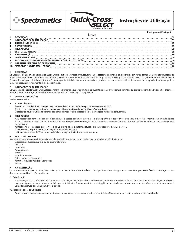



# **Instruções de Utilização**

### **Portuguese / Português**

**Índice**

## **1. DESCRIÇÃO**

Os Cateteres de Suporte Spectranetics Quick-Cross Select são cateteres intravasculares. Estes cateteres encontram-se disponíveis em vários comprimentos e configurações de ponta. Todos os modelos possuem 3 marcadores radiopacos uniformemente distanciados ao longo da haste distal para auxiliar no cálculo da geometria no sistema vascular. O marcador radiopaco distal encontra-se a 3 mm da ponta distal do cateter. A extremidade proximal de cada modelo está equipada com um adaptador luer fêmea padrão. O cateter possui um revestimento hidrófilo lubrificado.

## **2. INDICAÇÕES PARA UTILIZAÇÃO**

Os Cateteres de Suporte Quick-Cross Select destinam-se a orientar e suportar um fio-guia durante o acesso à vasculatura coronária ou periférica, permitir a troca de fios e fornecer um canal para a introdução de soluções Salinas ou agentes de contraste para diagnóstico.

# **3. CONTRA-INDICAÇÕES**

Nenhuma conhecida.

## **4. ADVERTÊNCIAS**

- Pressão máxima de infusão: **300 psi** para cateteres de 0,014" e 0,018" e **500 psi** para cateteres de 0,035".
- O cateter foi concebido e destina-se a uma única utilização. **Não volte a esterilizar e/ou a utilizar.**
- O cateter só deve ser utilizado por médicos com qualificados para a realização de intervenções vasculares percutâneas.

## **5. PRECAUÇÕES**

- NÃO reesterilizar nem reutilizar este dispositivo; tais acções podem comprometer o desempenho do dispositivo e aumentar o risco de contaminação cruzada devido ao reprocessamento inapropriado. A reutilização deste dispositivo de utilização única pode causar lesões graves ou a morte do paciente e anula os direitos de garantia do fabricante.
- Armazene num local fresco e seco. Proteja da luz directa do sol e de temperaturas elevadas (superiores a 55°C ou 131°F).
- Não utilize se o dispositivo ou a embalagem estiverem danificados
- Utilize o cateter antes da "Data de validade" (data de expiração) indicada na embalagem.

### **6. EFEITOS ADVERSOS**

A cateterização vascular e/ou intervenção vascular poderão resultar em complicações que incluindo mas não limitadas a:

- Dissecção, perfuração, ruptura ou oclusão total do vaso
- Infecção
- Hematoma
- Angina instável
- Embolia
- Hipo/hipertensão
- Enfarte agudo do miocárdio
- Arritmia, incluindo fibrilação ventricular
- Morte

### **7. APRESENTAÇÃO**

Os Cateteres de Suporte Quick-Cross Select da Spectranetics são fornecidos **ESTÉREIS**. Os dispositivos foram designados e concebidos para **UMA ÚNICA UTILIZAÇÃO** e não devem ser reesterilizados e/ou reutilizados.

### **7.1 Esterilização**

A esterilização do produto é garantida apenas se a embalagem não estiver aberta e não estiver danificada. Antes de usar, inspeccione visualmente a embalagem esterilizada para se assegurar de que os selos da embalagem estão intactos. Não use o cateter se a integridade da embalagem estiver comprometida. Não use o cateter se a data de validade no rótulo da embalagem tiver expirado.

## **7.2 Inspecção antes da utilização**

Antes de usar, examine cuidadosamente todo o equipamento a ser usado para detecção de defeitos. Não use nenhum equipamento se estiver danificado.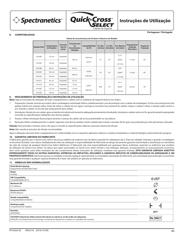



# **Instruções de Utilização**

**Portuguese / Português**

### **8. COMPATIBILIDADE**

**Tabela de Características do Produto e Números de Modelo**

| Modelo (Ref.) | Comprimento<br>de Trabalho | Formato/<br><b>Tipo de</b><br>ponta | Comprimento<br>do<br><b>Revestimento</b><br>Hidrófilo | <b>Compatibilidade</b><br>do FG | D.I. Min.<br>do Guia | D.I. Min.<br>da bainha | D.E. Máximo<br>do Cateter | Espaçamento<br>da Banda<br><b>Marcadora</b> | Ângulo de<br>Projecção |
|---------------|----------------------------|-------------------------------------|-------------------------------------------------------|---------------------------------|----------------------|------------------------|---------------------------|---------------------------------------------|------------------------|
| 518-085       | 135 cm                     | Angulado                            | 100 cm                                                | 0,36 mm                         | 5 F                  | 4 F                    | 3,2F<br>0,042"            | $15 \text{ mm}$                             | $45^\circ$             |
| 518-087       | 150 cm                     | Angulado                            |                                                       | 0,014''                         |                      |                        | 1,07 mm                   |                                             |                        |
| 518-089       | 90 cm                      | Angulado                            | 60 cm                                                 |                                 |                      |                        | 3,4F                      |                                             |                        |
| 518-091       | 135 cm                     | Angulado                            |                                                       | 0,018''                         | 5 F                  | 4F                     | 0.044''                   | $15 \text{ mm}$                             | $45^\circ$             |
| 518-093       | 150 cm                     | Angulado                            | 100 cm                                                | 0.46 mm                         |                      |                        | 1,12 mm                   |                                             |                        |
| 518-077       | 65 cm                      | Angulado                            | 45 cm                                                 |                                 |                      |                        | 4,5 F                     |                                             |                        |
| 518-079       | 90 cm                      | Angulado                            | 70 cm                                                 | 0,035"                          |                      |                        |                           |                                             |                        |
| 518-081       | 135 cm                     | Angulado                            | 115 cm                                                | 0,89 mm                         | N/D                  | 5 F                    | 0,059''                   | 50 mm                                       | $45^\circ$             |
| 518-083       | 150 cm                     | Angulado                            | 130 cm                                                |                                 |                      |                        | 1,50 mm                   |                                             |                        |

## **9. PROCEDIMENTO DE PREPARAÇÃO E INSTRUÇÕES DE UTILIZAÇÃO**

**Nota:** Siga as instruções de utilização de todo o equipamento a utilizar com os Cateteres de Suporte Quick-Cross Select.

- 1. Preparação: Usando uma técnica estéril, abra a embalagem esterilizada. Retire cuidadosamente o aro de proteção com o cateter da embalagem. Encha uma seringa luer-lock padrão estéril com solução salina. Antes de retirar o cateter do aro, ligue a seringa ao acessório luer proximal do cateter, irrigue o cateter e deixe a solução salina encher o aro. Guarde o cateter no aro até que esteja pronto para utilizar.
- 2. Introdução: Através de um cateter-guia ou bainha introdutora de tamanho adequado previamente introduzido, introduza o cateter sobre um fio-guia de tamanho apropriado (consulte as especificações) utilizando uma técnica padrão.
- 3. Avanço: Utilize orientação fluoroscópica durante o avanço do cateter até ao local pretendido na vasculatura.
- 4. Remoção: Retire cuidadosamente o cateter seguindo uma técnica padrão, tendo cuidado para manter a posição do o-guia caso pretenda que este permaneça colocado.

Infusão: Para proceder à infusão, retire o fio-guia e consulte as especificações relativas à pressão máxima de infusão.

**Nota:** Não exceda as pressões de infusão recomendadas.

Após a utilização, descarte todo o equipamento em conformidade com os requisitos aplicáveis relativos a resíduos hospitalares e material biológico potencialmente perigoso.

### **10. GARANTIA LIMITADA DO FABRICANTE**

O fabricante garante que o Quick-Cross Select não possui defeitos de material nem de fabrico quando for utilizado(a) até à "Data de validade" indicada e quando a embalagem se encontrar fechada e sem danos imediatamente antes da utilização. A responsabilidade do fabricante ao abrigo da presente garantia está limitada à substituição ou reembolso do valor de compra de qualquer Quick-Cross Select defeituoso. O fabricante não será responsabilizado por quaisquer danos acidentais, especiais ou indirectos que resultem da utilização do Quick-Cross Select. Os danos que sejam provocados no Quick-Cross Select devido a má utilização, alteração, armazenamento ou manuseamento incorrecto, bem como qualquer outra falha resultante do não cumprimento destas Instruções de utilização invalidam esta garantia limitada. **ESTA GARANTIA LIMITADA SUBSTITUI EXPRESSAMENTE TODAS AS OUTRAS GARANTIAS, EXPRESSAS OU IMPLÍCITAS, INCLUINDO A GARANTIA IMPLÍCITA DE COMERCIABILIDADE OU ADEQUAÇÃO A UM PROPÓSITO ESPECÍFICO.** Nenhuma pessoa ou entidade, incluindo qualquer representante ou revendedor autorizado do Fabricante, tem autoridade para prolongar ou aumentar esta garantia limitada e qualquer suposta tentativa de o fazer não poderá ser aplicada ao Fabricante.

### **11. SÍMBOLOS NÃO NORMALIZADOS**

| <b>Distal Marker Spacing</b><br>Espaçamento do Marcador Distal                                                                                                                                      |                 |
|-----------------------------------------------------------------------------------------------------------------------------------------------------------------------------------------------------|-----------------|
| Shape<br>Formato                                                                                                                                                                                    |                 |
| <b>GW Compatibility</b><br>Compatibilidade do FG                                                                                                                                                    | $\leftarrow$ GW |
| <b>Maximum OD</b><br>D. E. Máximo                                                                                                                                                                   |                 |
| Maximum PSI/kPa<br>PSI/kPa Máximo                                                                                                                                                                   |                 |
| <b>Sheath Compatibility</b><br>Compatibilidade da Bainha                                                                                                                                            |                 |
| <b>Working Length</b><br>Comprimento de Trabalho                                                                                                                                                    |                 |
| Quantity<br>Quantidade                                                                                                                                                                              | <b>QTY</b>      |
| CAUTION: Federal law (USA) restricts this device to sale by or on the order of a physician.<br>ATENÇÃO: A lei federal dos EUA restringe a venda deste dispositivo a médicos ou a pedido dos mesmos. | <b>Rx ON</b>    |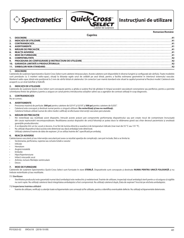



# **Instrucţiuni de utilizare**

### **Romanian/Română**

# **Cuprins**

| Lubrins                                                                                                        |  |
|----------------------------------------------------------------------------------------------------------------|--|
|                                                                                                                |  |
|                                                                                                                |  |
|                                                                                                                |  |
|                                                                                                                |  |
|                                                                                                                |  |
|                                                                                                                |  |
|                                                                                                                |  |
|                                                                                                                |  |
| 9. PROCEDURA DE CONFIGURARE ȘI INSTRUCȚIUNI DE UTILIZARE CONFINITIONALE ALTERIA A ARTICIANI A ARTICIANI A ARTI |  |
|                                                                                                                |  |
|                                                                                                                |  |

### **1. DESCRIERE**

Cateterele de sustinere Spectranetics Quick-Cross Select sunt catetere intravasculare. Aceste catetere sunt disponibile în diverse lungimi și configurații ale vârfului. Toate modelele sunt prevăzute cu 3 markeri radio-opaci, situați la distanțe egale unul de celălalt pe axul distal, pentru a facilita estimarea geometriei în interiorul sistemului vascular. Markerul radio-opac distal este poziționat la 3 mm de vârful distal al cateterului. Un conector Luer mamă standard este situat la capătul proximal al fiecărui model. Cateterul este acoperit cu un strat lubrifiat și hidrofil.

### **2. INDICAŢII DE UTILIZARE**

Cateterele de susținere Quick-Cross Select sunt concepute pentru a ghida și susține firul de ghidare în timpul accesării vasculaturii coronariene sau periferice, pentru a permite schimbarea firelor de ghidare şi pentru a asigura un canal pentru introducerea soluţiilor saline sau a agenţilor de contrast utilizaţi în scop diagnostic.

### **3. CONTRAINDICAŢII**

# Nu se cunosc.

## **4. AVERTISMENTE**

- Presiunea maximă de perfuzie: **300 psi** pentru catetere de 0,014" şi 0,018" şi **500 psi** pentru catetere de 0,035".
- Cateterul este conceput şi destinat numai pentru o singură utilizare. **Nu resterilizaţi şi/sau nu reutilizaţi.**
- Cateterul trebuie utilizat numai de către medici calificați să efectueze intervenții vasculare percutanate.

### **5. MĂSURI DE PRECAUŢIE**

- NU resterilizaţi sau reutilizaţi acest dispozitiv, întrucât aceste acţiuni pot compromite performanţa dispozitivului sau pot creşte riscul de contaminare încrucişată din cauza reprocesării necorespunzătoare. Reutilizarea acestui dispozitiv de unică folosinţă ar putea duce la vătămarea gravă sau chiar decesul pacientului şi anulează garanţiile producătorului.
- A se depozita într-un loc uscat şi răcoros. A se feri de lumina directă a soarelui şi de temperaturi ridicate (mai mari de 55 °C sau 131 °F).
- Nu utilizaţi dispozitivul dacă acesta este deteriorat sau dacă ambalajul este deteriorat.
- Utilizați cateterul înainte de data de expirare ("A se utiliza înainte de") specificată pe ambalaj.

### **6. REACŢII ADVERSE**

Cateterizarea vasculară și/sau intervenția vasculară pot avea ca rezultat apariția de complicații, care pot include, fără a se limita la:

Secționarea, perforarea, ruperea sau ocluzia totală a vasului

- **Infectie**
- Hematom
- Angină instabilă
- Embolie
- Hipo/hipertensiune
- Infarct miocardic acut
- Aritmie, inclusiv fibrilație ventriculară
- Deces

### **7. MOD DE FURNIZARE**

Cateterele de susţinere Spectranetics Quick-Cross Select sunt furnizate în stare **STERILĂ**. Dispozitivele sunt concepute şi destinate **NUMAI PENTRU UNICĂ FOLOSINŢĂ** şi nu trebuie resterilizate şi/sau reutilizate.

### **7.1 Sterilizare**

• Sterilitatea produsului este garantată numai dacă ambalajul este nedeschis şi nedeteriorat. Înainte de utilizare, inspectaţi vizual ambalajul steril pentru a vă asigura că sigiliile nu sunt rupte. Nu utilizați cateterul dacă integritatea ambalajului a fost compromisă. Nu utilizați cateterul după "Data de expirare" înscrisă pe eticheta ambalajului.

### **7.2 Inspectarea înaintea utilizării**

Înainte de utilizare, verificați cu atenție toate echipamentele care urmează să fie utilizate, pentru a identifica eventualele defecte. Nu utilizați echipamentele deteriorate.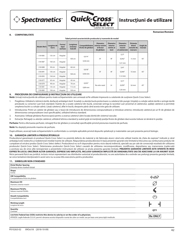



# **Instrucţiuni de utilizare**

**Romanian/Română**

### **8. COMPATIBILITATE**

**Tabel privind caracteristicile produsului şi numerele de model**

| Model (Ref.) | Lungime de<br>lucru | Forma/<br>tipul<br>vârfului | Lungimea<br>stratului<br>hidrofil | Compatibilitatea<br>firului de ghidare | <b>Diametru</b><br>interior minim<br>al firului<br>de ghidare | <b>Diametru</b><br>interior<br>minim al<br>tecii | <b>Diametru</b><br>exterior<br>maxim<br>al cateterului | <b>Distanta</b><br>dintre<br>benzile de<br>marcare | Unghi de<br>insertie |
|--------------|---------------------|-----------------------------|-----------------------------------|----------------------------------------|---------------------------------------------------------------|--------------------------------------------------|--------------------------------------------------------|----------------------------------------------------|----------------------|
| 518-085      | 135 cm              | Angular                     |                                   | 0.014''                                |                                                               |                                                  | 3,2F                                                   |                                                    |                      |
| 518-087      | 150 cm              | Angular                     | $100 \text{ cm}$                  | $0.36$ mm                              | 5F                                                            | 4F                                               | 0.042''<br>1.07 mm                                     | $15 \, \text{mm}$                                  | $45^\circ$           |
| 518-089      | 90 cm               | Angular                     | 60 cm                             |                                        |                                                               |                                                  | 3,4F                                                   |                                                    |                      |
| 518-091      | 135 cm              | Angular                     |                                   | 0.018''                                | 5F                                                            | 4F                                               | 0.044''                                                | $15 \text{ mm}$                                    | $45^\circ$           |
| 518-093      | 150 cm              | Angular                     | 100 cm                            | 0.46 mm                                |                                                               |                                                  | $1.12 \text{ mm}$                                      |                                                    |                      |
| 518-077      | 65 cm               | Angular                     | 45 cm                             |                                        |                                                               |                                                  | 4,5 F                                                  |                                                    |                      |
| 518-079      | 90 cm               | Angular                     | 70 cm                             | 0,035''                                | Nu este cazul                                                 | 5F                                               | 0.059''                                                | 50 mm                                              | $45^\circ$           |
| 518-081      | 135 cm              | Angular                     | 115 cm                            | $0.89$ mm                              |                                                               |                                                  |                                                        |                                                    |                      |
| 518-083      | 150 cm              | Angular                     | 130 cm                            |                                        |                                                               |                                                  | 1.50 mm                                                |                                                    |                      |

## **9. PROCEDURA DE CONFIGURARE ŞI INSTRUCŢIUNI DE UTILIZARE**

Notă: Urmați instrucțiunile de utilizare pentru toate echipamentele care urmează să fie utilizate împreună cu cateterele de susținere Quick-Cross Select.

- 1. Pregătirea: Utilizând o tehnică sterilă, desfaceți ambalajul steril. Scoateți cu atenție bucla protectoare cu cateterul din pungă. Umpleți cu soluție salină sterilă o seringă sterilă prevăzută cu conector Luer-lock standard. Înainte de a scoate cateterul din buclă, conectați seringa la racordul Luer proximal al cateterului, spălaţi cateterul și permiteți umplerea buclei cu soluție salină. Lăsați cateterul, aflat în buclă, deoparte până când acesta este gata de utilizare.
- 2. Introducerea: Printr-un cateter de ghidare sau o teacă de introducere de dimensiunea corespunzătoare și introduse anterior, introduceți cateterul pe un fir de ghidare de dimensiunea corespunzătoare (vezi specificațiile), utilizând tehnica standard.
- 3. Avansarea: Utilizați ghidarea fluoroscopică pentru a avansa cateterul către locația dorită din sistemul vascular.
- 4. Extracția: Retrageți cu atenție cateterul, utilizând tehnica standard și având grijă să mențineți poziția firului de ghidare dacă acesta trebuie să rămână în poziție.

Perfuzia: Pentru efectuarea perfuziei, retrageți firul de ghidare și consultați specificațiile privind presiunea maximă de perfuzie.

**Notă:** Nu depăşiţi presiunile maxime de perfuzie.

După utilizare, aruncaţi toate echipamentele în conformitate cu cerinţele aplicabile privind deşeurile spitaliceşti şi materialele care pot prezenta pericol biologic.

### **10. GARANŢIA LIMITATĂ A PRODUCĂTORULUI**

Producătorul garantează că produsul Quick-Cross Select nu prezintă defecte de material și de fabricație atunci când este utilizat înainte de "Data de expirare" indicată și când ambalajul este nedeschis și nedeteriorat imediat înainte de utilizare. Răspunderea producătorului în baza prezentei garanții este limitată la înlocuirea sau rambursarea prețului de cumpărare al oricărui produs Quick-Cross Select defect. Producătorul nu va fi răspunzător pentru nicio daună indirectă, specială sau pe cale de consecință rezultată din utilizarea produsului Quick-Cross Select. Deteriorarea produsului Quick-Cross Select cauzată de utilizarea necorespunzătoare, modificarea, depozitarea sau manevrarea inadecvată a acestuia sau de orice altă nerespectare a prezentelor instrucțiuni de utilizare va anula prezenta garanție limitată. PREZENTA GARANȚIE LIMITATĂ ESTE OFERITĂ ÎN MOD **EXPRES ÎN LOCUL ORICĂROR ALTOR GARANŢII, EXPRESE SAU IMPLICITE, INCLUSIV GARANŢIA IMPLICITĂ DE VANDABILITATE SAU DE ADECVARE LA UN ANUMIT SCOP.**  Nicio persoană fizică sau juridică, inclusiv niciun reprezentant sau distribuitor autorizat al producătorului, nu are autoritatea de a extinde sau prelungi prezenta garanție limitată, iar orice tentativă intenţionată în acest sens nu va avea titlu executoriu pentru producător.

### **11. SIMBOLURI NON-STANDARD**

| <b>Distal Marker Spacing</b><br>Distanța dintre markerii distali                                                                                                                                                                   |                 |
|------------------------------------------------------------------------------------------------------------------------------------------------------------------------------------------------------------------------------------|-----------------|
| Shape<br>Formă                                                                                                                                                                                                                     |                 |
| <b>GW Compatibility</b><br>Compatibilitatea firului de ghidare                                                                                                                                                                     | $\leftarrow$ GW |
| <b>Maximum OD</b><br>Diametru exterior maxim                                                                                                                                                                                       |                 |
| <b>Maximum PSI/kPa</b><br>Valoare maximă PSI/kPa                                                                                                                                                                                   |                 |
| <b>Sheath Compatibility</b><br>Compatibilitatea tecii                                                                                                                                                                              |                 |
| <b>Working Length</b><br>Lungime de lucru                                                                                                                                                                                          |                 |
| Quantity<br>Cantitate                                                                                                                                                                                                              | QTY             |
| CAUTION: Federal law (USA) restricts this device to sale by or on the order of a physician.<br>ATENȚIE: Legile federale (S.U.A.) permit vânzarea acestui dispozitiv numai de către un medic sau pe baza unei prescripții medicale. | <b>Rx ONL</b>   |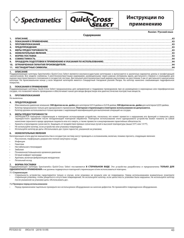



# **Инструкции по применению**

**Russian / Pусский язык**

## **Содержание**

### **1. ОПИСАНИЕ**

Поддерживающие катетеры Spectranetics Quick-Cross Select являются внутрисосудистыми катетерами и выпускаются в различных вариантах длины и конфигураций наконечников. Все модели снабжены 3 рентгеноконтрастными маркерами, размещенными через равные интервалы вдоль дистального стержня и служащими для оценки пространственного положения в сосудистой системе. Дистальный рентгеноконтрастный маркер расположен на расстоянии 3 мм от дистального наконечника<br>катетера. На проксимальном конце у всех моделей катетеров имеется ста покрытие.

### **2. ПОКАЗАНИЯ К ПРИМЕНЕНИЮ**

Поддерживающие катетеры Quick-Cross Select предназначены для направления и поддержки проводников при их размещении в коронарных или периферических сосудах, что позволяет менять проводники и обеспечивает канал для ввода физраствора или диагностических контрастных веществ.

### **3. ПРОТИВОПОКАЗАНИЯ**

Не выявлены.

### **4. ПРЕДУПРЕЖДЕНИЯ**

- Максимальное давление вливания: **300 фунтов на кв. дюйм** для катетеров 0,014 дюйма и 0,018 дюйма; **500 фунтов на кв. дюйм** для катетеров 0,035 дюйма.
- Катетер предназначен только для одноразового применения. **Повторная стерилизация и повторное использование не допускаются.**
- Катетер должен использоваться только врачами с надлежащей квалификацией для выполнения операций на сосудах.

- **5. МЕРЫ ПРЕДОСТОРОЖНОСТИ**<br>• ЗАПРЕЩАЕТСЯ повторная стерилизация и повторное использование устройства, поскольку это может привести к нарушению его функций и повысить риск перекрестного заражения после ненадлежащей повторной обработки. Повторное использование этого одноразового устройства может повлечь за собой нанесение серьезного вреда здоровью пациента или его смерть, а также привести к аннулированию гарантийных обязательств.
- Хранить в прохладном сухом месте. Защищать от воздействия прямых солнечных лучей и высокой температуры (выше 55°C или 131°F).
- Не используйте катетер, если устройство или упаковка повреждены.
- Используйте катетер до даты «Использовать до» (срок годности), указанной на упаковке.

### **6. НЕЖЕЛАТЕЛЬНЫЕ ЯВЛЕНИЯ**

Катетеризация и/или другие вмешательства в сосудистую систему могут приводить к осложнениям, включая, помимо прочего, следующие явления:

- Расслоение, перфорация, разрыв или полная закупорка сосуда
- Инфекция
- Гематома
- Нестабильная стенокардия
- Эмболия
- Пониженное/повышенное кровяное давление
- Острый инфаркт миокарда
- Аритмия, включая фибрилляцию желудочков
- Летальный исход

### **7. ФОРМА ПОСТАВКИ**

Поддерживающие катетеры Spectranetics Quick-Cross Select поставляются **В СТЕРИЛЬНОМ ВИДЕ**. Эти устройства разработаны и предназначены **ТОЛЬКО ДЛЯ ОДНОКРАТНОГО ПРИМЕНЕНИЯ** и не должны подвергаться повторной стерилизации и/или использоваться повторно.

### **7.1 Стерилизация**

топерильность устройства гарантируется только в случае, если упаковка не вскрыта или не повреждена. Перед использованием внимательно осмотрите -<br>стерильную упаковку, чтобы убедиться в отсутствии повреждений. Не используйт после указанной на упаковке даты «Использовать до».

### **7.2 Проверка перед использованием**

• Перед применением тщательно проверьте все используемое оборудование на наличие дефектов. Не применяйте поврежденное оборудование.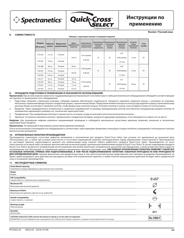



# **Инструкции по применению**

**Russian / Pусский язык**

## **8. СОВМЕСТИМОСТЬ**

### **Таблица с характеристиками и номерами моделей**

| Модель<br> (№ по кат.) | Рабочая<br>длина | Форма/тип<br>наконечника | Длина<br>гидрофильного<br>покрытия | Совместимость<br>с проволочным<br>направителем | Минимальный<br>внутренний<br>диаметр<br>направителя | Минимальный<br>внутренний<br>диаметр<br>канюли | Максимальный<br>наружный<br>диаметр<br>катетера | Интервал<br>между<br>маркерными<br>полосами | Угол<br>изгиба |
|------------------------|------------------|--------------------------|------------------------------------|------------------------------------------------|-----------------------------------------------------|------------------------------------------------|-------------------------------------------------|---------------------------------------------|----------------|
| 518-085                | 135 см           | Угловой                  | 100 см                             | 0.014 дюйма                                    | 5F                                                  | 4F                                             | 3,2F<br>0,042 дюйма                             | 15 MM                                       | $45^\circ$     |
| 518-087                | 150 см           | Угловой                  |                                    | 0.36 мм                                        |                                                     |                                                | 1.07 MM                                         |                                             |                |
| 518-089                | 90 CM            | Угловой                  | 60 CM                              |                                                |                                                     |                                                | 3,4F                                            |                                             |                |
| 518-091                | 135 см           | Угловой                  | 100 см                             | 0,018 дюйма<br>0.46 мм                         | 5F                                                  | 4F                                             | 0,044 дюйма                                     | <b>15 MM</b>                                | $45^\circ$     |
| 518-093                | 150 см           | Угловой                  |                                    |                                                |                                                     |                                                | 1,12 MM                                         |                                             |                |
| 518-077                | 65 CM            | Угловой                  | 45 CM                              |                                                |                                                     |                                                | 4.5F                                            |                                             |                |
| 518-079                | 90 см            | Угловой                  | 70 CM                              | 0,035 дюйма                                    |                                                     |                                                |                                                 |                                             |                |
| 518-081                | 135 см           | Угловой                  | 115 CM                             | 0.89 мм                                        | ٠                                                   | 5F                                             | 0,059 дюйма                                     | 50 MM                                       | $45^\circ$     |
| 518-083                | 150 см           | Угловой                  | 130 см                             |                                                |                                                     |                                                | 1.50 MM                                         |                                             |                |

## **9. ПРОЦЕДУРА ПОДГОТОВКИ К ПРИМЕНЕНИЮ И УКАЗАНИЯ ПО ИСПОЛЬЗОВАНИЮ**

**Примечание.** При использовании совместно с поддерживающим катетером Quick-Cross Select какого-либо дополнительного оборудования соблюдайте соответствующие инструкции по применению этого оборудования.

- 1. Подготовка. Вскройте стерильную упаковку, соблюдая правила обеспечения стерильности. Аккуратно извлеките защитное кольцо с катетером из упаковки. Наполните стерильным физраствором стандартный шприц с наконечником Люэра. Перед извлечением катетера из кольца подсоедините шприц к проксимальному разъему Люэра на катетере и промойте катетер, чтобы физраствор заполнил кольцо. Отложите катетер в кольце, пока не будете готовы его использовать.
- 2. Введение. Через предварительно вставленный и правильно подобранный по размеру проводниковый катетер или оболочку интродьюсера введите катетер по направителю надлежащего размера (см. технические характеристики).
- 3. Продвижение. При продвижении катетера в нужное место по каналу сосуда используйте рентгеноскопический контроль.
- 4. Удаление. Осторожно извлеките катетер с применением стандартной методики, аккуратно удерживая проводник, если планируется оставить его на месте.

**Инфузия.** Для проведения инфузии извлеките направляющий проводник и соблюдайте максимально допустимое давление вливания, указанное в технических характеристиках продукта.

**Примечание.** Не превышайте максимально допустимое давление вливания.

После использования утилизируйте все оборудование в соответствии с действующими правилами утилизации отходов лечебных учреждений и потенциально опасных биологических материалов.

### **10. ОГРАНИЧЕННАЯ ГАРАНТИЯ ПРОИЗВОДИТЕЛЯ**

Производитель гарантирует отсутствие дефектов материалов и изготовления для продукта Quick-Cross Select при условии его применения до указанной даты «Использовать до», а также при условии целостности и отсутствия повреждений упаковки непосредственно перед применением. Ответственность Производителя по настоящей гарантии ограничивается заменой или компенсацией цены покупки любого дефектного продукта Quick-Cross Select. Производитель не несет ответственности за какой-либо случайный, фактический или косвенный ущерб, причиненный применением продукта Quick-Cross Select. В случае повреждения продукта Quick-Cross Select, вызванного ненадлежащим использованием, внесением изменений, неправильным хранением или обращением, а также вследствие любого другого несоблюдения этих Инструкций по применению данная ограниченная гарантия утрачивает силу. **НАСТОЯЩАЯ ОГРАНИЧЕННАЯ ГАРАНТИЯ ЗАМЕНЯЕТ СОБОЙ ВСЕ ОСТАЛЬНЫЕ ГАРАНТИИ, ПРЯМЫЕ ИЛИ ПОДРАЗУМЕВАЕМЫЕ, В ТОМ ЧИСЛЕ ПОДРАЗУМЕВАЕМУЮ ГАРАНТИЮ ТОВАРНОЙ ПРИГОДНОСТИ ИЛИ ПРИГОДНОСТИ ДЛЯ ОПРЕДЕЛЕННОЙ ЦЕЛИ**. Никакие физические или юридические лица, в том числе уполномоченные представители или торговые посредники Производителя, не .<br>имеют права продлевать срок действия или расширять условия этой ограниченной гарантии, и любая попытка вышеуказанных действий не будет иметь юридической силы в отношении Производителя.

### **11. НЕСТАНДАРТНЫЕ СИМВОЛЫ**

| <b>Distal Marker Spacing</b>                                                                                             |                 |
|--------------------------------------------------------------------------------------------------------------------------|-----------------|
| Промежуток между маркерами на дистальной части катетера                                                                  |                 |
| Shape                                                                                                                    |                 |
| Форма                                                                                                                    |                 |
| <b>GW Compatibility</b>                                                                                                  |                 |
| Совместимость с проволочным направителем                                                                                 | $\leftarrow$ GW |
| <b>Maximum OD</b>                                                                                                        |                 |
| Максимальный внешний диаметр                                                                                             |                 |
| <b>Maximum PSI/kPa</b>                                                                                                   |                 |
| Максимальное давление, фунтов на кв. дюйм/кПа                                                                            |                 |
| <b>Sheath Compatibility</b>                                                                                              |                 |
| Совместимость с канюлей                                                                                                  |                 |
| <b>Working Length</b>                                                                                                    |                 |
| Рабочая длина                                                                                                            |                 |
| Quantity                                                                                                                 |                 |
| Количество                                                                                                               | <b>QTY</b>      |
| CAUTION: Federal law (USA) restricts this device to sale by or on the order of a physician.                              |                 |
| ВНИМАНИЕ! Согласно Федеральному законодательству (США) данный продукт разрешен к продаже только врачам или по их заказу. | <b>Rx ONI</b>   |
|                                                                                                                          |                 |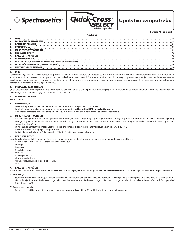



# **Uputstvo za upotrebu**

### **Serbian / Srpski jezik**

# **Sadržaj**

### **1. OPIS**

Spectranetics Quick-Cross Select kateteri za podršku su intravaskulani kateteri. Ovi kateteri su dostupni u različitim dužinama i konfiguracijama vrha. Svi modeli imaju 3 radio-neprovidna markera, koji su postavljeni na podjednakom rastojanju duž distalne osovine, kako bi pomogli u proceni geometrije unutar vaskularnog sistema. Distalni radio-neprovidni marker je postavljen na 3 mm od distalnog vrha katetera. Standardni ženski luer port je postavljen na proksimalnom kraju svakog modela. Kateter je obložen glatkim materijalom koji apsorbira vodu.

### **2. INDIKACIJE ZA UPOTREBU**

Quick-Cross Select kateteri za podršku su tu da vode i daju podršku vodič žici u toku pristupa koronarnoj ili perifernoj vaskulaturi, da omoguće zamenu vodič žica i obezbede kanal za uvođenje slanih rastvora ili dijagnostičkih kontrastnih sredstava.

## **3. KONTRAINDIKACIJE**

Nema poznatih.

### **4. UPOZORENJA**

- Maksimalni pritisak infuzije: **300 psi** za 0,014" i 0,018" katetere i **500 psi** za 0,035" katetere.
- Kateter je projektovan i namenjen samo za jednokratnu upotrebu. **Ne sterilisati i/ili ne koristiti ponovo.**
- Ovaj kateter bi trebalo da koriste samo lekari koji su kvalifikovani za vršenje perkutanih, vaskularnih intervencija.

### **5. MERE PREDOSTROŽNOSTI**

- NE sterilizujte ponovo i NE koristite ponovo ovaj uređaj, jer takve radnje mogu ugroziti performanse uređaja ili povećati opasnost od unakrsne kontaminacije zbog neodgovarajuće ponovne obrade. Ponovna upotreba ovog uređaja za jednokratnu upotrebu može dovesti do ozbiljnih povreda pacijenta ili smrti i poništava garancije proizvođača.
- Čuvati na hladnom i suvom mestu. Zaštititi od direktne sunčeve svetlosti i visokih temperatura (većih od 55 °C ili 131 °F).
- Ne koristite ako su uređaj ili pakovanje oštećeni.
- Koristite kateter do datuma "Roka upotrebe" ("Use By") koji je naveden na pakovanju.

### **6. NEŽELJENI EFEKTI**

Vaskularna kateterizacija i/ili vaskularna intervencija mogu da prouzrokuju, ali ne ograničavajući se samo na to, sledeće komplikacije:

- Isecanje, perforiranje, kidanje ili totalna okluzija krvnog suda
- **Infekcija**
- Hematom
- Nestabilna angina
- Embolija
- Hipo/hipertenzija
- Akutni infarkt miokarda
- Aritmija, uključujući ventrikularnu fibrilaciju • Smrt

# **7. KAKO SE ISPORUČUJE**

Spectranetics Quick-Cross Select isporučuju se **STERILNI**. Uređaji su projektovani i namenjeni **SAMO ZA JEDNU UPOTREBU** i ne smeju se ponovo sterilisati i/ili ponovo koristiti.

### **7.1 Sterilizacija**

• Sterilnost proizvoda se garantuje samo ako pakovanje nije otvarano i ako je neoštećeno. Pre upotrebe vizuelno proveriti sterilno pakovanje kako biste bili sigurni da žigovi nisu polomljeni. Ne koristite kateter ako je pakovanje oštećeno. Ne koristite kateter ako je prošao datum koji je na nalepnici na pakovanju naznačen pod "Rok upotrebe" ("Use Before Date").

### **7.2 Provera pre upotrebe**

• Pre upotrebe pažljivo proverite ispravnost celokupne opreme koja će biti korišćena. Ne koristite opremu ako je oštećena.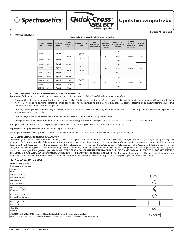



# **Uputstvo za upotrebu**

**Serbian / Srpski jezik**

**8. KOMPATIBILNOST**

### **Tabela sa funkcijama proizvoda i brojevima modela**

| <b>Model</b><br>(Ref) | Radna<br>dužina | Oblik/tip<br>vrha | <b>Dužina</b><br>hidrofilnog<br>sloja | Kompatibilnost<br>žice | Min.<br>unutrašnji<br>prečnik vodiča | Min.<br>unutrašnji<br>prečnik<br>uvodnika | <b>Maksimalan</b><br>spoljni prečnik<br>katetera | <b>Razmak</b><br>između<br>markera u<br>vidu trake | Upadni<br>ugao |
|-----------------------|-----------------|-------------------|---------------------------------------|------------------------|--------------------------------------|-------------------------------------------|--------------------------------------------------|----------------------------------------------------|----------------|
| 518-085               | 135 cm          | Uglasti           | 100 cm                                | 0,014''                | 5F                                   | 4F                                        | 3,2F<br>0.042''                                  | 15 mm                                              | $45^{\circ}$   |
| 518-087               | 150 cm          | Uglasti           |                                       | 0.36 mm                |                                      |                                           | 1.07 mm                                          |                                                    |                |
| 518-089               | 90 cm           | Uglasti           | 60 cm                                 |                        |                                      |                                           | 3,4F                                             |                                                    |                |
| 518-091               | 135 cm          | Uglasti           |                                       | 0,018''                | 5F                                   | 4F                                        | 0,044"                                           | 15 mm                                              | $45^{\circ}$   |
| 518-093               | 150 cm          | Uglasti           | 100 cm                                | 0,46 mm                |                                      |                                           | 1,12 mm                                          |                                                    |                |
| 518-077               | 65 cm           | Uglasti           | 45 cm                                 |                        |                                      |                                           | 4,5F                                             |                                                    |                |
| 518-079               | 90 cm           | Uglasti           | 70 cm                                 | 0,035''                |                                      | 5F                                        |                                                  |                                                    |                |
| 518-081               | 135 cm          | Uglasti           | 115 cm                                | 0,89 mm                | N/D                                  |                                           | 0,059''                                          | 50 mm                                              | $45^{\circ}$   |
| 518-083               | 150 cm          | Uglasti           | 130 cm                                |                        |                                      |                                           | 1,50 mm                                          |                                                    |                |

### **9. POSTAVLJANJE ZA PROCEDURU I INSTRUKCIJE ZA UPOTREBU**

**Napomena:** Pratite uputstvo za upotrebu za svu opremu koja će biti korišćena sa Quick-Cross Select kateterima za podršku.

- 1. Priprema: Otvorite sterilno pakovanje primenom sterilne tehnike. Pažljivo izvadite zaštitni obruč s kateterom iz pakovanja. Napunite sterilni, standardni luerlock špric slanim rastvorom. Pre nego što odstranite kateter iz obruča, spojite špric na luer nastavak na proksimalnom delu katetera, isperite kateter i pustite da slani rastvor napuni obruč. Ostavite kateter sa strane u obruču do upotrebe.
- 2. Umetanje: Preko prethodno umetnutog vodećeg katetera ili uvodnika odgovarajuće veličine, uvedite kateter preko vodič žice odgovarajuće veličine (vidi specifikacije) korišćenjem standardne tehnike.
- 3. Napredovanje: Dok uvodite kateter do određenog mesta u vaskulaturi, koristite fluoroskop za navođenje.
- 4. Uklanjanje: Pažljivo izvucite kateter korišćenjem standardne tehnike, pazite da održavate poziciju vodič žice, ako vodič žica treba da ostane na mestu.

Infuzija: Za infuziju, izvucite vodič žicu i pogledajte specifikaciju da proverite koje su maksimalne vrednosti pritiska infuzije.

**Napomena:** Nemojte prelaziti maksimalne vrednosti pritisaka infuzije.

Nakon upotrebe odložite svu opremu u skladu sa primenljivim zahtevima za bolnički otpad i potencijalno biološki opasne materijale.

### **10. OGRANIČENA GARANCIJA PROIZVOĐAČA**

Proizvođač garantuje da Quick-Cross Select nema grešaka u materijalu i izradi ako se koristi do datuma navedenog pod "Upotrebiti do" ("Use By") i ako pakovanje nije otvoreno i oštećeno pre upotrebe. Odgovornost proizvođača prema ovoj garanciji ograničena je na zamenu ili povraćaj novca u iznosu kupovne cene za bilo koji neispravan Quick-Cross Select. Proizvođač neće biti odgovoran ni za kakve slučajne, specijalne ili posledične štete koje su nastale zbog upotrebe Quick-Cross Select. U slučaju oštećenja kod Quick-Cross Select, koja su izazvana pogrešnom upotrebom, izmenama, nepravilnim skladištenjem ili rukovanjem, ili zbog bilo kakvog drugog nepoštovanja ovog Uputstva za upotrebu, ova ograničena garancija prestaje da važi. **OVA OGRANIČENA GARANCIJA IZRIČITO ODBACUJE SVE DRUGE GARANCIJE, IZRIČITE ILI PODRAZUMEVANE,**  UKLJUČUJUĆI I PODRAZUMEVANU GARANCIJU UTRŽIVOSTI ILI PRIKLADNOSTI ZA ODREĐENU SVRHU. Nijedno fizičko ili pravno lice, uključujući i bilo kog ovlašćenog predstavnika ili distributera proizvođača, nema ovlašćenje da produži ili proširi ovu ograničenu garanciju, a svaki takav pokušaj neće obavezati proizvođača.

# **11. NESTANDARDNI SIMBOLI**

| <b>Distal Marker Spacing</b><br>Razmak distalnih markera                                                                                                                                                  |                 |
|-----------------------------------------------------------------------------------------------------------------------------------------------------------------------------------------------------------|-----------------|
| Shape<br>Oblik                                                                                                                                                                                            |                 |
| <b>GW Compatibility</b><br>Kompatibilnost žice                                                                                                                                                            | $\leftarrow$ GW |
| <b>Maximum OD</b><br>Maksimalni SP                                                                                                                                                                        |                 |
| <b>Maximum PSI/kPa</b><br>Maksimalan PSI/kPa                                                                                                                                                              |                 |
| <b>Sheath Compatibility</b><br>Kompatibilnost uvodnika                                                                                                                                                    |                 |
| <b>Working Length</b><br>Radna dužina                                                                                                                                                                     |                 |
| Quantity<br>Količina                                                                                                                                                                                      | <b>QTY</b>      |
| CAUTION: Federal law (USA) restricts this device to sale by or on the order of a physician.<br>Oprez: Savezni zakon u SAD-u ograničava ovaj uređaj na prodaju od strane lekara ili prema njegovom nalogu. | <b>Rx ONL</b>   |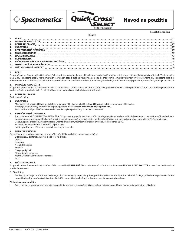



# **Návod na použitie**

### **Slovak/Slovenčina**

## **Obsah**

### **1. POPIS**

Podporné katétre Spectranetics Quick-Cross Select sú intravaskulárne katétre. Tieto katétre sa dodávajú v rôznych dĺžkach a s rôznymi konfiguráciami špičiek. Všetky modely majú 3 RTG-kontrastné značky v rovnomerných rozstupoch pozdĺž distálnej násady na pomoc pri odhadovaní geometrie v cievnom systéme. Distálna RTG-kontrastná značka je umiestnená 3 mm od distálnej špičky katétra. Na proximálnom konci každého modelu je umiestnený štandardný samičí luer. Katéter je potiahnutý mazacím hydrofilným povlakom.

## **2. INDIKÁCIE NA POUŽITIE**

Podporné katétre Quick-Cross Select sú určené na navádzanie a podporu vodiacich drôtov počas prístupu do koronárnych alebo periférnych ciev, na umožnenie výmeny drôtov a zabezpečenie prívodu dodávky fyziologického roztoku alebo diagnostických kontrastných látok.

## **3. KONTRAINDIKÁCIE**

Žiadne nie sú známe.

### **4. VAROVANIA**

- Maximálny tlak infúzie: **300 psi** pre katétre s priemerom 0,014 palca a 0,018 palca a **500 psi** pre katétre s priemerom 0,035 palca.
- Katéter je skonštruovaný a určený len na jedno použitie**. Nesterilizujte ani nepoužívajte opakovane.**
- Tento katéter smú používať len lekári kvalifikovaní na výkon perkutánnych cievnych intervencií.

### **5. BEZPEČNOSTNÉ OPATRENIA**

- Toto zariadenie NESTERILIZUJTE ani NEPOUŽÍVAJTE opakovane, pretože tieto kroky môžu zhoršiť jeho výkonnosť alebo zvýšiť riziko krížovej kontaminácie kvôli nevhodnému opakovanému spracovaniu. Opakované použitie tohto jednorazového zariadenia by mohlo spôsobiť vážne zranenie alebo smrť pacienta a tiež ruší záruku výrobcu.
- Uchovávajte na chladnom, suchom mieste. Chráňte pred priamym slnečným svetlom a vysokou teplotou (nad 55 °C).
- Ak je zariadenie alebo obal poškodený, nepoužívajte.
- Katéter použite pred dátumom exspirácie uvedeným na obale.

### **6. NEŽIADUCE ÚČINKY**

Cievna katetrizácia alebo cievna intervencia môže spôsobiť komplikácie, vrátane, okrem iného:

- Disekcia cievy, perforácia, ruptúra alebo totálna oklúzia
- Infekcia
- Hematóm
- Nestabilná angína
- Embólia
- Nízky/vysoký tlak
- Akútny infarkt myokardu
- Arytmia, vrátane ventrikulárnej fibrilácie • Smrť

## **7. SPÔSOB DODANIA**

Podporné katétre Spectranetics Quick-Cross Select sa dodávajú **STERILNÉ**. Tieto zariadenia sú určené a skonštruované **LEN NA JEDNO POUŽITIE** a nesmú sa sterilizovať ani používať opakovane.

### **7.1 Sterilizácia**

• Sterilita produktu je zaručená len vtedy, ak je obal neotvorený a neporušený. Pred použitím zrakom skontrolujte sterilný obal, či nie je poškodené zapečatenie. Katéter nepoužívajte, ak je porušená celistvosť obalu. Katéter nepoužívajte, ak už uplynul dátum použitia vyznačený na obale.

### **7.2 Kontrola pred použitím**

• Pred použitím pozorne skontrolujte všetky zariadenia, ktoré sa budú používať, či neobsahujú defekty. Nepoužívajte žiadne zariadenie, ak je poškodené.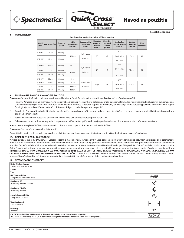



# **Návod na použitie**

**Slovak/Slovenčina**

### **8. KOMPATIBILITA**

**Tabuľka s vlastnosťami produktu a číslami modelov**

| <b>Model</b><br>(Ref) | Pracovná dĺžka | Tvar/typ<br>špičky | <b>D</b> ĺžka<br>hydrofilného<br>povlaku | <b>Kompatibilita</b><br>vodiaceho<br>drôtu | Minimálny<br>vnútorný<br>priemer<br>vodiča | <b>Minimálny</b><br>vnútorný<br>priemer<br>puzdra | <b>Maximálny</b><br>vonkajší priemer<br>katétra | Rozstup<br>kruhových<br>značiek | Uhol<br>zavedenia |
|-----------------------|----------------|--------------------|------------------------------------------|--------------------------------------------|--------------------------------------------|---------------------------------------------------|-------------------------------------------------|---------------------------------|-------------------|
| 518-085               | 135 cm         | Ohnutý             |                                          | $0,014$ palca                              |                                            |                                                   | 3,2F                                            |                                 |                   |
| 518-087               | 150 cm         | Ohnutý             | 100 cm                                   | 0,36 mm                                    | 5F                                         | 4F                                                | 0,042 palca<br>1,07 mm                          | $15 \, \text{mm}$               | $45^\circ$        |
| 518-089               | 90 cm          | Ohnutý             | 60 cm                                    |                                            |                                            |                                                   | 3,4F                                            |                                 |                   |
| 518-091               | 135 cm         | Ohnutý             |                                          | $0,018$ palca<br>0.46 mm                   | 5F                                         | 4F                                                | 0,044 palca                                     | $15 \text{ mm}$                 | $45^\circ$        |
| 518-093               | 150 cm         | Ohnutý             | 100 cm                                   |                                            |                                            |                                                   | $1,12$ mm                                       |                                 |                   |
| 518-077               | 65 cm          | Ohnutý             | 45 cm                                    |                                            |                                            |                                                   | 4,5F                                            |                                 |                   |
| 518-079               | 90 cm          | Ohnutý             | 70 cm                                    | 0,035 palca                                |                                            | 5F                                                |                                                 |                                 | $45^\circ$        |
| 518-081               | 135 cm         | Ohnutý             | 115 cm                                   | 0,89 mm                                    | neapl.                                     |                                                   | 0,059 palca                                     | 50 mm                           |                   |
| 518-083               | 150 cm         | Ohnutý             | 130 cm                                   |                                            |                                            |                                                   | 1,50 mm                                         |                                 |                   |

### **9. PRÍPRAVA NA ZÁKROK A NÁVOD NA POUŽITIE**

**Poznámka:** Pri použití všetkých zariadení s podpornými katétrami Quick-Cross Select postupujte podľa príslušného návodu na použitie.

- 1. Príprava: Pomocou sterilnej techniky otvorte sterilný obal. Opatrne z vrecka vyberte ochrannú obruč s katétrom. Štandardnú sterilnú striekačku s luerovým zámkom naplňte sterilným fyziologickým roztokom. Skôr, než katéter vyberiete z obruče, striekačku napojte na proximálny luerový spoj katétra, katéter vypláchnite a obruč nechajte naplniť fyziologickým roztokom. Katéter v obruči odložte nabok, kým ho nebudete potrebovať použiť.
- 2. Zavedenie: Pomocou štandardnej techniky zaveďte katéter po vodiacom drôte vhodnej veľkosti (pozri špecifikácie) cez vopred zasunutý vodiaci katéter alebo zavádzacie puzdro vhodnej veľkosti.
- 3. Zasúvanie: Pri zasúvaní katétra na požadované miesto v cievach použite fluoroskopické navádzanie.
- 4. Odstránenie: Pomocou štandardnej techniky opatrne odstráňte katéter, pričom udržiavajte polohu vodiaceho drôtu, ak má vodiaci drôt zostať na mieste.

Infúzia: Ak chcete vykonať infúziu, vytiahnite vodiaci drôt a pozrite si špecifikácie pre maximálny tlak infúzie.

**Poznámka:** Neprekračujte maximálne tlaky infúzií.

Po použití zlikvidujte všetky zariadenia v súlade s príslušnými požiadavkami na nemocničný odpad a potenciálne biologicky nebezpečné materiály.

## **10. OBMEDZENÁ ZÁRUKA VÝROBCU**

Výrobca zaručuje, že produkt Quick-Cross Select neobsahuje materiálové ani výrobné chyby, ak sa použije do dátumu uvedeného pod dátumom exspirácie a ak je balenie tesne pred použitím neotvorené a nepoškodené. Zodpovednosť výrobcu podľa tejto záruky je obmedzená na výmenu alebo refundáciu nákupnej ceny akéhokoľvek poruchového produktu Quick-Cross Select. Výrobca nebude zodpovedný za žiadne náhodné, osobitné ani následné škody v dôsledku použitia produktu Quick-Cross Select. Poškodenie produktu Quick-Cross Select spôsobené nesprávnym použitím, úpravou, nevhodným uchovávaním alebo manipuláciou alebo iným nedodržaním tohto návodu na použitie ruší túto obmedzenú záruku. **TÁTO OBMEDZENÁ ZÁRUKA VÝSLOVNE NAHRÁDZA VŠETKY OSTATNÉ ZÁRUKY, VÝSLOVNÉ ČI NAZNAČENÉ, VRÁTANE NAZNAČENEJ ZÁRUKY OBCHODOVATEĽNOSTI ALEBO VHODNOSTI NA KONKRÉTNY ÚČEL.** Žiadna osoba ani subjekt, vrátane akéhokoľvek autorizovaného zástupcu alebo predajcu výrobcu, nemá právo rozširovať ani predlžovať túto obmedzenú záruku a žiadna takáto vynaložená snaha nie je vymáhateľná od výrobcu.

# **11. NEŠTANDARDNÉ SYMBOLY**

| <b>Distal Marker Spacing</b><br>Rozstup distálnych značiek                                                                                                                                                |                            |
|-----------------------------------------------------------------------------------------------------------------------------------------------------------------------------------------------------------|----------------------------|
| Shape<br>Tvar                                                                                                                                                                                             |                            |
| <b>GW Compatibility</b><br>Kompatibilita vodiaceho drôtu                                                                                                                                                  | $\leftarrow$ GW $\bigcirc$ |
| <b>Maximum OD</b><br>Maximálny vonkajší priemer                                                                                                                                                           |                            |
| <b>Maximum PSI/kPa</b><br>Maximálny PSI/kPa                                                                                                                                                               |                            |
| <b>Sheath Compatibility</b><br>Kompatibilita puzdra                                                                                                                                                       |                            |
| <b>Working Length</b><br>Pracovná dĺžka                                                                                                                                                                   |                            |
| Quantity<br>Množstvo                                                                                                                                                                                      | <b>QTY</b>                 |
| CAUTION: Federal law (USA) restricts this device to sale by or on the order of a physician.<br>UPOZORNENIE: Federálny zákon (USA) obmedzuje predaj tohto zariadenia na lekárov alebo na lekársky predpis. | <b>Rx ONL</b>              |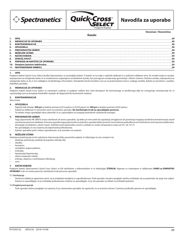



# **Navodila za uporabo**

### **Slovenian / Slovenščina**

## **Kazalo**

### **1. OPIS**

Podporni katetri Quick-Cross Select družbe Spectranetics so znotrajžilni katetri. Ti katetri so na voljo v različnih dolžinah in z različnimi oblikami vrha. Vsi modeli imajo tri oznake, neprepustne za rentgenske žarke, ki so enakomerno razporejene na distalnem kanalu, kar pomaga pri ocenjevanju geometrije v žilnem sistemu. Distalna oznaka, neprepustna za rentgenske žarke, je do 3 mm oddaljena od distalnega vrha katetra. Standardni ženski konektor Luer je na proksimalnem koncu vsakega modela. Kateter je prevlečen s spolzko, hidrofilno prevleko.

## **2. INDIKACIJE ZA UPORABO**

Podporni katetri Quick-Cross Select so namenjeni vodenju in podpori vodilne žice med dostopom do koronarnega in perifernega žilja ter omogočajo izmenjevanje žic in vzpostavljajo pot za dovajanje fizioloških raztopin ali diagnostičnih kontrastnih sredstev.

### **3. KONTRAINDIKACIJE**

Niso znane.

### **4. OPOZORILA**

- Največji tlak infuzije: **300 psi** za katetre premera 0,014 palcev in 0,018 palcev ter **500 psi** za katetre premera 0,035 palcev.
- Kateter je oblikovan in namenjen samo za enkratno uporabo. **Ne sterilizirajte in/ali ne uporabljajte ponovno.**
- Ta kateter smejo uporabljati samo zdravniki, ki so usposobljeni za izvajanje perkutanih vaskularnih posegov.

### **5. PREVIDNOSTNI UKREPI**

- Tega pripomočka NE SMETE znova sterilizirati ali znova uporabiti, saj lahko pri tem pride do ogrožanja zmogljivosti ali povečanja tveganja navzkrižne kontaminacije zaradi neustrezne ponovne obdelave. Ponovna uporaba tega pripomočka za enkratno uporabo lahko povzroči resne telesne poškodbe ali smrt bolnika ter izniči jamstva izdelovalca.
- Shranjujte na hladnem, suhem mestu. Zaščitite pred neposredno sončno svetlobo in visoko temperaturo (višjo od 55 C ali 131 F).
- Ne uporabljajte, če sta ovojnina ali pripomoček poškodovana.
- Kateter uporabite pred »rokom uporabnosti«, ki je naveden na ovojnini.

### **6. NEŽELENI UČINKI**

- Vaskularna katetrizacija in/ali vaskularna intervencija lahko povzročita zaplete, ki vključujejo (a niso omejeni na):
- disekcijo, perforacijo, predrtje ali popolno okluzijo žile,
- okužbo,
- hematom,
- nestabilno angino pektoris,
- embolijo,
- hipotenzijo/hipertenzijo,
- akutni miokardni infarkt,
- aritmijo, vključno z ventrikularno fibrilacijo,
- smrt.

### **7. NAČIN DOBAVE**

Podporni katetri Spectranetics Quick-Cross Select so bili sterilizirani z etilenoksidom in se dobavljajo **STERILNI.** Naprave so namenjene in oblikovane **SAMO za ENKRATNO UPORABO** in jih ne smete ponovno sterilizirati in/ali ponovno uporabiti.

### **7.1 Sterilizacija**

• Sterilnost izdelka je zajamčena samo, če je embalaža neodprta in nepoškodovana. Pred uporabo vizualno preglejte sterilno embalažo, da se prepričate, da spoji niso odprti. Katetra ne uporabljajte, če je embalaža poškodovana. Katetra ne uporabljajte, če je rok uporabe na etiketi na embalaži pretečen.

# **7.2 Pregled pred uporab**

• Pred uporabo skrbno preglejte vso opremo, ki jo nameravate uporabiti, da ugotovite, če so prisotne okvare. V primeru poškodb opreme ne uporabljajte.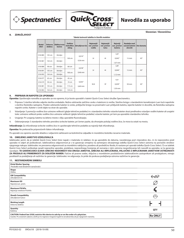



# **Navodila za uporabo**

**Slovenian / Slovenščina**

**8. ZDRUŽLJIVOST**

**Tabela lastnosti izdelka in številk modelov**

**Model (Ref) Delovna dolžina Oblika/vrsta konice Dolžina hidrofilne oblog Združljivost žic Najmanjši not. premer vodila Najmanjši not. premer tulca Največji**  <mark>in. pre</mark>m **katetra Razdalje med označevalnimi obročki Kot dometa** 518-085 135 cm Ukrivljen 100 cm 0,014" 0,36 mm 5F 4F 3,2F 0,042" 1,07 mm 15 mm 45° 518-087 150 cm Ukrivljen 518-089 90 cm Ukrivljen 60 cm 0,018" 0,46 mm 5F 4F 3,4F 0,044" 1,12 mm 518-091 135 cm Ukrivljen 15 mm 45° 100 cm 518-093 150 cm Ukrivljen 518-077 65 cm Ukrivljen 45 cm 0,035" 0,89 mm N/A 5F 4,5F 0,059" 1,50 mm 50 mm 45°  $518-079$  90 cm Ukrivlien  $\frac{1}{20}$  cm 518-081 135 cm Ukrivljen 115 cm 518-083 150 cm Ukrivljen 130 cm

## **9. PRIPRAVA IN NAPOTKI ZA UPORABO**

**Opomba:** Upoštevajte navodila za uporabo za vso opremo, ki jo boste uporabili s katetri Quick-Cross Select družbe Spectranetics.

- 1. Priprava: S sterilno tehniko odprite sterilno embalažo. Nežno odstranite zaščitno cevko s katetrom iz vrečke. Sterilno brizgo s standardnim konektorjem Luer-lock napolnite s sterilno fiziološko raztopino. Preden odstranite kateter iz cevke, priključite brizgo na proximalni Luer priključek katetra, izperite kateter in dovolite, da fiziološka raztopina napolni cevko. Kateter v cevki dajte na stran do uporabe.
- 2. Vstavljanje: S pomočjo vodilne žice ustrezne velikosti (glejte tehnične podatke) in s standardno tehniko vstavite kateter skozi predhodno vstavljen vodilni kateter ali uvajalni tulec ustrezne velikosti preko vodilne žice ustrezne velikosti (glejte tehnične podatke) vstavite kateter, pri tem pa uporabite standardno tehniko.
- 3. Uvajanje: Pri uvajanju katetra na želeno mesto v žilju uporabite fluoroskopijo.
- 4. Odstranjevanje: S standardno tehniko previdno izvlecite kateter, pri čemer pazite, da ohranjate položaj vodilne žice, če mora ta ostati na mestu.

**Infundiranje:** Za infundiranje izvlecite vodilno žico in upoštevajte tehnične podatke za največji tlak infundiranja.

**Opomba:** Ne prekoračite priporočenih tlakov infundiranja.

Po uporabi vso opremo zavrzite skladno z veljavnimi zahtevami za bolnišnične odpadke in morebitno biološko nevarne materiale.

### **10. OMEJENO JAMSTVO IZDELOVALCA**

Izdelovalec jamči, da je izdelek Quick-Cross Select brez napak v materialu in izdelavi, če ga uporabite do datuma, navedenega pod »Uporabno do«, in če neposredno pred uporabo ni odprt ali poškodovan. Izdelovalčeva odgovornost je s to garancijo omejena na zamenjavo okvarjenega izdelka Quick-Cross Select oziroma na povračilo stroškov njegovega nakupa. Izdelovalec ne prevzema odgovornosti za morebitno naključno, posebno ali posledično škodo, ki nastane pri uporabi izdelka Quick-Cross Select. Če se izdelek Quick-Cross Select poškoduje zaradi nepravilne uporabe, predelave, nepravilnega hranjenja ali ravnanja z njim oziroma neupoštevanja teh navodil za uporabo, se ta garancija razveljavi. **TA GARANCIJSKA IZJAVA IZRECNO NADOMESTI VSA DRUGA JAMSTVA, IZRECNA ALI IMPLICIRANA, VKLJUČNO Z IMPLICIRANIM JAMSTVOM USTREZNOSTI**  ZA PRODAJO ALI PRIMERNOSTI ZA DOLOČEN NAMEN. Fizične ali pravne osebe, vključno z morebitnim pooblaščenim izdelovalčevim zastopnikom ali prodajalcem, nimajo pooblastil za podaljšanje ali razširitev te garancije. Izdelovalec ne odgovarja, če pride do poskusa podaljšanja oziroma razširitve te garancije.

## **11. NESTANDARDNI SIMBOLI**

| <b>Distal Marker Spacing</b><br>Presledki med distalnimi označevalci                                                                                                                                  |                 |
|-------------------------------------------------------------------------------------------------------------------------------------------------------------------------------------------------------|-----------------|
| Shape<br>Oblika                                                                                                                                                                                       |                 |
| <b>GW Compatibility</b><br>Združljivost žic                                                                                                                                                           | $\leftarrow$ GW |
| <b>Maximum OD</b><br>Največji zun. prem.                                                                                                                                                              |                 |
| Maximum PSI/kPa<br>Največja vrednost PSI/kPa                                                                                                                                                          |                 |
| <b>Sheath Compatibility</b><br>Združljivost tulcev                                                                                                                                                    |                 |
| <b>Working Length</b><br>Delovna dolžina                                                                                                                                                              |                 |
| Quantity<br>Količina                                                                                                                                                                                  | QTY             |
| CAUTION: Federal law (USA) restricts this device to sale by or on the order of a physician.<br>Svarilo: Po zveznem zakonu (ZDA) je to napravo mogoče kupiti le od zdravnika ali po njegovem naročilu. | <b>Rx ONLY</b>  |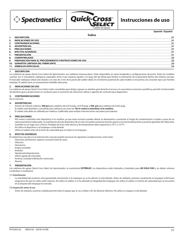



# **Instrucciones de uso**

### **Spanish / Español**

### **Índice**

## **1. DESCRIPCIÓN**

Los catéteres de apoyo Quick-Cross Select de Spectranetics son catéteres intravasculares. Están disponibles en varias longitudes y configuraciones de punta. Todos los modelos cuentan con 3 marcadores radiopacos separados entre sí por espacios iguales a lo largo del eje distal para facilitar la estimación de la geometría dentro del sistema vascular. El marcador radiopaco distal está situado a no más de 3 mm de la punta del catéter distal. En el extremo proximal de cada modelo se encuentra una conexión tipo Luer hembra estándar. El catéter tiene un revestimiento hidrófilo lubricante.

## **2. INDICACIONES DE USO**

Los catéteres de apoyo Quick-Cross Select están concebidos para dirigir y apoyar un alambre guía durante el acceso a la vasculatura coronaria o periférica, permitir el intercambio de alambres guía y proporcionar un conducto para el suministro de soluciones salinas o agentes de contraste para diagnóstico.

## **3. CONTRAINDICACIONES**

# No se conocen.

# **4. ADVERTENCIAS**

- Presión de infusión máxima: **300 psi** para catéteres de 0.014 pulg. y 0.018 pulg. y **500 psi** para catéteres de 0.035 pulg.
- El catéter está diseñado y concebido para utilizarse una sola vez. **No lo vuelva a esterilizar ni lo reutilice.**
- El catéter sólo debe ser utilizado por médicos cualificados para realizar intervenciones vasculares percutáneas.

### • **5. PRECAUCIONES**

- NO vuelva a esterilizar este dispositivo ni lo reutilice, ya que estas acciones pueden alterar su desempeño o aumentar el riesgo de contaminación cruzada a causa de un reprocesamiento inadecuado. La reutilización de este dispositivo de un solo uso podría ocasionar lesiones graves o la muerte del paciente y anula las garantías del fabricante.
- Guárdelo en un lugar seco y fresco. Protéjalo de la luz solar directa y de temperaturas altas (superiores a 55°C o 131°F).
- No utilice el dispositivo o el empaque si está dañado.
- Utilice el catéter antes de la fecha de caducidad que se indica en el empaque.

### **6. EFECTOS ADVERSOS**

- El cateterismo vascular y/o la intervención vascular pueden provocar las siguientes complicaciones, entre otras:
- Disección, perforación, ruptura u oclusión total de vasos.
- Infección.
- Hematoma.
- Angina inestable.
- Embolia.
- Hipotensión/hipertensión.
- Infarto agudo de miocardio.
- Arritmia, incluida la fibrilación ventricular.
- Muerte.

### **7. PRESENTACIÓN**

Los catéteres de apoyo Quick-Cross Select de Spectranetics se suministran **ESTÉRILES**. Los dispositivos están indicados y diseñados para **UN SOLO USO** y no deben volverse a esterilizar ni reutilizarse.

### **7.1 Esterilización**

• La esterilidad del producto está garantizada únicamente si el empaque no se ha abierto ni está dañado. Antes de utilizarlo, examine visualmente el empaque estéril para asegurarse de que los sellos estén intactos. No utilice el catéter si se ha alterado la integridad del empaque. No utilice el catéter si la fecha de caducidad que se encuentra en la etiqueta del empaque ha vencido.

### **7.2 Inspección antes al uso**

Antes de utilizarlo, examine cuidadosamente todo el equipo que se va a utilizar a fin de detectar defectos. No utilice un equipo si está dañado.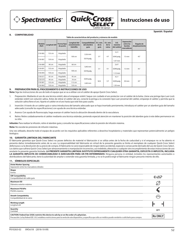



# **Instrucciones de uso**

**Spanish / Español**

### **8. COMPATIBILIDAD**

### **Tabla de características del producto y números de modelo**

| <b>Modelo</b><br>(Ref) | Longitud útil | Forma/tipo<br>de punta | <b>Longitud del</b><br>revestimiento<br>hidrófilo | Compatibilidad<br>del alambre<br>quía | D.I. mín.<br>de la<br>quía | D.I. mín.<br>de la<br>vaina | D.E.<br>máximo<br>del catéteri | Separación<br>entre las<br>bandas<br>marcadoras | Ángulo de<br>desplazamiento |
|------------------------|---------------|------------------------|---------------------------------------------------|---------------------------------------|----------------------------|-----------------------------|--------------------------------|-------------------------------------------------|-----------------------------|
| 518-085                | 135 cm        | Angulada               |                                                   | 0.36 mm                               |                            |                             | 3.2 F                          |                                                 |                             |
|                        |               |                        | 100 cm                                            | 0.014 pulg.                           | 5 F                        | 4 F                         | 0.042 pulg.                    | $15 \text{ mm}$                                 | $45^\circ$                  |
| 518-087                | 150 cm        | Angulada               |                                                   |                                       |                            |                             | 1.07 mm                        |                                                 |                             |
| 518-089                | 90 cm         | Angulada               | 60 cm                                             |                                       |                            |                             | 3,4F                           |                                                 |                             |
| 518-091                | 135 cm        | Angulada               |                                                   | 0,46 mm                               | 5 F                        | 4 F                         | 0.044 pulg.                    | $15 \text{ mm}$                                 | $45^\circ$                  |
| 518-093                | 150 cm        | Angulada               | 100 cm                                            | 0.018 pulg.                           |                            |                             | $1.12$ mm                      |                                                 |                             |
| 518-077                | 65 cm         | Angulada               | 45 cm                                             |                                       |                            |                             | 4,5 F                          |                                                 |                             |
| 518-079                | 90 cm         | Angulada               | 70 cm                                             | 0.035 pulg.                           |                            |                             |                                |                                                 |                             |
| 518-081                | 135 cm        | Angulada               | 115 cm                                            | $0.89$ mm                             | N/A                        | 5 F                         | 0.059 pulg.                    | 50 mm                                           | $45^\circ$                  |
| 518-083                | 150 cm        | Angulada               | 130 cm                                            |                                       |                            |                             | 1.50 mm                        |                                                 |                             |

## **9. PREPARACIÓN PARA EL PROCEDIMIENTO E INSTRUCCIONES DE USO**

- **Nota:** Siga las instrucciones de uso de todo el equipo que se va a utilizar con el catéter de apoyo Quick-Cross Select.
- 1. Preparación: Mediante el uso de una técnica estéril, abra el empaque estéril. Saque con cuidado el aro protector con el catéter de la bolsa. Llene una jeringa tipo Luer-Lock estándar estéril con solución salina. Antes de retirar el catéter del aro, conecte la jeringa a la conexión tipo Luer proximal del catéter, empareje el catéter y permita que la solución salina llene el aro. Aparte el catéter en el aro hasta que esté listo para usarlo.
- 2. Inserción: A través de un catéter guía o vaina introductora del tamaño adecuado que se haya insertado previamente, introduzca el catéter por un alambre guía del tamaño adecuado (consulte las especificaciones) con ayuda de una técnica estándar.
- 3. Avance: Con ayuda de fluoroscopia, haga avanzar el catéter hacia la ubicación deseada dentro de la vasculatura.
- 4. Retiro: Retire cuidadosamente el catéter mediante una técnica estándar, poniendo especial atención en mantener la posición del alambre guía si este debe permanecer en su sitio.

Infusión: Para realizar la infusión, retire el alambre quía y consulte las especificaciones sobre la presión de infusión máxima.

**Nota:** No exceda las presiones de infusión máximas.

Una vez utilizado, deseche todo el equipo de acuerdo con los requisitos aplicables referentes a desechos hospitalarios y materiales que representan potencialmente un peligro biológico.

### **10. GARANTÍA LIMITADA DEL FABRICANTE**

El fabricante garantiza que Quick-Cross Select no posee defectos de material ni fabricación si se utiliza antes de la fecha de caducidad y si el empaque no se ha abierto ni presenta daños inmediatamente antes de su uso. La responsabilidad del fabricante en virtud de la presente garantía se limita al reemplazo de cualquier Quick-Cross Select defectuoso o a la devolución de su precio de compra. El fabricante no será responsable de ningún daño accidental, especial o consecuente derivado del uso de Quick-Cross Select. Los daños que sufriera Quick-Cross Select por almacenamiento o manipulación incorrectos, uso indebido, alteración o cualquier otro incumplimiento de estas instrucciones de uso anularán la presente garantía limitada. **LA PRESENTE GARANTÍA LIMITADA SUSTITUYE EXPRESAMENTE CUALQUIER OTRA GARANTÍA, EXPLÍCITA O IMPLÍCITA, INCLUIDA**  LA GARANTÍA IMPLÍCITA DE COMERCIABILIDAD O ADECUACIÓN PARA UN FIN DETERMINADO. Ninguna persona ni entidad, incluidos los representantes autorizados o distribuidores del fabricante, tiene la autoridad de ampliar o extender esta garantía limitada, y no se le podrá exigir al fabricante ningún presunto intento de ello.

### **11. SÍMBOLOS ESPECIALES**

| <b>Distal Marker Spacing</b><br>Separación entre los marcadores distales                                                                                                                                                                                                 |                                                                      |
|--------------------------------------------------------------------------------------------------------------------------------------------------------------------------------------------------------------------------------------------------------------------------|----------------------------------------------------------------------|
| Shape<br>Forma                                                                                                                                                                                                                                                           |                                                                      |
| <b>GW Compatibility</b><br>Compatibilidad del cable guía                                                                                                                                                                                                                 | $\begin{array}{cc} \downarrow & GW \\ \uparrow & Max OD \end{array}$ |
| <b>Maximum OD</b><br>Diámetro exterior máximo                                                                                                                                                                                                                            |                                                                      |
| <b>Maximum PSI/kPa</b><br>PSI/kPa máximo                                                                                                                                                                                                                                 |                                                                      |
| <b>Sheath Compatibility</b><br>Compatibilidad de la vaina                                                                                                                                                                                                                |                                                                      |
| <b>Working Length</b><br>Longitud útil                                                                                                                                                                                                                                   |                                                                      |
| Quantity<br>Cantidad                                                                                                                                                                                                                                                     | QTY                                                                  |
| CAUTION: Federal law (USA) restricts this device to sale by or on the order of a physician.<br>Precaución: La ley federal (EE. UU.) establece restricciones para la venta de este dispositivo, y especifica que sólo un médico puede venderlo o solicitarlo para compra. | <b>Rx ONL</b>                                                        |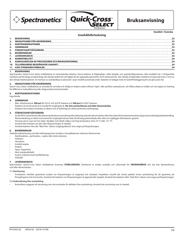



# **Bruksanvisning**

### **Swedish / Svenska**

# **Innehållsförteckning**

## **1. BESKRIVNING**

Spectranetics Quick-Cross Select stödkatetrar är intravaskulära katetrar. Dessa katetrar är tillgängliga i olika längder och spetskon gurationer. Alla modeller har 3 röntgentäta markörer på lika långa avstånd längs det distala skaftet för att hjälpa till att uppskatta geometrin inom kärlsystemet. Den distala röntgentäta markören är placerad inom 3 mm av den distala kateterspetsen. En honluer av standardtyp är placerad i varje modells proximala ände. Katetern är belagd med en hydrofil beläggning för att göra ytan hal.

## **2. INDIKATIONER FÖR ANVÄNDNING**

Quick-Cross Select stödkatetrar är avsedda för att leda och stödja en ledare under införsel i hjärt- eller perifera vaskulaturen, att tillåta utbyte av trådar och att utgöra en ledning för tillförsel av koksaltlösning eller diagnostiska kontrastmedel.

### **3. KONTRAINDIKATIONER**

Inga kända.

## **4. VARNINGAR**

- Max. infusionstryck: **300 psi** för 0,014" och 0,018" katetrar och **500 psi** för 0,035" katetrar.
- Katetern är konstruerad och avsedd för engångsbruk. **Får inte omsteriliseras och/eller återanvändas.**
- Katetern bör endast användas av läkare som är behöriga att utföra perkutana kärlingrepp.

## **5. FÖRSIKTIGHETSÅTGÄRDER**

- Du får INTE omsterilisera eller återanvända denna anordning efter detta kan påverka dess funktion eller öka risken för korskontamination på grund av olämplig återbehandling. Återanvändning av detta instrument för engångsbruk kan leda till allvarlig patientskada eller död och ogiltiggör tillverkarens garanti.
- Förvaras på en sval och torr plats. Skyddas mot direkt solljus och hög temperatur (över 55 °C eller 131 °F).
- Använd inte enheten om den eller förpackningen är skadad.
- Använd katetern före det "Bäst före"-datum (utgångsdatum) som anges på förpackningen.

### **6. BIVERKNINGAR**

Vaskulär kateterisering och/eller kärlingrepp kan resultera i komplikationer inklusive bland annat:

- Kärldissektion, -perforation, -ruptur eller total ocklusion
- **Infektion**
- Hematom
- Instabil angina
- Emboli
- Hypo-/hypertoni
- Akut myokardinfarkt
- Arytmi, inklusive kammarfibrillering
- Dödsfall

### **7. LEVERANSSKICK**

Spectranetics Quick-Cross Select stödkatetrar levereras **STERILISERADE**. Enheterna är endast avsedda och utformade för **ENGÅNGSBRUK** och ska inte återsteriliseras och/eller återanvändas.

## **7.1 Sterilisering**

• Produktens sterilitet garanteras endast om förpackningen är oöppnad och oskadad. Inspektera visuellt det sterila paketet innan användning för att garantera att förseglingarna inte har brutits. Använd inte katetern om förpackningens är öppnad eller skadad. Använd inte katetern efter "bäst före"-datum som anges på förpackningen.

## **7.2 Undersökning före användning**

• Kontrollera noggrant all utrustning som ska användas för defekter före användning. Använd inte utrustning som är skadad.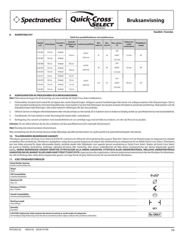



# **Bruksanvisning**

**Swedish / Svenska**

### **8. KOMPATIBILITET**

### **Tabell över produktfunktioner och modellnummer**

| <b>Modell</b><br>(ref) | Arbetslängd | Spetsform<br>$/$ -typ | <b>Hydrofil</b><br>längd | beläggnings- Ledarkompatibilitet | Min.<br>ledar-ID | Min.<br>hyls-ID | Max. kateter-<br><b>YD</b> | <b>Mellanrum</b><br>mellan<br>markörband | <b>Projektions-</b><br>vinkel |
|------------------------|-------------|-----------------------|--------------------------|----------------------------------|------------------|-----------------|----------------------------|------------------------------------------|-------------------------------|
| 518-085                | 135 cm      | Vinklad               |                          | 0,014''                          |                  |                 | 3,2F                       |                                          |                               |
| 518-087                | 150 cm      | Vinklad               | 100 cm                   | 0,36 mm                          | 5F               | 4F              | 0,042"<br>1,07 mm          | $15 \text{ mm}$                          | $45^\circ$                    |
| 518-089                | 90 cm       | Vinklad               | 60 cm                    | 0,018''                          |                  |                 | 3,4F                       |                                          |                               |
| 518-091                | 135 cm      | Vinklad               |                          |                                  | 5F               | 4F              | 0,044"                     | 15 mm                                    | $45^\circ$                    |
| 518-093                | 150 cm      | Vinklad               | 100 cm                   | 0,46 mm                          |                  |                 | $1,12 \text{ mm}$          |                                          |                               |
| 518-077                | 65 cm       | Vinklad               | 45 cm                    |                                  |                  |                 |                            |                                          |                               |
| 518-079                | 90 cm       | Vinklad               | 70 cm                    | 0,035''                          |                  |                 | 4,5F                       |                                          |                               |
| 518-081                | 135 cm      | Vinklad               | 115 cm                   | 0,89 mm                          | E/t              | 5F              | 0,059''                    | 50 mm                                    | $45^\circ$                    |
| 518-083                | 150 cm      | Vinklad               | 130 cm                   |                                  |                  |                 | 1,50 mm                    |                                          |                               |

### **9. KONFIGURATION AV PROCEDUREN OCH BRUKSANVISNING**

**Obs!** Följ bruksanvisningen för all utrustning som ska användas för Quick-Cross Select stödkatetrar**.**

- 1. Förberedelse: Använd steril metod för att öppna den sterila förpackningen. Avlägsna varsamt luerfattningen från kortet och avlägsna katetern från förpackningen. Fyll en steril standard luerlåsspruta med steril koksaltlösning. Innan katetern tas bort från fattningen ska sprutan anslutas till kateterns proximala luerfattning. Skölj katetern och låt koksaltlösningen fylla fattningen. Sätt undan katetern i fattningen tills den ska användas.
- 2. Införsel: Genom en tidigare införd ledarkateter eller introducerhylsa av rätt storlek, för in katetern över en ledare av lämplig storlek (se specifikationerna) med standardteknik.
- 3. Framförande: För fram katetern under fluoroskopi till önskat ställe i vaskulaturen.
- 4. Borttagning: Dra varsamt ut katetern med standardteknik och var samtidigt noga med att hålla kvar ledaren, om den ska finnas kvar på plats.

Infusion: För att utföra infusion ska du dra ut ledaren och läsa specifikationerna för maximalt infusionstryck.

**Obs!** Överstig inte rekommenderat infusionstryck.

Efter användning ska all utrustning kasseras enligt tillämpliga specifika bestämmelser om sjukhusavfall och potentiellt biologiskt riskmaterial.

### **10. TILLVERKARENS BEGRÄNSADE GARANTI**

Tillverkaren garanterar att Quick-Cross Select är fri från fel i material och utförande vid användning före angivet "Bäst-före"-datum och när förpackningen är oöppnad och oskadad omedelbart före användning. Tillverkarens skyldigheter enligt denna garanti begränsas till utbyte eller återbetalning av inköpspriset för en defekt Quick-Cross Select. Tillverkaren kan inte hållas ansvarig för några oförutsedda skador, särskilda skador eller följdskador som uppstår genom användning av Quick-Cross Select. Skador på Quick-Cross Select på grund av felaktig användning, ändringar, olämplig förvaring eller hantering, eller annan underlåtenhet att följa denna bruksanvisning gör denna begränsade garanti ogiltig. **DENNA BEGRÄNSADE GARANTI ERSÄTTER UTTRYCKLIGEN ALLA ANDRA GARANTIER, UTTRYCKTA ELLER UNDERFÖRSTÅDDA, INKLUSIVE UNDERFÖRSTÅDDA GARANTIER OM SÄLJBARHET ELLER LÄMPLIGHET FÖR ETT VISST SYFTE.** Ingen person eller organisation, inklusive auktoriserad representant eller återförsäljare för tillverkaren, har rätt att förlänga eller utöka denna begränsade garanti, och inga försök att göra detta kommer att vara bindande för tillverkaren..

## **11. ICKE-STANDARDSYMBOLER**

| <b>Distal Marker Spacing</b><br>Distalt markörmellanrum                                                                                                                                                         |                 |
|-----------------------------------------------------------------------------------------------------------------------------------------------------------------------------------------------------------------|-----------------|
| Shape<br>Form                                                                                                                                                                                                   |                 |
| <b>GW Compatibility</b><br>Ledarkompatibilitet                                                                                                                                                                  | $\leftarrow$ GW |
| <b>Maximum OD</b><br>Max. YD                                                                                                                                                                                    |                 |
| <b>Maximum PSI/kPa</b><br>Max. PSI/kPa                                                                                                                                                                          |                 |
| <b>Sheath Compatibility</b><br>Introducerkompatibilitet                                                                                                                                                         |                 |
| <b>Working Length</b><br>Arbetslängd                                                                                                                                                                            |                 |
| Quantity<br>Kvantitet                                                                                                                                                                                           | QTY             |
| CAUTION: Federal law (USA) restricts this device to sale by or on the order of a physician.<br>Var försiktig! Enligt federal lag (USA) får denna anordning endast säljas av läkare eller på läkares ordination. | <b>Rx ONLY</b>  |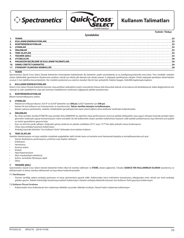



# **Kullanım Talimatları**

### **Turkish / Türkçe**

# **İçindekiler**

| 7. TEDARİK ŞEKLİ |  |
|------------------|--|
|                  |  |
|                  |  |
|                  |  |
|                  |  |

### **1. TANIM**

Spectranetics Quick-Cross Select Destek Kateterleri intravazküler kateterlerdir. Bu kateterler çeşitli uzunluklarda ve uç konfigürasyonlarında mevcuttur. Tüm modeller vazküler sistem dahilindeki geometrinin ölçülmesine yardımcı olmak için distal şaft alanıyla eşit olarak uzanan 3 radyopak işaretleyiciye sahiptir. Distal radyopak işaretleyici distal kateter ucunun 3 mm dahiline konumlandırılır. Her modelin proksimal ucu üzerine standart dişi bir lüer yerleştirilir. Kateter kaygan, hidrofilik kaplamayla kaplanır.

### **2. KULLANIM ENDİKASYONLARI**

Quick-Cross Select Destek Kateterleri koroner veya periferal vazkulatüre erişim sırasında bir kılavuz tele kılavuzluk edecek ve bu kılavuz teli destekleyecek, kablo değişimlerine izin verecek ve salin çözeltilerinin veya tanı kontrast maddelerinin verilmesini sağlayacak şekilde tasarlanmıştır.

### **3. KONTRENDİKASYONLAR**

Bilinen kontrendikasyonu yoktur.

### **4. UYARILAR**

- Maksimum İnfüzyon Basıncı: 0,014" ve 0,018" kateterler için **300 psi**, 0,035" kateterler için **500 psi**.
- Kateter bir kez kullanım için hazırlanmıştır ve tasarlanmıştır**. Tekrar sterilize etmeyin ve kullanmayın.**
- Kateter yalnızca perkütanöz, vazküler müdahaleleri gerçekleştirmek üzere yeterli eğitimi almış doktorlar tarafından kullanılmalıdır.

### **5. ÖNLEMLER**

- Bu cihazı yeniden sterilize ETMEYİN veya yeniden KULLANMAYIN, bu eylemler cihaz performansını olumsuz şekilde etkileyebilir veya uygun olmayan biçimde yeniden işlem görmeleri nedeniyle çapraz kontaminasyon riskini artırabilir. Bu tek kullanımlık cihazın yeniden kullanılması hastanın ciddi şekilde yaralanmasına veya ölümüne yol açabilir ve üretici garantilerini geçersiz kılar.
- Kuru ve serin bir yerde saklayın. Doğrudan güneş ışınlarına ve yüksek sıcaklıklara (55°C veya 131°F'tan daha yüksek) maruz bırakmayınız.
- Cihaz veya ambalaj hasarlıysa kullanmayın.
- Ambalaj üzerinde belirtilen "Son Kullanım Tarihi" dolmadan önce kateteri kullanın.

### **6. TERS OLAYLAR**

- Vazküler kateterizasyon ve/veya vazküler müdahale aşağıdakiler dahil olmak üzere ve bunlarla sınırlı kalmamak kaydıyla şu komplikasyonlara yol açar:
- Damar diseksiyonu, perforasyonu, yırtılması veya toplam oklüzyon
- Enfeksiyon
- Hematoma
- Kararsız anjina
- Emboli
- Hipo/hipertansiyon
- Akut miyokardiyal enfarktüsü
- Aritmi, ventriküler fibrilasyon dahil
- Ölüm

### **7. TEDARİK ŞEKLİ**

Spectranetics Quick-Cross Select Destek Kateterleri Etilen Oksit ile sterilize edilmiştir ve **STERİL** olarak sağlanırlar. Cihazlar **SADECE TEK KULLANIMLIK OLARAK** tasarlanmış ve belirlenmiştir ve tekrar sterilize edilmemeli ve/veya tekrar kullanılmamalıdır.

### **7.1 Sterilizasyon**

• Ürünün sterilliği sadece ambalaj açılmamış ve hasar görmemişse garanti edilir. Kullanımdan önce mühürlerin bozulmamış olduğundan emin olmak için steril ambalajı gözden geçirin. Paketin bütünlüğü bozulmuşsa kateteri kullanmayın. Kateteri ambalaj etiketinde bulunan Son Kullanım Tarihi geçmişse kullanmayın.

### **7.2 Kullanım Öncesi İnceleme**

• Kullanmadan önce kullanılacak tüm malzemeyi defektler açısından dikkatle inceleyin. Hasarlı hiçbir malzemeyi kullanmayın.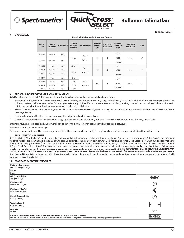



# **Kullanım Talimatları**

**Turkish / Türkçe**

## **8. UYUMLULUK**

### **Ürün Özellikleri ve Model Numaraları Tablosu**

| <b>Model</b><br>(Ref) | Calışma<br>Uzunluğu | Uç Şekli / Tipi | <b>Hidrofilik</b><br>Kaplama<br><b>Uzunluğu</b> | Tel Uyumluluğu | <b>Minimum</b><br>Kılavuz İç<br>Çapı | <b>Minimum</b><br>Kılıf İç Çapı | <b>Maksimum</b><br>Kateter Dis<br>Çapı | <i>i</i> șaretleyici<br><b>Bant Aralığı</b> | Açısı        |
|-----------------------|---------------------|-----------------|-------------------------------------------------|----------------|--------------------------------------|---------------------------------|----------------------------------------|---------------------------------------------|--------------|
| 518-085               | 135 cm              | Açılı           |                                                 | 0,014''        |                                      |                                 | 3,2F                                   |                                             |              |
| 518-087               | 150 cm              | Açılı           | 100 cm                                          | 0.36 mm        | 5F                                   | 4F                              | 0,042"<br>1,07 mm                      | $15 \text{ mm}$                             | $45^\circ$   |
| 518-089               | 90 cm               | Açılı           | 60 cm                                           |                |                                      |                                 | 3,4F                                   |                                             |              |
| 518-091               | 135 cm              | Açılı           |                                                 | 0,018''        | 5F                                   | 4F                              | 0,044''                                | $15 \text{ mm}$                             | $45^{\circ}$ |
| 518-093               | 150 cm              | Açılı           | 100 cm                                          | 0,46 mm        |                                      |                                 | $1,12 \text{ mm}$                      |                                             |              |
| 518-077               | 65 cm               | Açılı           | 45 cm                                           |                |                                      |                                 | 4,5F                                   |                                             |              |
| 518-079               | 90 cm               | Açılı           | 70 cm                                           | 0,035''        | Belir.                               | 5F                              | 0,059''                                | 50 mm                                       | $45^\circ$   |
| 518-081               | 135 cm              | Açılı           | 115 cm                                          | 0,89 mm        |                                      |                                 |                                        |                                             |              |
| 518-083               | 150 cm              | Açılı           | 130 cm                                          |                |                                      |                                 | 1,50 mm                                |                                             |              |

## **9. PROSEDÜR BELİRLEME VE KULLANIM TALİMATLARI**

**Not:** Quick-Cross Select Destek Kateterleriyle birlikte kullanılacak tüm donanımların kullanım talimatlarını izleyin.

- 1. Hazırlama: Steril tekniğini kullanarak, steril paketi açın. Kateteri içeren koruyucu halkayı yavaşça ambalajdan çıkarın. Bir standart steril lüer kilitli şırıngayı steril salinle doldurun. Kateteri halkadan çıkarmadan önce şırıngayı kateterin proksimal lüer ucuna takın, kateteri durulayıp temizleyin ve salin sıvının halkaya dolmasına izin verin. Kateteri halkanın içinde olarak kullanıncaya kadar hazır şekilde bir yere kaldırın.
- 2. Takma: Daha önceden takılmış uygun boyutta bir kılavuz kateterle veya tanıtıcı kılıfla, standart tekniği kullanarak kateteri uygun boyutta bir kılavuz telin (özelliklere bakın) üzerine yerleştirin.
- 3. İlerletme: Kateteri vazkülatürde istenen konuma getirmek için floroskopik kılavuz kullanın.
- 4. Çıkarma: Standart tekniği kullanarak kateteri yavaşça geri çekin ve kılavuz tel olduğu yerde bırakılacaksa kılavuz telin konumunu korumaya dikkat edin.

**İnfüzyon:** İnfüzyon gerçekleştirilecekse, kılavuz teli geri çekin ve maksimum infüzyon basıncı için teknik özelliklere başvurun.

**Not:** Önerilen infüzyon basıncını aşmayın.

Kullanımdan sonra, hastane atıkları ve potansiyel biyolojik tehlike arz eden malzemelere ilişkin uygulanabilir gerekliliklere uygun olarak tüm ekipmanı imha edin.

### **10. SINIRLI ÜRETİCİ GARANTİSİ**

Üretici, belirtilen "Son Kullanım" tarihine kadar kullanılması ve kullanılmadan önce paketin açılmamış ve hasar görmemiş olması durumunda Quick-Cross Select ürününün malzeme ve işçilik açısından hatasız olduğunu garanti eder. Bu garanti kapsamında üreticinin sorumluluğu, herhangi bir hatalı Quick-Cross Select ürününün değiştirilmesi veya ürün ücretinin iadesiyle sınırlıdır. Üretici, Quick-Cross Select ürününün kullanımından kaynaklanan tesadü , özel ya da kullanım sonucunda oluşan dolaylı zararlardan sorumlu değildir. Quick-Cross Select ürününün yanlış kullanım, değişiklik, uygun olmayan şekilde depolama veya kullanımdan kaynaklanan zararlar ya da bu Kullanım Talimatlarının uygulanmamasından doğan diğer arızalar nedeniyle zarar görmesi durumunda, bu sınırlı garanti geçersiz olacaktır. **BU SINIRLI GARANTİ, ZIMNİ SATILABİLİRLİK (ORTALAMA KALİTE) VEYA BELİRLİ BİR AMACA UYGUNLUK GARANTİSİ DE DAHİL OLMAK ÜZERE, BELİRTİLEN YA DA ZIMNİ TÜM DİĞER GARANTİLERİN YERİNE GEÇMEKTEDİR.** Üreticinin yetkili temsilcisi ya da satıcısı dahil olmak üzere hiçbir kişi veya kurumun, bu sınırlı garantiyi uzatma ya da genişletme yetkisi bulunmamaktadır; bu amaca yönelik girişimler Üreticiye karşı kullanılamaz.

## **11. STANDART OLMAYAN SEMBOLLER**

| <b>Distal Marker Spacing</b><br>Distal İşaretleyici Aralığı                                                                                                                                                                                      |                 |
|--------------------------------------------------------------------------------------------------------------------------------------------------------------------------------------------------------------------------------------------------|-----------------|
| Shape<br>Biçim                                                                                                                                                                                                                                   |                 |
| <b>GW Compatibility</b><br>Tel Uyumluluğu                                                                                                                                                                                                        | $\leftarrow$ GW |
| <b>Maximum OD</b><br>Maksimum Dış Çap                                                                                                                                                                                                            |                 |
| <b>Maximum PSI/kPa</b><br>Maksimum PSI/kPa                                                                                                                                                                                                       |                 |
| <b>Sheath Compatibility</b><br>Kılıf Uyumluluğu                                                                                                                                                                                                  |                 |
| <b>Working Length</b><br>Çalışma Uzunluğu                                                                                                                                                                                                        |                 |
| Quantity<br>Miktar                                                                                                                                                                                                                               | QTY             |
| CAUTION: Federal law (USA) restricts this device to sale by or on the order of a physician.<br>Dikkat: ABD Federal Yasaları bu cihazın satışının yetkili bir doktor tarafından ya da yetkili bir doktorun isteği üzerine yapılmasını gerektirir. | <b>Rx ONLY</b>  |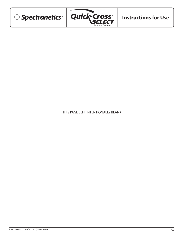



THIS PAGE LEFT INTENTIONALLY BLANK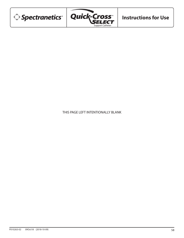



THIS PAGE LEFT INTENTIONALLY BLANK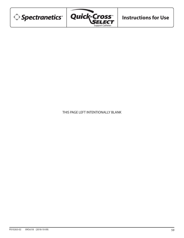



THIS PAGE LEFT INTENTIONALLY BLANK